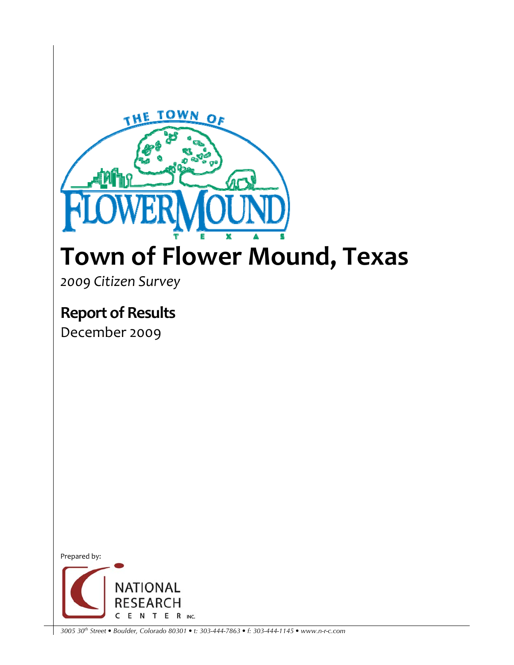

## **Town of Flower Mound, Texas**

*2009 Citizen Survey*

**Report of Results** 

December 2009



*3005 30th Street • Boulder, Colorado 80301 • t: 303-444-7863 • f: 303-444-1145 • www.n-r-c.com*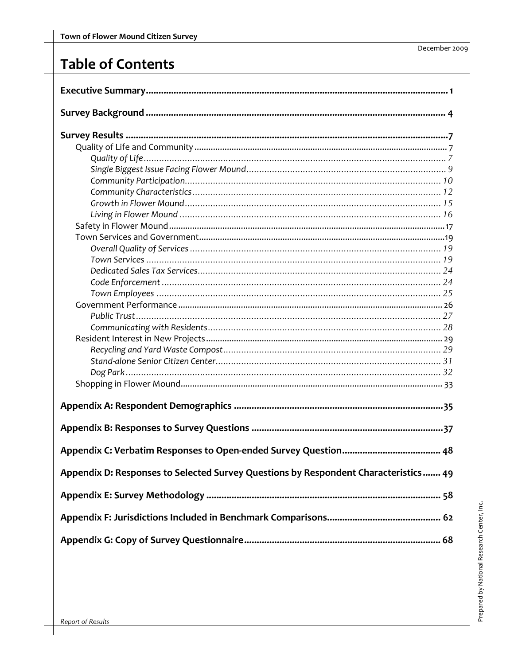## **Table of Contents**

| Appendix D: Responses to Selected Survey Questions by Respondent Characteristics 49 |
|-------------------------------------------------------------------------------------|
|                                                                                     |
|                                                                                     |
|                                                                                     |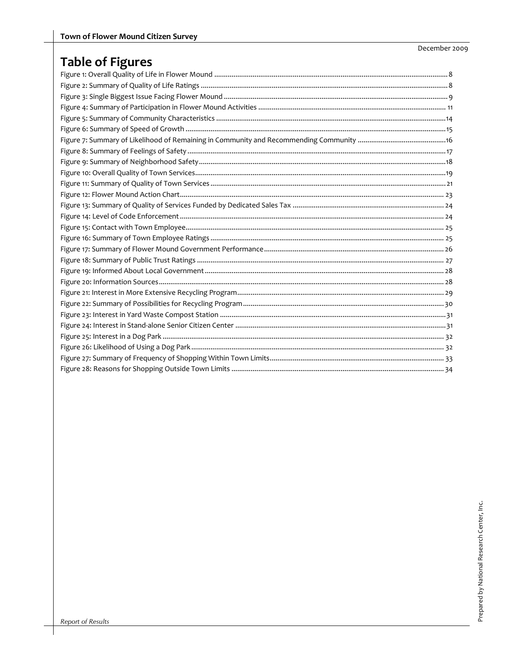## **Table of Figures**

December 2009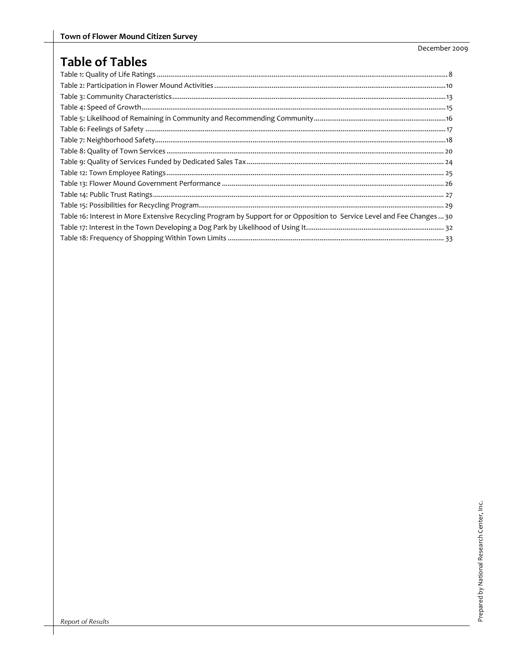## **Table of Tables**

| Table 16: Interest in More Extensive Recycling Program by Support for or Opposition to Service Level and Fee Changes  30 |  |
|--------------------------------------------------------------------------------------------------------------------------|--|
|                                                                                                                          |  |
|                                                                                                                          |  |

December 2009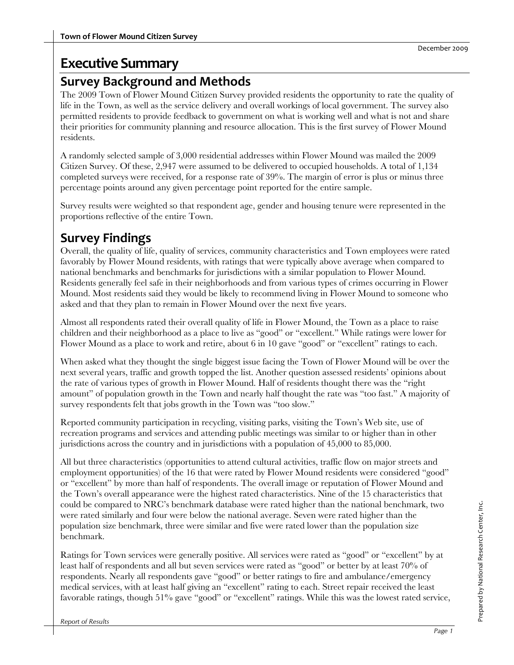## **Executive Summary**

## **Survey Background and Methods**

The 2009 Town of Flower Mound Citizen Survey provided residents the opportunity to rate the quality of life in the Town, as well as the service delivery and overall workings of local government. The survey also permitted residents to provide feedback to government on what is working well and what is not and share their priorities for community planning and resource allocation. This is the first survey of Flower Mound residents.

A randomly selected sample of 3,000 residential addresses within Flower Mound was mailed the 2009 Citizen Survey. Of these, 2,947 were assumed to be delivered to occupied households. A total of 1,134 completed surveys were received, for a response rate of 39%. The margin of error is plus or minus three percentage points around any given percentage point reported for the entire sample.

Survey results were weighted so that respondent age, gender and housing tenure were represented in the proportions reflective of the entire Town.

## **Survey Findings**

Overall, the quality of life, quality of services, community characteristics and Town employees were rated favorably by Flower Mound residents, with ratings that were typically above average when compared to national benchmarks and benchmarks for jurisdictions with a similar population to Flower Mound. Residents generally feel safe in their neighborhoods and from various types of crimes occurring in Flower Mound. Most residents said they would be likely to recommend living in Flower Mound to someone who asked and that they plan to remain in Flower Mound over the next five years.

Almost all respondents rated their overall quality of life in Flower Mound, the Town as a place to raise children and their neighborhood as a place to live as "good" or "excellent." While ratings were lower for Flower Mound as a place to work and retire, about 6 in 10 gave "good" or "excellent" ratings to each.

When asked what they thought the single biggest issue facing the Town of Flower Mound will be over the next several years, traffic and growth topped the list. Another question assessed residents' opinions about the rate of various types of growth in Flower Mound. Half of residents thought there was the "right amount" of population growth in the Town and nearly half thought the rate was "too fast." A majority of survey respondents felt that jobs growth in the Town was "too slow."

Reported community participation in recycling, visiting parks, visiting the Town's Web site, use of recreation programs and services and attending public meetings was similar to or higher than in other jurisdictions across the country and in jurisdictions with a population of 45,000 to 85,000.

All but three characteristics (opportunities to attend cultural activities, traffic flow on major streets and employment opportunities) of the 16 that were rated by Flower Mound residents were considered "good" or "excellent" by more than half of respondents. The overall image or reputation of Flower Mound and the Town's overall appearance were the highest rated characteristics. Nine of the 15 characteristics that could be compared to NRC's benchmark database were rated higher than the national benchmark, two were rated similarly and four were below the national average. Seven were rated higher than the population size benchmark, three were similar and five were rated lower than the population size benchmark.

Ratings for Town services were generally positive. All services were rated as "good" or "excellent" by at least half of respondents and all but seven services were rated as "good" or better by at least 70% of respondents. Nearly all respondents gave "good" or better ratings to fire and ambulance/emergency medical services, with at least half giving an "excellent" rating to each. Street repair received the least favorable ratings, though 51% gave "good" or "excellent" ratings. While this was the lowest rated service,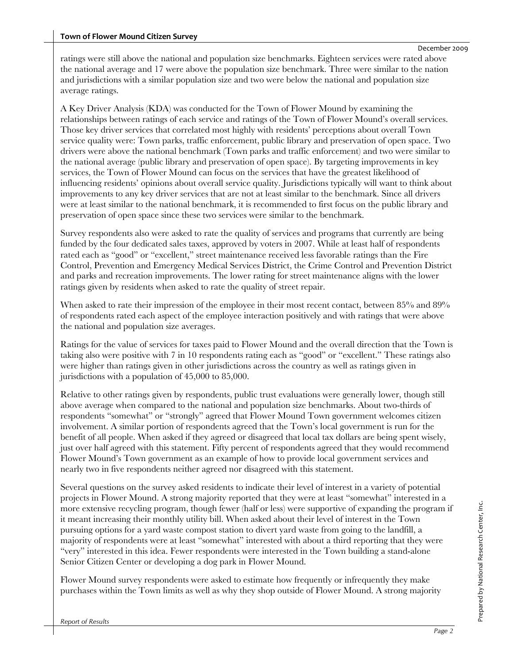ratings were still above the national and population size benchmarks. Eighteen services were rated above the national average and 17 were above the population size benchmark. Three were similar to the nation and jurisdictions with a similar population size and two were below the national and population size average ratings.

A Key Driver Analysis (KDA) was conducted for the Town of Flower Mound by examining the relationships between ratings of each service and ratings of the Town of Flower Mound's overall services. Those key driver services that correlated most highly with residents' perceptions about overall Town service quality were: Town parks, traffic enforcement, public library and preservation of open space. Two drivers were above the national benchmark (Town parks and traffic enforcement) and two were similar to the national average (public library and preservation of open space). By targeting improvements in key services, the Town of Flower Mound can focus on the services that have the greatest likelihood of influencing residents' opinions about overall service quality. Jurisdictions typically will want to think about improvements to any key driver services that are not at least similar to the benchmark. Since all drivers were at least similar to the national benchmark, it is recommended to first focus on the public library and preservation of open space since these two services were similar to the benchmark.

Survey respondents also were asked to rate the quality of services and programs that currently are being funded by the four dedicated sales taxes, approved by voters in 2007. While at least half of respondents rated each as "good" or "excellent," street maintenance received less favorable ratings than the Fire Control, Prevention and Emergency Medical Services District, the Crime Control and Prevention District and parks and recreation improvements. The lower rating for street maintenance aligns with the lower ratings given by residents when asked to rate the quality of street repair.

When asked to rate their impression of the employee in their most recent contact, between 85% and 89% of respondents rated each aspect of the employee interaction positively and with ratings that were above the national and population size averages.

Ratings for the value of services for taxes paid to Flower Mound and the overall direction that the Town is taking also were positive with 7 in 10 respondents rating each as "good" or "excellent." These ratings also were higher than ratings given in other jurisdictions across the country as well as ratings given in jurisdictions with a population of 45,000 to 85,000.

Relative to other ratings given by respondents, public trust evaluations were generally lower, though still above average when compared to the national and population size benchmarks. About two-thirds of respondents "somewhat" or "strongly" agreed that Flower Mound Town government welcomes citizen involvement. A similar portion of respondents agreed that the Town's local government is run for the benefit of all people. When asked if they agreed or disagreed that local tax dollars are being spent wisely, just over half agreed with this statement. Fifty percent of respondents agreed that they would recommend Flower Mound's Town government as an example of how to provide local government services and nearly two in five respondents neither agreed nor disagreed with this statement.

Several questions on the survey asked residents to indicate their level of interest in a variety of potential projects in Flower Mound. A strong majority reported that they were at least "somewhat" interested in a more extensive recycling program, though fewer (half or less) were supportive of expanding the program if it meant increasing their monthly utility bill. When asked about their level of interest in the Town pursuing options for a yard waste compost station to divert yard waste from going to the landfill, a majority of respondents were at least "somewhat" interested with about a third reporting that they were "very" interested in this idea. Fewer respondents were interested in the Town building a stand-alone Senior Citizen Center or developing a dog park in Flower Mound.

Flower Mound survey respondents were asked to estimate how frequently or infrequently they make purchases within the Town limits as well as why they shop outside of Flower Mound. A strong majority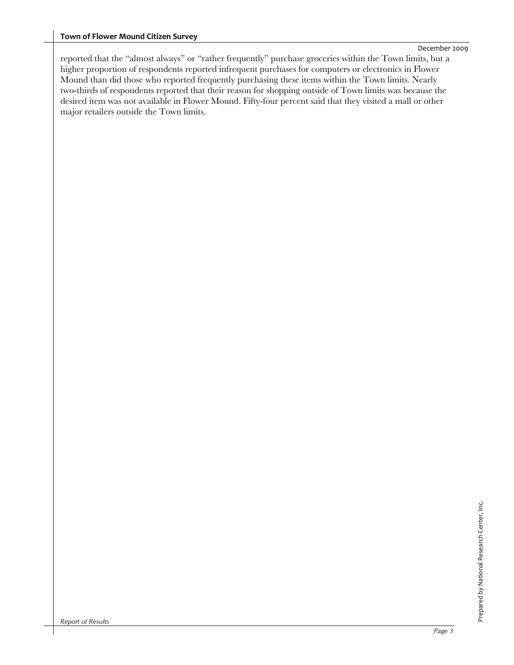#### **Town of Flower Mound Citizen Survey**

reported that the "almost always" or "rather frequently" purchase groceries within the Town limits, but a higher proportion of respondents reported infrequent purchases for computers or electronics in Flower Mound than did those who reported frequently purchasing these items within the Town limits. Nearly two-thirds of respondents reported that their reason for shopping outside of Town limits was because the desired item was not available in Flower Mound. Fifty-four percent said that they visited a mall or other major retailers outside the Town limits.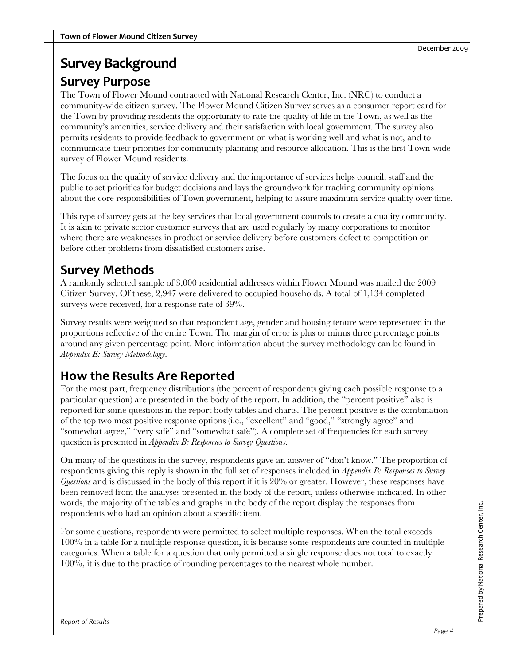## **Survey Background**

## **Survey Purpose**

The Town of Flower Mound contracted with National Research Center, Inc. (NRC) to conduct a community-wide citizen survey. The Flower Mound Citizen Survey serves as a consumer report card for the Town by providing residents the opportunity to rate the quality of life in the Town, as well as the community's amenities, service delivery and their satisfaction with local government. The survey also permits residents to provide feedback to government on what is working well and what is not, and to communicate their priorities for community planning and resource allocation. This is the first Town-wide survey of Flower Mound residents.

The focus on the quality of service delivery and the importance of services helps council, staff and the public to set priorities for budget decisions and lays the groundwork for tracking community opinions about the core responsibilities of Town government, helping to assure maximum service quality over time.

This type of survey gets at the key services that local government controls to create a quality community. It is akin to private sector customer surveys that are used regularly by many corporations to monitor where there are weaknesses in product or service delivery before customers defect to competition or before other problems from dissatisfied customers arise.

## **Survey Methods**

A randomly selected sample of 3,000 residential addresses within Flower Mound was mailed the 2009 Citizen Survey. Of these, 2,947 were delivered to occupied households. A total of 1,134 completed surveys were received, for a response rate of 39%.

Survey results were weighted so that respondent age, gender and housing tenure were represented in the proportions reflective of the entire Town. The margin of error is plus or minus three percentage points around any given percentage point. More information about the survey methodology can be found in *Appendix E: Survey Methodology*.

## **How the Results Are Reported**

For the most part, frequency distributions (the percent of respondents giving each possible response to a particular question) are presented in the body of the report. In addition, the "percent positive" also is reported for some questions in the report body tables and charts. The percent positive is the combination of the top two most positive response options (i.e., "excellent" and "good," "strongly agree" and "somewhat agree," "very safe" and "somewhat safe"). A complete set of frequencies for each survey question is presented in *Appendix B: Responses to Survey Questions*.

On many of the questions in the survey, respondents gave an answer of "don't know." The proportion of respondents giving this reply is shown in the full set of responses included in *Appendix B: Responses to Survey Questions* and is discussed in the body of this report if it is 20% or greater. However, these responses have been removed from the analyses presented in the body of the report, unless otherwise indicated. In other words, the majority of the tables and graphs in the body of the report display the responses from respondents who had an opinion about a specific item.

For some questions, respondents were permitted to select multiple responses. When the total exceeds 100% in a table for a multiple response question, it is because some respondents are counted in multiple categories. When a table for a question that only permitted a single response does not total to exactly 100%, it is due to the practice of rounding percentages to the nearest whole number.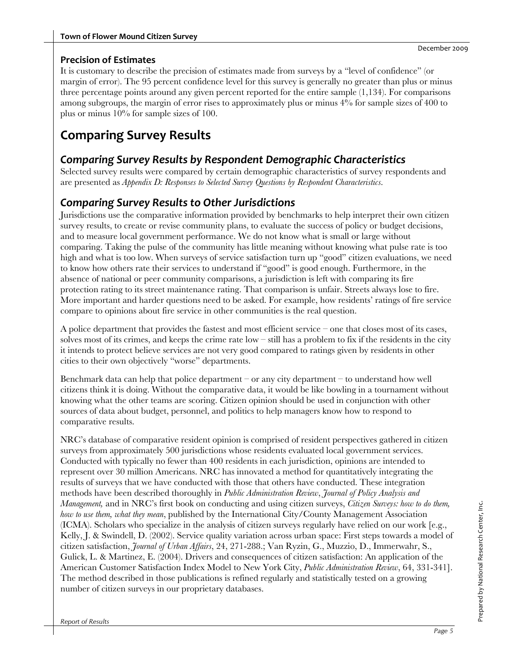It is customary to describe the precision of estimates made from surveys by a "level of confidence" (or margin of error). The 95 percent confidence level for this survey is generally no greater than plus or minus three percentage points around any given percent reported for the entire sample (1,134). For comparisons among subgroups, the margin of error rises to approximately plus or minus 4% for sample sizes of 400 to plus or minus 10% for sample sizes of 100.

## **Comparing Survey Results**

## *Comparing Survey Results by Respondent Demographic Characteristics*

Selected survey results were compared by certain demographic characteristics of survey respondents and are presented as *Appendix D: Responses to Selected Survey Questions by Respondent Characteristics*.

## *Comparing Survey Results to Other Jurisdictions*

Jurisdictions use the comparative information provided by benchmarks to help interpret their own citizen survey results, to create or revise community plans, to evaluate the success of policy or budget decisions, and to measure local government performance. We do not know what is small or large without comparing. Taking the pulse of the community has little meaning without knowing what pulse rate is too high and what is too low. When surveys of service satisfaction turn up "good" citizen evaluations, we need to know how others rate their services to understand if "good" is good enough. Furthermore, in the absence of national or peer community comparisons, a jurisdiction is left with comparing its fire protection rating to its street maintenance rating. That comparison is unfair. Streets always lose to fire. More important and harder questions need to be asked. For example, how residents' ratings of fire service compare to opinions about fire service in other communities is the real question.

A police department that provides the fastest and most efficient service – one that closes most of its cases, solves most of its crimes, and keeps the crime rate  $low$  – still has a problem to fix if the residents in the city it intends to protect believe services are not very good compared to ratings given by residents in other cities to their own objectively "worse" departments.

Benchmark data can help that police department – or any city department – to understand how well citizens think it is doing. Without the comparative data, it would be like bowling in a tournament without knowing what the other teams are scoring. Citizen opinion should be used in conjunction with other sources of data about budget, personnel, and politics to help managers know how to respond to comparative results.

NRC's database of comparative resident opinion is comprised of resident perspectives gathered in citizen surveys from approximately 500 jurisdictions whose residents evaluated local government services. Conducted with typically no fewer than 400 residents in each jurisdiction, opinions are intended to represent over 30 million Americans. NRC has innovated a method for quantitatively integrating the results of surveys that we have conducted with those that others have conducted. These integration methods have been described thoroughly in *Public Administration Review*, *Journal of Policy Analysis and Management,* and in NRC's first book on conducting and using citizen surveys, *Citizen Surveys: how to do them, how to use them, what they mean*, published by the International City/County Management Association (ICMA). Scholars who specialize in the analysis of citizen surveys regularly have relied on our work [e.g., Kelly, J. & Swindell, D. (2002). Service quality variation across urban space: First steps towards a model of citizen satisfaction, *Journal of Urban Affairs*, 24, 271-288.; Van Ryzin, G., Muzzio, D., Immerwahr, S., Gulick, L. & Martinez, E. (2004). Drivers and consequences of citizen satisfaction: An application of the American Customer Satisfaction Index Model to New York City, *Public Administration Review*, 64, 331-341]. The method described in those publications is refined regularly and statistically tested on a growing number of citizen surveys in our proprietary databases.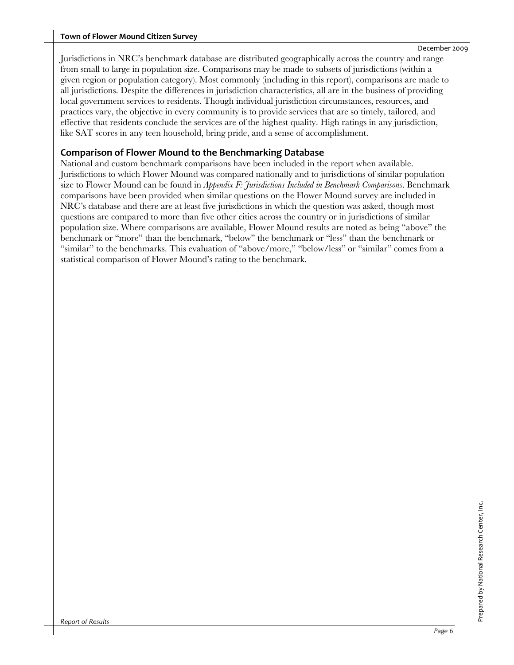Jurisdictions in NRC's benchmark database are distributed geographically across the country and range from small to large in population size. Comparisons may be made to subsets of jurisdictions (within a given region or population category). Most commonly (including in this report), comparisons are made to all jurisdictions. Despite the differences in jurisdiction characteristics, all are in the business of providing local government services to residents. Though individual jurisdiction circumstances, resources, and practices vary, the objective in every community is to provide services that are so timely, tailored, and effective that residents conclude the services are of the highest quality. High ratings in any jurisdiction, like SAT scores in any teen household, bring pride, and a sense of accomplishment.

#### **Comparison of Flower Mound to the Benchmarking Database**

National and custom benchmark comparisons have been included in the report when available. Jurisdictions to which Flower Mound was compared nationally and to jurisdictions of similar population size to Flower Mound can be found in *Appendix F: Jurisdictions Included in Benchmark Comparisons*. Benchmark comparisons have been provided when similar questions on the Flower Mound survey are included in NRC's database and there are at least five jurisdictions in which the question was asked, though most questions are compared to more than five other cities across the country or in jurisdictions of similar population size. Where comparisons are available, Flower Mound results are noted as being "above" the benchmark or "more" than the benchmark, "below" the benchmark or "less" than the benchmark or "similar" to the benchmarks. This evaluation of "above/more," "below/less" or "similar" comes from a statistical comparison of Flower Mound's rating to the benchmark.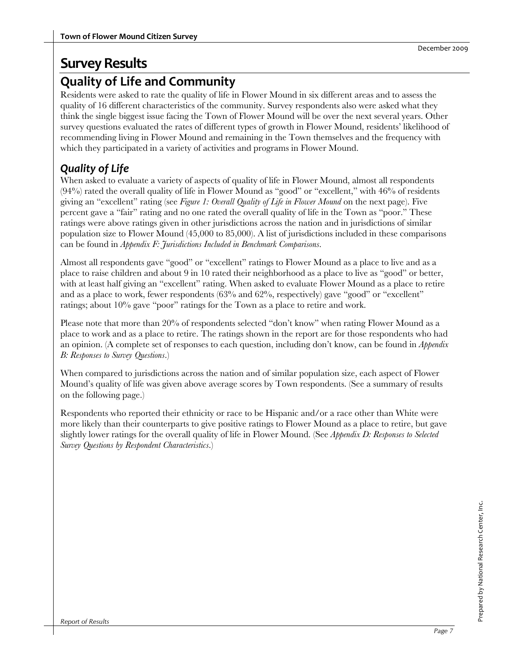## **Quality of Life and Community**

Residents were asked to rate the quality of life in Flower Mound in six different areas and to assess the quality of 16 different characteristics of the community. Survey respondents also were asked what they think the single biggest issue facing the Town of Flower Mound will be over the next several years. Other survey questions evaluated the rates of different types of growth in Flower Mound, residents' likelihood of recommending living in Flower Mound and remaining in the Town themselves and the frequency with which they participated in a variety of activities and programs in Flower Mound.

## *Quality of Life*

When asked to evaluate a variety of aspects of quality of life in Flower Mound, almost all respondents (94%) rated the overall quality of life in Flower Mound as "good" or "excellent," with 46% of residents giving an "excellent" rating (see *Figure 1: Overall Quality of Life in Flower Mound* on the next page). Five percent gave a "fair" rating and no one rated the overall quality of life in the Town as "poor." These ratings were above ratings given in other jurisdictions across the nation and in jurisdictions of similar population size to Flower Mound (45,000 to 85,000). A list of jurisdictions included in these comparisons can be found in *Appendix F: Jurisdictions Included in Benchmark Comparisons*.

Almost all respondents gave "good" or "excellent" ratings to Flower Mound as a place to live and as a place to raise children and about 9 in 10 rated their neighborhood as a place to live as "good" or better, with at least half giving an "excellent" rating. When asked to evaluate Flower Mound as a place to retire and as a place to work, fewer respondents (63% and 62%, respectively) gave "good" or "excellent" ratings; about 10% gave "poor" ratings for the Town as a place to retire and work.

Please note that more than 20% of respondents selected "don't know" when rating Flower Mound as a place to work and as a place to retire. The ratings shown in the report are for those respondents who had an opinion. (A complete set of responses to each question, including don't know, can be found in *Appendix B: Responses to Survey Questions*.)

When compared to jurisdictions across the nation and of similar population size, each aspect of Flower Mound's quality of life was given above average scores by Town respondents. (See a summary of results on the following page.)

Respondents who reported their ethnicity or race to be Hispanic and/or a race other than White were more likely than their counterparts to give positive ratings to Flower Mound as a place to retire, but gave slightly lower ratings for the overall quality of life in Flower Mound. (See *Appendix D: Responses to Selected Survey Questions by Respondent Characteristics*.)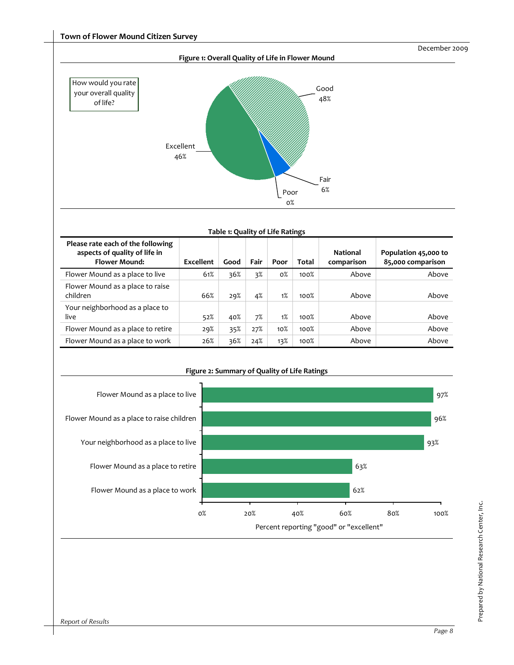

#### **Table 1: Quality of Life Ratings Please rate each of the following aspects of quality of life in Flower Mound: Excellent Good Fair Poor Total National comparison Population 45,000 to 85,000 comparison** Flower Mound as a place to live 61% 36% 3% 0% 100% Above Above Flower Mound as a place to raise children 66% 29% 4% 1% 100% Above Above Your neighborhood as a place to live 52% 40% 7% 1% 100% Above Above Flower Mound as a place to retire 29% 35% 27% 10% 100% Above Above Flower Mound as a place to work 26% 36% 24% 13% 100% Above Above



**Figure 2: Summary of Quality of Life Ratings**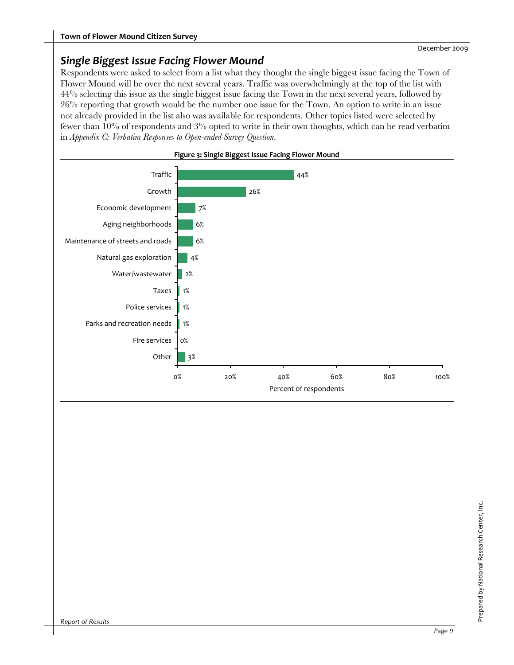## *Single Biggest Issue Facing Flower Mound*

Respondents were asked to select from a list what they thought the single biggest issue facing the Town of Flower Mound will be over the next several years. Traffic was overwhelmingly at the top of the list with 44% selecting this issue as the single biggest issue facing the Town in the next several years, followed by 26% reporting that growth would be the number one issue for the Town. An option to write in an issue not already provided in the list also was available for respondents. Other topics listed were selected by fewer than 10% of respondents and 3% opted to write in their own thoughts, which can be read verbatim in *Appendix C: Verbatim Responses to Open-ended Survey Question*.



#### **Figure 3: Single Biggest Issue Facing Flower Mound**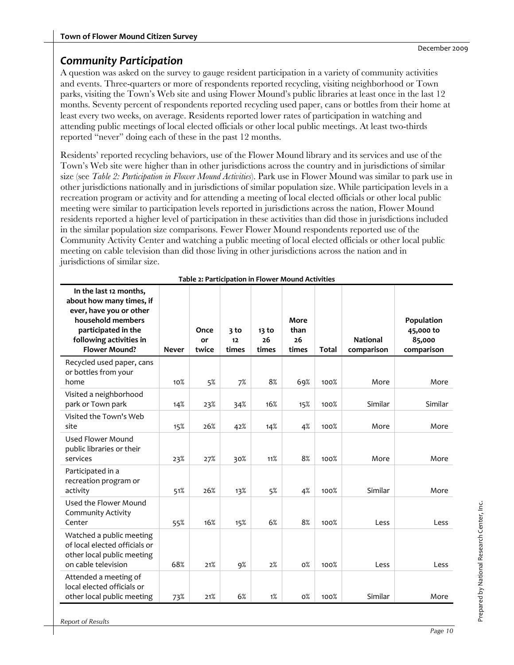## *Community Participation*

A question was asked on the survey to gauge resident participation in a variety of community activities and events. Three-quarters or more of respondents reported recycling, visiting neighborhood or Town parks, visiting the Town's Web site and using Flower Mound's public libraries at least once in the last 12 months. Seventy percent of respondents reported recycling used paper, cans or bottles from their home at least every two weeks, on average. Residents reported lower rates of participation in watching and attending public meetings of local elected officials or other local public meetings. At least two-thirds reported "never" doing each of these in the past 12 months.

Residents' reported recycling behaviors, use of the Flower Mound library and its services and use of the Town's Web site were higher than in other jurisdictions across the country and in jurisdictions of similar size (see *Table 2: Participation in Flower Mound Activities*). Park use in Flower Mound was similar to park use in other jurisdictions nationally and in jurisdictions of similar population size. While participation levels in a recreation program or activity and for attending a meeting of local elected officials or other local public meeting were similar to participation levels reported in jurisdictions across the nation, Flower Mound residents reported a higher level of participation in these activities than did those in jurisdictions included in the similar population size comparisons. Fewer Flower Mound respondents reported use of the Community Activity Center and watching a public meeting of local elected officials or other local public meeting on cable television than did those living in other jurisdictions across the nation and in jurisdictions of similar size.

| In the last 12 months,<br>about how many times, if<br>ever, have you or other<br>household members<br>participated in the<br>following activities in<br><b>Flower Mound?</b> | <b>Never</b> | Once<br>or<br>twice | 3 to<br>12<br>times | 13 to<br>26<br>times | More<br>than<br>26<br>times | <b>Total</b> | <b>National</b><br>comparison | Population<br>45,000 to<br>85,000<br>comparison |
|------------------------------------------------------------------------------------------------------------------------------------------------------------------------------|--------------|---------------------|---------------------|----------------------|-----------------------------|--------------|-------------------------------|-------------------------------------------------|
| Recycled used paper, cans<br>or bottles from your<br>home                                                                                                                    | 10%          | 5%                  | 7%                  | 8%                   | 69%                         | 100%         | More                          | More                                            |
| Visited a neighborhood<br>park or Town park                                                                                                                                  | 14%          | 23%                 | 34%                 | 16%                  | 15%                         | 100%         | Similar                       | Similar                                         |
| Visited the Town's Web<br>site                                                                                                                                               | 15%          | 26%                 | 42%                 | 14%                  | 4%                          | 100%         | More                          | More                                            |
| Used Flower Mound<br>public libraries or their<br>services                                                                                                                   | 23%          | 27%                 | 30%                 | 11%                  | 8%                          | 100%         | More                          | More                                            |
| Participated in a<br>recreation program or<br>activity                                                                                                                       | 51%          | 26%                 | 13%                 | 5%                   | 4%                          | 100%         | Similar                       | More                                            |
| Used the Flower Mound<br><b>Community Activity</b><br>Center                                                                                                                 | 55%          | 16%                 | 15%                 | 6%                   | 8%                          | 100%         | Less                          | Less                                            |
| Watched a public meeting<br>of local elected officials or<br>other local public meeting<br>on cable television                                                               | 68%          | 21%                 | $9\%$               | 2%                   | $0\%$                       | 100%         | Less                          | Less                                            |
| Attended a meeting of<br>local elected officials or<br>other local public meeting                                                                                            | 73%          | 21%                 | 6%                  | 1%                   | $0\%$                       | 100%         | Similar                       | More                                            |

| Table 2: Participation in Flower Mound Activities |  |
|---------------------------------------------------|--|
|---------------------------------------------------|--|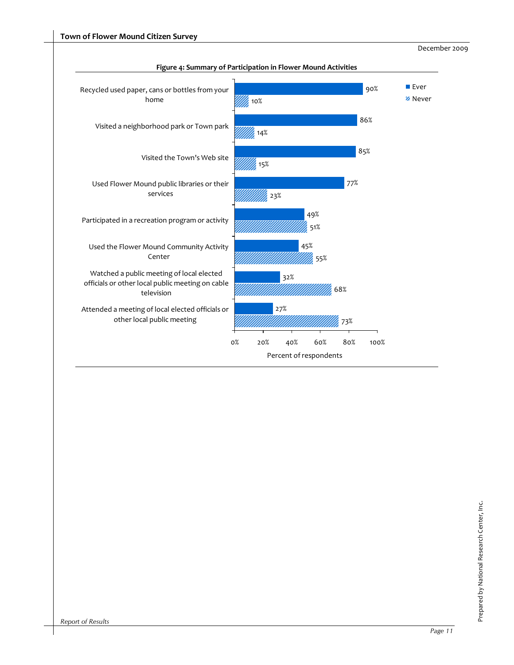

#### **Figure 4: Summary of Participation in Flower Mound Activities**

December 2009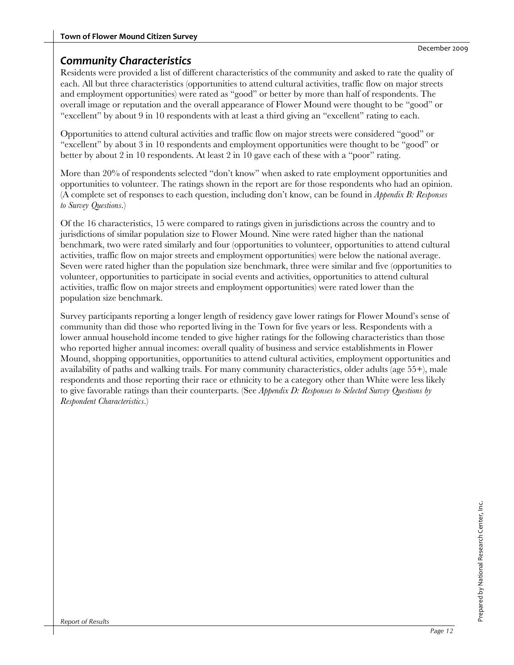## *Community Characteristics*

Residents were provided a list of different characteristics of the community and asked to rate the quality of each. All but three characteristics (opportunities to attend cultural activities, traffic flow on major streets and employment opportunities) were rated as "good" or better by more than half of respondents. The overall image or reputation and the overall appearance of Flower Mound were thought to be "good" or "excellent" by about 9 in 10 respondents with at least a third giving an "excellent" rating to each.

Opportunities to attend cultural activities and traffic flow on major streets were considered "good" or "excellent" by about 3 in 10 respondents and employment opportunities were thought to be "good" or better by about 2 in 10 respondents. At least 2 in 10 gave each of these with a "poor" rating.

More than 20% of respondents selected "don't know" when asked to rate employment opportunities and opportunities to volunteer. The ratings shown in the report are for those respondents who had an opinion. (A complete set of responses to each question, including don't know, can be found in *Appendix B: Responses to Survey Questions*.)

Of the 16 characteristics, 15 were compared to ratings given in jurisdictions across the country and to jurisdictions of similar population size to Flower Mound. Nine were rated higher than the national benchmark, two were rated similarly and four (opportunities to volunteer, opportunities to attend cultural activities, traffic flow on major streets and employment opportunities) were below the national average. Seven were rated higher than the population size benchmark, three were similar and five (opportunities to volunteer, opportunities to participate in social events and activities, opportunities to attend cultural activities, traffic flow on major streets and employment opportunities) were rated lower than the population size benchmark.

Survey participants reporting a longer length of residency gave lower ratings for Flower Mound's sense of community than did those who reported living in the Town for five years or less. Respondents with a lower annual household income tended to give higher ratings for the following characteristics than those who reported higher annual incomes: overall quality of business and service establishments in Flower Mound, shopping opportunities, opportunities to attend cultural activities, employment opportunities and availability of paths and walking trails. For many community characteristics, older adults (age 55+), male respondents and those reporting their race or ethnicity to be a category other than White were less likely to give favorable ratings than their counterparts. (See *Appendix D: Responses to Selected Survey Questions by Respondent Characteristics*.)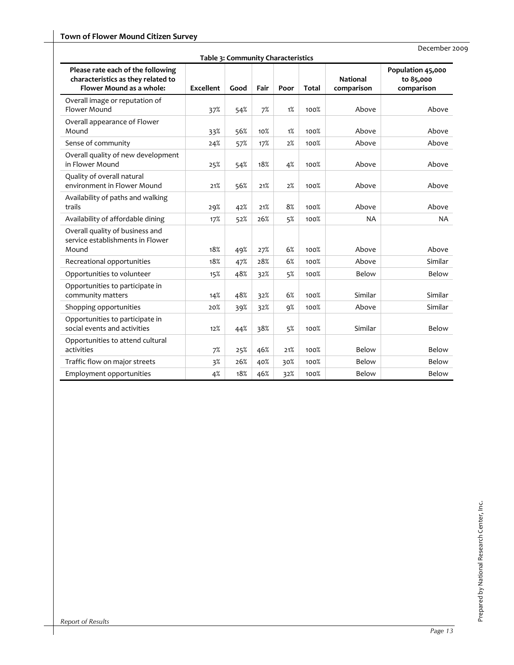| Table 3: Community Characteristics                                                                  |                  |      |      |      |              |                               |                                              |  |  |  |  |
|-----------------------------------------------------------------------------------------------------|------------------|------|------|------|--------------|-------------------------------|----------------------------------------------|--|--|--|--|
| Please rate each of the following<br>characteristics as they related to<br>Flower Mound as a whole: | <b>Excellent</b> | Good | Fair | Poor | <b>Total</b> | <b>National</b><br>comparison | Population 45,000<br>to 85,000<br>comparison |  |  |  |  |
| Overall image or reputation of<br>Flower Mound                                                      | 37%              | 54%  | 7%   | 1%   | 100%         | Above                         | Above                                        |  |  |  |  |
| Overall appearance of Flower<br>Mound                                                               | 33%              | 56%  | 10%  | 1%   | 100%         | Above                         | Above                                        |  |  |  |  |
| Sense of community                                                                                  | 24%              | 57%  | 17%  | 2%   | 100%         | Above                         | Above                                        |  |  |  |  |
| Overall quality of new development<br>in Flower Mound                                               | 25%              | 54%  | 18%  | 4%   | 100%         | Above                         | Above                                        |  |  |  |  |
| Quality of overall natural<br>environment in Flower Mound                                           | 21%              | 56%  | 21%  | 2%   | 100%         | Above                         | Above                                        |  |  |  |  |
| Availability of paths and walking<br>trails                                                         | 29%              | 42%  | 21%  | 8%   | 100%         | Above                         | Above                                        |  |  |  |  |
| Availability of affordable dining                                                                   | 17%              | 52%  | 26%  | 5%   | 100%         | <b>NA</b>                     | <b>NA</b>                                    |  |  |  |  |
| Overall quality of business and<br>service establishments in Flower<br>Mound                        | 18%              | 49%  | 27%  | 6%   | 100%         | Above                         | Above                                        |  |  |  |  |
| Recreational opportunities                                                                          | 18%              | 47%  | 28%  | 6%   | 100%         | Above                         | Similar                                      |  |  |  |  |
| Opportunities to volunteer                                                                          | 15%              | 48%  | 32%  | 5%   | 100%         | Below                         | Below                                        |  |  |  |  |
| Opportunities to participate in<br>community matters                                                | 14%              | 48%  | 32%  | 6%   | 100%         | Similar                       | Similar                                      |  |  |  |  |
| Shopping opportunities                                                                              | 20%              | 39%  | 32%  | 9%   | 100%         | Above                         | Similar                                      |  |  |  |  |
| Opportunities to participate in<br>social events and activities                                     | 12%              | 44%  | 38%  | 5%   | 100%         | Similar                       | Below                                        |  |  |  |  |
| Opportunities to attend cultural<br>activities                                                      | 7%               | 25%  | 46%  | 21%  | 100%         | Below                         | Below                                        |  |  |  |  |
| Traffic flow on major streets                                                                       | 3%               | 26%  | 40%  | 30%  | 100%         | Below                         | Below                                        |  |  |  |  |
| Employment opportunities                                                                            | 4%               | 18%  | 46%  | 32%  | 100%         | Below                         | Below                                        |  |  |  |  |

December 2009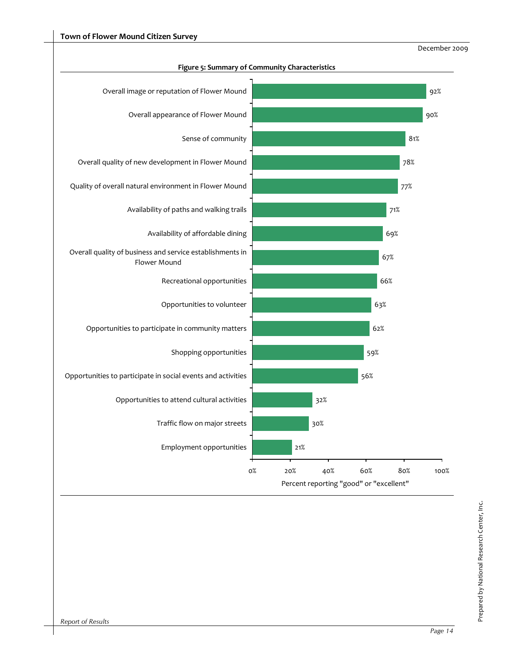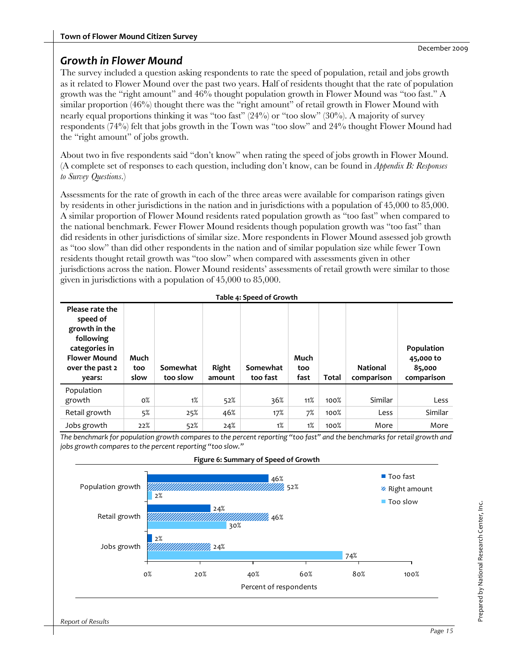## *Growth in Flower Mound*

The survey included a question asking respondents to rate the speed of population, retail and jobs growth as it related to Flower Mound over the past two years. Half of residents thought that the rate of population growth was the "right amount" and 46% thought population growth in Flower Mound was "too fast." A similar proportion (46%) thought there was the "right amount" of retail growth in Flower Mound with nearly equal proportions thinking it was "too fast" (24%) or "too slow" (30%). A majority of survey respondents (74%) felt that jobs growth in the Town was "too slow" and 24% thought Flower Mound had the "right amount" of jobs growth.

About two in five respondents said "don't know" when rating the speed of jobs growth in Flower Mound. (A complete set of responses to each question, including don't know, can be found in *Appendix B: Responses to Survey Questions*.)

Assessments for the rate of growth in each of the three areas were available for comparison ratings given by residents in other jurisdictions in the nation and in jurisdictions with a population of 45,000 to 85,000. A similar proportion of Flower Mound residents rated population growth as "too fast" when compared to the national benchmark. Fewer Flower Mound residents though population growth was "too fast" than did residents in other jurisdictions of similar size. More respondents in Flower Mound assessed job growth as "too slow" than did other respondents in the nation and of similar population size while fewer Town residents thought retail growth was "too slow" when compared with assessments given in other jurisdictions across the nation. Flower Mound residents' assessments of retail growth were similar to those given in jurisdictions with a population of 45,000 to 85,000.

|                                                                                                                                | Table 4: Speed of Growth |                      |                 |                      |                     |              |                               |                                                 |  |  |  |  |
|--------------------------------------------------------------------------------------------------------------------------------|--------------------------|----------------------|-----------------|----------------------|---------------------|--------------|-------------------------------|-------------------------------------------------|--|--|--|--|
| Please rate the<br>speed of<br>growth in the<br>following<br>categories in<br><b>Flower Mound</b><br>over the past 2<br>years: | Much<br>too<br>slow      | Somewhat<br>too slow | Right<br>amount | Somewhat<br>too fast | Much<br>too<br>fast | <b>Total</b> | <b>National</b><br>comparison | Population<br>45,000 to<br>85,000<br>comparison |  |  |  |  |
|                                                                                                                                |                          |                      |                 |                      |                     |              |                               |                                                 |  |  |  |  |
| Population                                                                                                                     |                          |                      |                 |                      |                     |              |                               |                                                 |  |  |  |  |
| growth                                                                                                                         | $0\%$                    | 1%                   | 52%             | 36%                  | 11%                 | 100%         | Similar                       | Less                                            |  |  |  |  |
| Retail growth                                                                                                                  | 5%                       | 25%                  | 46%             | 17%                  | 7%                  | 100%         | Less                          | Similar                                         |  |  |  |  |

The benchmark for population growth compares to the percent reporting "too fast" and the benchmarks for retail growth and *jobs growth compares to the percent reporting "too slow."*



Prepared by National Research Center, Inc.

Prepared by National Research Center, Inc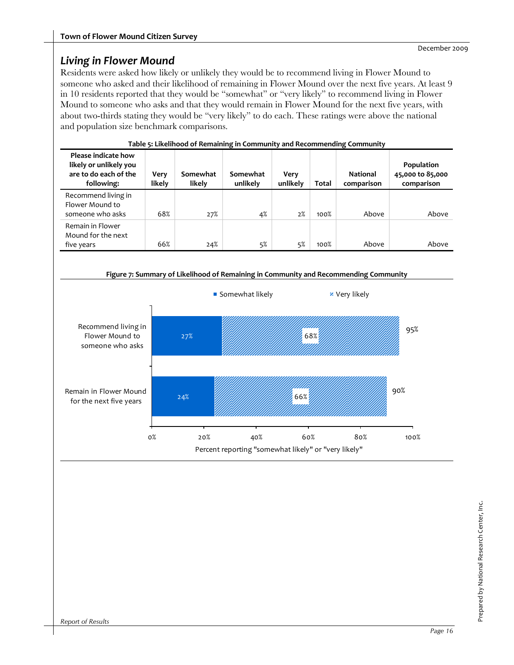## *Living in Flower Mound*

Residents were asked how likely or unlikely they would be to recommend living in Flower Mound to someone who asked and their likelihood of remaining in Flower Mound over the next five years. At least 9 in 10 residents reported that they would be "somewhat" or "very likely" to recommend living in Flower Mound to someone who asks and that they would remain in Flower Mound for the next five years, with about two-thirds stating they would be "very likely" to do each. These ratings were above the national and population size benchmark comparisons.

|                                                                                      | Table 5: Likelihood of Remaining in Community and Recommending Community |                    |                      |                  |       |                               |                                              |  |  |  |  |
|--------------------------------------------------------------------------------------|--------------------------------------------------------------------------|--------------------|----------------------|------------------|-------|-------------------------------|----------------------------------------------|--|--|--|--|
| Please indicate how<br>likely or unlikely you<br>are to do each of the<br>following: | Very<br>likely                                                           | Somewhat<br>likely | Somewhat<br>unlikely | Very<br>unlikely | Total | <b>National</b><br>comparison | Population<br>45,000 to 85,000<br>comparison |  |  |  |  |
| Recommend living in<br>Flower Mound to<br>someone who asks                           | 68%                                                                      | 27%                | 4%                   | 2%               | 100%  | Above                         | Above                                        |  |  |  |  |
| Remain in Flower<br>Mound for the next<br>five years                                 | 66%                                                                      | 24%                | 5%                   | 5%               | 100%  | Above                         | Above                                        |  |  |  |  |

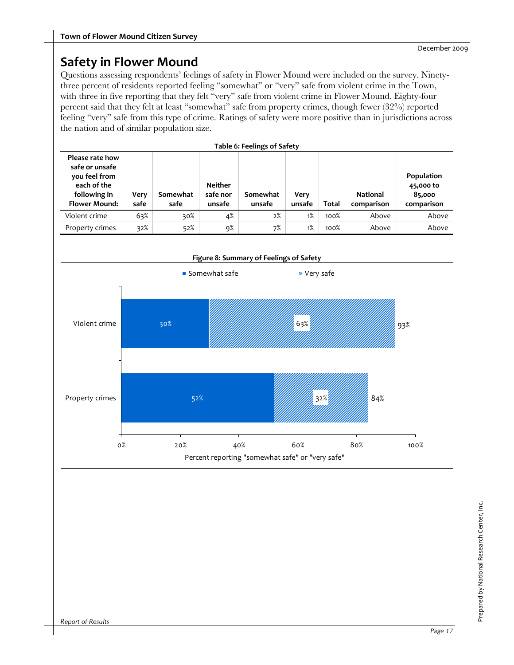## **Safety in Flower Mound**

Questions assessing respondents' feelings of safety in Flower Mound were included on the survey. Ninetythree percent of residents reported feeling "somewhat" or "very" safe from violent crime in the Town, with three in five reporting that they felt "very" safe from violent crime in Flower Mound. Eighty-four percent said that they felt at least "somewhat" safe from property crimes, though fewer (32%) reported feeling "very" safe from this type of crime. Ratings of safety were more positive than in jurisdictions across the nation and of similar population size.

| <b>Table 6: Feelings of Safety</b>                                                                        |              |                  |                                      |                    |                |       |                               |                                                 |  |  |  |
|-----------------------------------------------------------------------------------------------------------|--------------|------------------|--------------------------------------|--------------------|----------------|-------|-------------------------------|-------------------------------------------------|--|--|--|
| Please rate how<br>safe or unsafe<br>you feel from<br>each of the<br>following in<br><b>Flower Mound:</b> | Very<br>safe | Somewhat<br>safe | <b>Neither</b><br>safe nor<br>unsafe | Somewhat<br>unsafe | Verv<br>unsafe | Total | <b>National</b><br>comparison | Population<br>45,000 to<br>85,000<br>comparison |  |  |  |
| Violent crime                                                                                             | 63%          | 30%              | 4%                                   | 2%                 | 1%             | 100%  | Above                         | Above                                           |  |  |  |
| Property crimes                                                                                           | 32%          | 52%              | 9%                                   | 7%                 | 1%             | 100%  | Above                         | Above                                           |  |  |  |

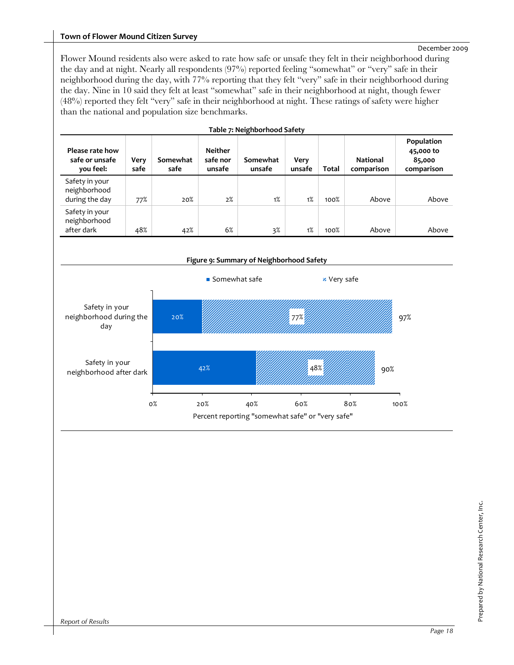#### **Town of Flower Mound Citizen Survey**

#### December 2009

Flower Mound residents also were asked to rate how safe or unsafe they felt in their neighborhood during the day and at night. Nearly all respondents (97%) reported feeling "somewhat" or "very" safe in their neighborhood during the day, with 77% reporting that they felt "very" safe in their neighborhood during the day. Nine in 10 said they felt at least "somewhat" safe in their neighborhood at night, though fewer (48%) reported they felt "very" safe in their neighborhood at night. These ratings of safety were higher than the national and population size benchmarks.

| Table 7: Neighbornood Safety                     |              |                  |                                      |                    |                |              |                               |                                                 |  |  |  |
|--------------------------------------------------|--------------|------------------|--------------------------------------|--------------------|----------------|--------------|-------------------------------|-------------------------------------------------|--|--|--|
| Please rate how<br>safe or unsafe<br>you feel:   | Very<br>safe | Somewhat<br>safe | <b>Neither</b><br>safe nor<br>unsafe | Somewhat<br>unsafe | Very<br>unsafe | <b>Total</b> | <b>National</b><br>comparison | Population<br>45,000 to<br>85,000<br>comparison |  |  |  |
| Safety in your<br>neighborhood<br>during the day | 77%          | 20%              | 2%                                   | 1%                 | 1%             | 100%         | Above                         | Above                                           |  |  |  |
| Safety in your<br>neighborhood<br>after dark     | 48%          | 42%              | 6%                                   | 3%                 | 1%             | 100%         | Above                         | Above                                           |  |  |  |



#### **Table 7: Neighborhood Safety**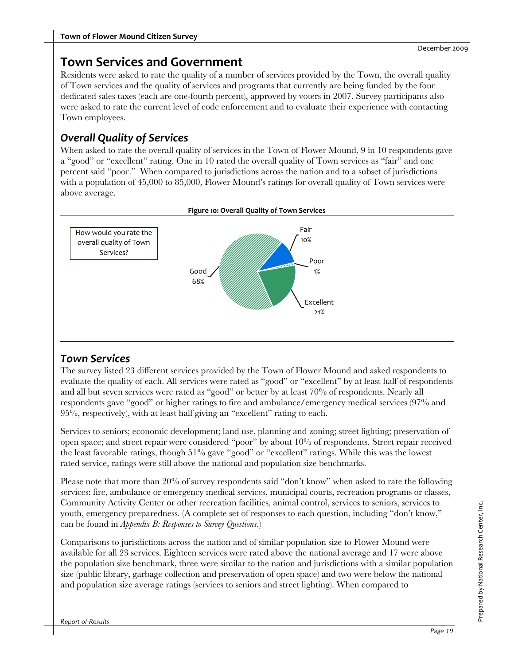## **Town Services and Government**

Residents were asked to rate the quality of a number of services provided by the Town, the overall quality of Town services and the quality of services and programs that currently are being funded by the four dedicated sales taxes (each are one-fourth percent), approved by voters in 2007. Survey participants also were asked to rate the current level of code enforcement and to evaluate their experience with contacting Town employees.

## *Overall Quality of Services*

When asked to rate the overall quality of services in the Town of Flower Mound, 9 in 10 respondents gave a "good" or "excellent" rating. One in 10 rated the overall quality of Town services as "fair" and one percent said "poor." When compared to jurisdictions across the nation and to a subset of jurisdictions with a population of 45,000 to 85,000, Flower Mound's ratings for overall quality of Town services were above average.



#### **Figure 10: Overall Quality of Town Services**

## *Town Services*

The survey listed 23 different services provided by the Town of Flower Mound and asked respondents to evaluate the quality of each. All services were rated as "good" or "excellent" by at least half of respondents and all but seven services were rated as "good" or better by at least 70% of respondents. Nearly all respondents gave "good" or higher ratings to fire and ambulance/emergency medical services (97% and 95%, respectively), with at least half giving an "excellent" rating to each.

Services to seniors; economic development; land use, planning and zoning; street lighting; preservation of open space; and street repair were considered "poor" by about 10% of respondents. Street repair received the least favorable ratings, though 51% gave "good" or "excellent" ratings. While this was the lowest rated service, ratings were still above the national and population size benchmarks.

Please note that more than 20% of survey respondents said "don't know" when asked to rate the following services: fire, ambulance or emergency medical services, municipal courts, recreation programs or classes, Community Activity Center or other recreation facilities, animal control, services to seniors, services to youth, emergency preparedness. (A complete set of responses to each question, including "don't know," can be found in *Appendix B: Responses to Survey Questions*.)

Comparisons to jurisdictions across the nation and of similar population size to Flower Mound were available for all 23 services. Eighteen services were rated above the national average and 17 were above the population size benchmark, three were similar to the nation and jurisdictions with a similar population size (public library, garbage collection and preservation of open space) and two were below the national and population size average ratings (services to seniors and street lighting). When compared to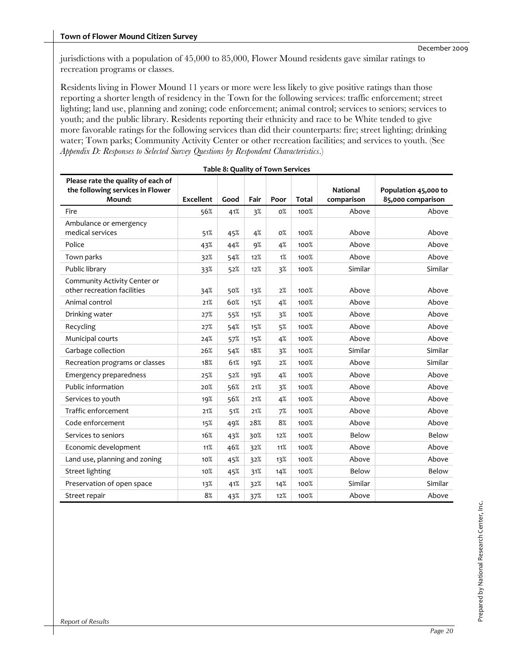jurisdictions with a population of 45,000 to 85,000, Flower Mound residents gave similar ratings to recreation programs or classes.

Residents living in Flower Mound 11 years or more were less likely to give positive ratings than those reporting a shorter length of residency in the Town for the following services: traffic enforcement; street lighting; land use, planning and zoning; code enforcement; animal control; services to seniors; services to youth; and the public library. Residents reporting their ethnicity and race to be White tended to give more favorable ratings for the following services than did their counterparts: fire; street lighting; drinking water; Town parks; Community Activity Center or other recreation facilities; and services to youth. (See *Appendix D: Responses to Selected Survey Questions by Respondent Characteristics*.)

| Table 8: Quality of Town Services                                                |                  |      |      |       |              |                               |                                           |  |  |  |  |
|----------------------------------------------------------------------------------|------------------|------|------|-------|--------------|-------------------------------|-------------------------------------------|--|--|--|--|
| Please rate the quality of each of<br>the following services in Flower<br>Mound: | <b>Excellent</b> | Good | Fair | Poor  | <b>Total</b> | <b>National</b><br>comparison | Population 45,000 to<br>85,000 comparison |  |  |  |  |
| Fire                                                                             | 56%              | 41%  | 3%   | 0%    | 100%         | Above                         | Above                                     |  |  |  |  |
| Ambulance or emergency<br>medical services                                       | 51%              | 45%  | 4%   | 0%    | 100%         | Above                         | Above                                     |  |  |  |  |
| Police                                                                           | 43%              | 44%  | 9%   | 4%    | 100%         | Above                         | Above                                     |  |  |  |  |
| Town parks                                                                       | 32%              | 54%  | 12%  | 1%    | 100%         | Above                         | Above                                     |  |  |  |  |
| Public library                                                                   | 33%              | 52%  | 12%  | 3%    | 100%         | Similar                       | Similar                                   |  |  |  |  |
| Community Activity Center or<br>other recreation facilities                      | 34%              | 50%  | 13%  | 2%    | 100%         | Above                         | Above                                     |  |  |  |  |
| Animal control                                                                   | 21%              | 60%  | 15%  | 4%    | 100%         | Above                         | Above                                     |  |  |  |  |
| Drinking water                                                                   | 27%              | 55%  | 15%  | $3\%$ | 100%         | Above                         | Above                                     |  |  |  |  |
| Recycling                                                                        | 27%              | 54%  | 15%  | 5%    | 100%         | Above                         | Above                                     |  |  |  |  |
| Municipal courts                                                                 | 24%              | 57%  | 15%  | 4%    | 100%         | Above                         | Above                                     |  |  |  |  |
| Garbage collection                                                               | 26%              | 54%  | 18%  | $3\%$ | 100%         | Similar                       | Similar                                   |  |  |  |  |
| Recreation programs or classes                                                   | 18%              | 61%  | 19%  | 2%    | 100%         | Above                         | Similar                                   |  |  |  |  |
| Emergency preparedness                                                           | 25%              | 52%  | 19%  | 4%    | 100%         | Above                         | Above                                     |  |  |  |  |
| Public information                                                               | 20%              | 56%  | 21%  | 3%    | 100%         | Above                         | Above                                     |  |  |  |  |
| Services to youth                                                                | 19%              | 56%  | 21%  | 4%    | 100%         | Above                         | Above                                     |  |  |  |  |
| Traffic enforcement                                                              | 21%              | 51%  | 21%  | 7%    | 100%         | Above                         | Above                                     |  |  |  |  |
| Code enforcement                                                                 | 15%              | 49%  | 28%  | 8%    | 100%         | Above                         | Above                                     |  |  |  |  |
| Services to seniors                                                              | 16%              | 43%  | 30%  | 12%   | 100%         | Below                         | Below                                     |  |  |  |  |
| Economic development                                                             | 11%              | 46%  | 32%  | 11%   | 100%         | Above                         | Above                                     |  |  |  |  |
| Land use, planning and zoning                                                    | 10 <sub>0</sub>  | 45%  | 32%  | 13%   | 100%         | Above                         | Above                                     |  |  |  |  |
| <b>Street lighting</b>                                                           | 10%              | 45%  | 31%  | 14%   | 100%         | Below                         | Below                                     |  |  |  |  |
| Preservation of open space                                                       | 13%              | 41%  | 32%  | 14%   | 100%         | Similar                       | Similar                                   |  |  |  |  |
| Street repair                                                                    | 8%               | 43%  | 37%  | 12%   | 100%         | Above                         | Above                                     |  |  |  |  |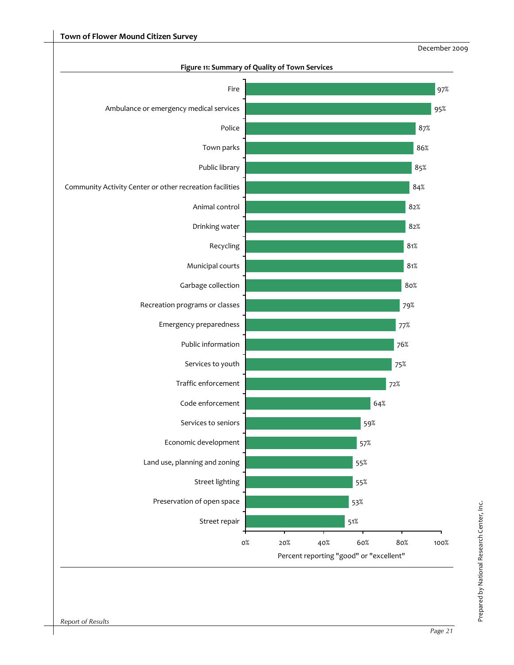

**Figure 11: Summary of Quality of Town Services**

Prepared by National Research Center, Inc.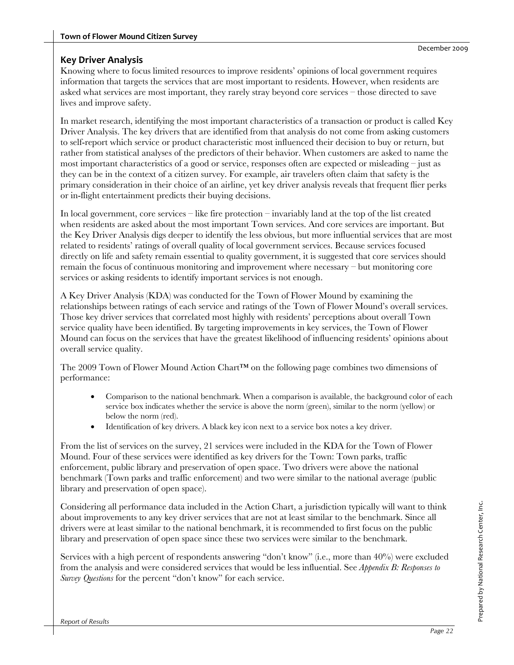#### **Key Driver Analysis**

Knowing where to focus limited resources to improve residents' opinions of local government requires information that targets the services that are most important to residents. However, when residents are asked what services are most important, they rarely stray beyond core services – those directed to save lives and improve safety.

In market research, identifying the most important characteristics of a transaction or product is called Key Driver Analysis. The key drivers that are identified from that analysis do not come from asking customers to self-report which service or product characteristic most influenced their decision to buy or return, but rather from statistical analyses of the predictors of their behavior. When customers are asked to name the most important characteristics of a good or service, responses often are expected or misleading – just as they can be in the context of a citizen survey. For example, air travelers often claim that safety is the primary consideration in their choice of an airline, yet key driver analysis reveals that frequent flier perks or in-flight entertainment predicts their buying decisions.

In local government, core services – like fire protection – invariably land at the top of the list created when residents are asked about the most important Town services. And core services are important. But the Key Driver Analysis digs deeper to identify the less obvious, but more influential services that are most related to residents' ratings of overall quality of local government services. Because services focused directly on life and safety remain essential to quality government, it is suggested that core services should remain the focus of continuous monitoring and improvement where necessary – but monitoring core services or asking residents to identify important services is not enough.

A Key Driver Analysis (KDA) was conducted for the Town of Flower Mound by examining the relationships between ratings of each service and ratings of the Town of Flower Mound's overall services. Those key driver services that correlated most highly with residents' perceptions about overall Town service quality have been identified. By targeting improvements in key services, the Town of Flower Mound can focus on the services that have the greatest likelihood of influencing residents' opinions about overall service quality.

The 2009 Town of Flower Mound Action Chart™ on the following page combines two dimensions of performance:

- Comparison to the national benchmark. When a comparison is available, the background color of each service box indicates whether the service is above the norm (green), similar to the norm (yellow) or below the norm (red).
- Identification of key drivers. A black key icon next to a service box notes a key driver.

From the list of services on the survey, 21 services were included in the KDA for the Town of Flower Mound. Four of these services were identified as key drivers for the Town: Town parks, traffic enforcement, public library and preservation of open space. Two drivers were above the national benchmark (Town parks and traffic enforcement) and two were similar to the national average (public library and preservation of open space).

Considering all performance data included in the Action Chart, a jurisdiction typically will want to think about improvements to any key driver services that are not at least similar to the benchmark. Since all drivers were at least similar to the national benchmark, it is recommended to first focus on the public library and preservation of open space since these two services were similar to the benchmark.

Services with a high percent of respondents answering "don't know" (i.e., more than 40%) were excluded from the analysis and were considered services that would be less influential. See *Appendix B: Responses to Survey Questions* for the percent "don't know" for each service.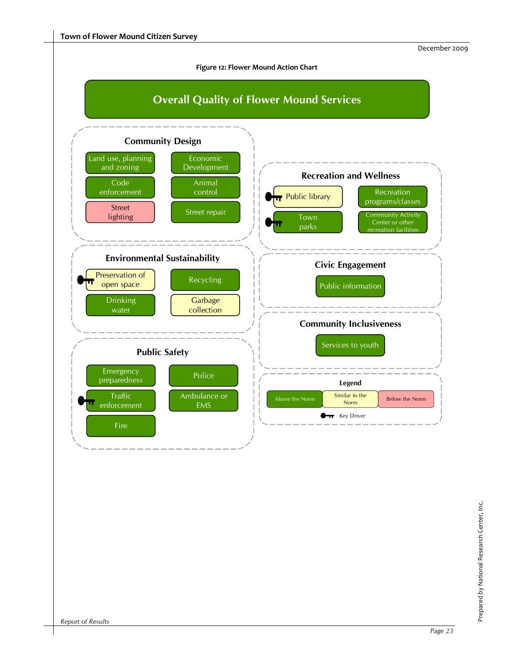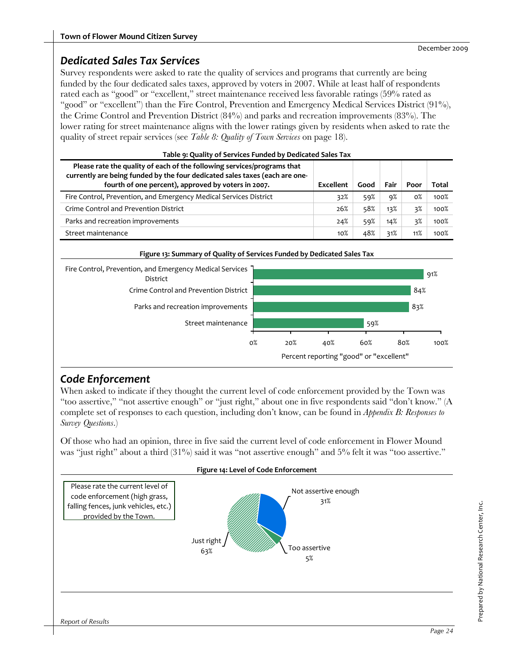#### *Dedicated Sales Tax Services*

Survey respondents were asked to rate the quality of services and programs that currently are being funded by the four dedicated sales taxes, approved by voters in 2007. While at least half of respondents rated each as "good" or "excellent," street maintenance received less favorable ratings (59% rated as "good" or "excellent") than the Fire Control, Prevention and Emergency Medical Services District (91%), the Crime Control and Prevention District (84%) and parks and recreation improvements (83%). The lower rating for street maintenance aligns with the lower ratings given by residents when asked to rate the quality of street repair services (see *Table 8: Quality of Town Services* on page 18).

| Please rate the quality of each of the following services/programs that<br>currently are being funded by the four dedicated sales taxes (each are one-<br>fourth of one percent), approved by voters in 2007. | Excellent | Good | Fair | Poor  | Total |
|---------------------------------------------------------------------------------------------------------------------------------------------------------------------------------------------------------------|-----------|------|------|-------|-------|
| Fire Control, Prevention, and Emergency Medical Services District                                                                                                                                             | 32%       | 59%  | 9%   | $0\%$ | 100%  |
| Crime Control and Prevention District                                                                                                                                                                         | 26%       | 58%  | 13%  | 3%    | 100%  |
| Parks and recreation improvements                                                                                                                                                                             | 24%       | 59%  | 14%  | 3%    | 100%  |
| Street maintenance                                                                                                                                                                                            | $10\%$    | 48%  | 31%  | 11%   | 100%  |



## *Code Enforcement*

When asked to indicate if they thought the current level of code enforcement provided by the Town was "too assertive," "not assertive enough" or "just right," about one in five respondents said "don't know." (A complete set of responses to each question, including don't know, can be found in *Appendix B: Responses to Survey Questions*.)

Of those who had an opinion, three in five said the current level of code enforcement in Flower Mound was "just right" about a third (31%) said it was "not assertive enough" and 5% felt it was "too assertive."

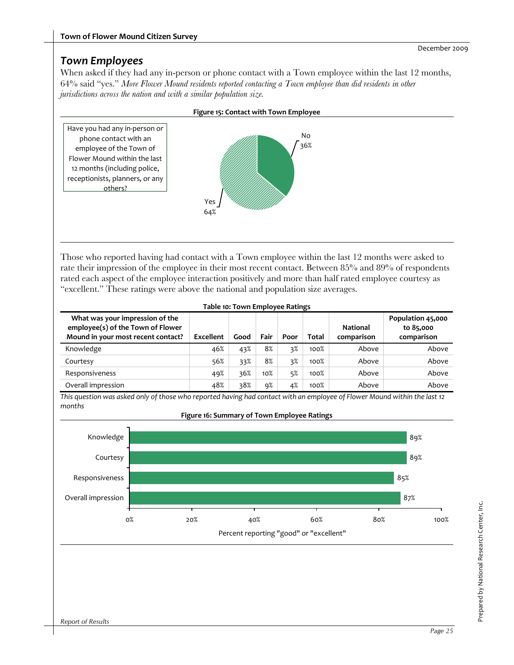### *Town Employees*

When asked if they had any in-person or phone contact with a Town employee within the last 12 months, 64% said "yes." *More Flower Mound residents reported contacting a Town employee than did residents in other jurisdictions across the nation and with a similar population size.*



Those who reported having had contact with a Town employee within the last 12 months were asked to rate their impression of the employee in their most recent contact. Between 85% and 89% of respondents rated each aspect of the employee interaction positively and more than half rated employee courtesy as "excellent." These ratings were above the national and population size averages.

| Table 10: Town Employee Ratings                                                                            |           |      |        |      |       |                               |                                              |  |  |
|------------------------------------------------------------------------------------------------------------|-----------|------|--------|------|-------|-------------------------------|----------------------------------------------|--|--|
| What was your impression of the<br>employee(s) of the Town of Flower<br>Mound in your most recent contact? | Excellent | Good | Fair   | Poor | Total | <b>National</b><br>comparison | Population 45,000<br>to 85,000<br>comparison |  |  |
| Knowledge                                                                                                  | 46%       | 43%  | 8%     | 3%   | 100%  | Above                         | Above                                        |  |  |
| Courtesy                                                                                                   | 56%       | 33%  | 8%     | 3%   | 100%  | Above                         | Above                                        |  |  |
| Responsiveness                                                                                             | 49%       | 36%  | $10\%$ | 5%   | 100%  | Above                         | Above                                        |  |  |
| Overall impression                                                                                         | 48%       | 38%  | 9%     | 4%   | 100%  | Above                         | Above                                        |  |  |

This question was asked only of those who reported having had contact with an employee of Flower Mound within the last 12 *months*



**Figure 16: Summary of Town Employee Ratings**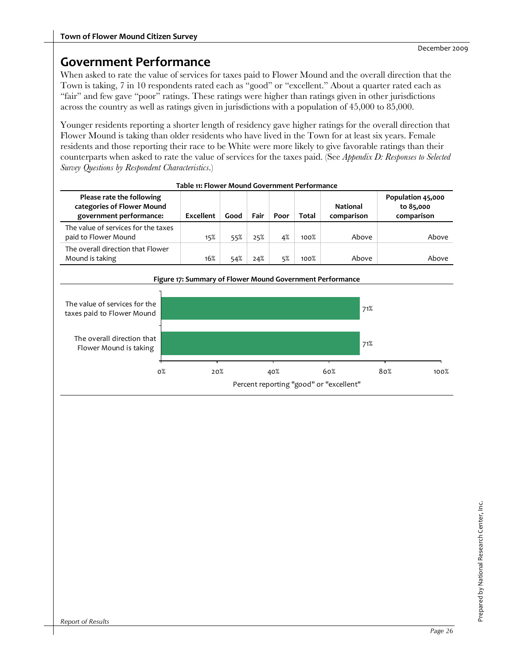## **Government Performance**

When asked to rate the value of services for taxes paid to Flower Mound and the overall direction that the Town is taking, 7 in 10 respondents rated each as "good" or "excellent." About a quarter rated each as "fair" and few gave "poor" ratings. These ratings were higher than ratings given in other jurisdictions across the country as well as ratings given in jurisdictions with a population of 45,000 to 85,000.

Younger residents reporting a shorter length of residency gave higher ratings for the overall direction that Flower Mound is taking than older residents who have lived in the Town for at least six years. Female residents and those reporting their race to be White were more likely to give favorable ratings than their counterparts when asked to rate the value of services for the taxes paid. (See *Appendix D: Responses to Selected Survey Questions by Respondent Characteristics*.)

| Please rate the following<br>categories of Flower Mound<br>government performance: | Excellent | Good | Fair | Poor | <b>Total</b> | <b>National</b><br>comparison | Population 45,000<br>to 85,000<br>comparison |  |
|------------------------------------------------------------------------------------|-----------|------|------|------|--------------|-------------------------------|----------------------------------------------|--|
| The value of services for the taxes<br>paid to Flower Mound                        | 15%       | 55%  | 25%  | 4%   | 100%         | Above                         | Above                                        |  |
| The overall direction that Flower<br>Mound is taking                               | 16%       | 54%  | 24%  | 5%   | 100%         | Above                         | Above                                        |  |





# Prepared by National Research Center, Inc. Prepared by National Research Center, Inc.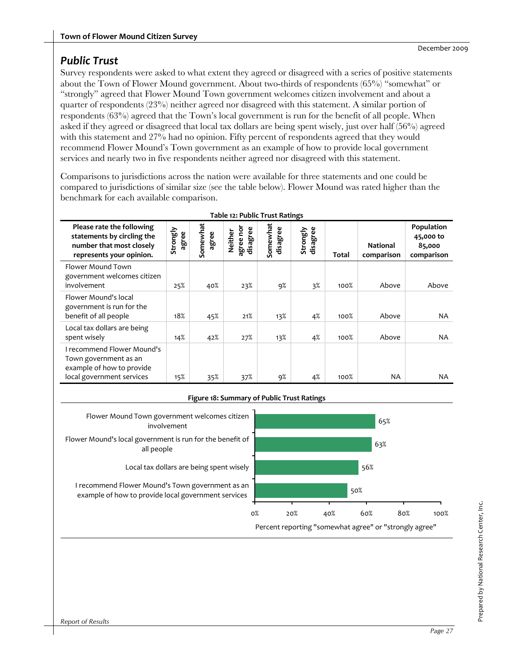## *Public Trust*

Survey respondents were asked to what extent they agreed or disagreed with a series of positive statements about the Town of Flower Mound government. About two-thirds of respondents (65%) "somewhat" or "strongly" agreed that Flower Mound Town government welcomes citizen involvement and about a quarter of respondents (23%) neither agreed nor disagreed with this statement. A similar portion of respondents (63%) agreed that the Town's local government is run for the benefit of all people. When asked if they agreed or disagreed that local tax dollars are being spent wisely, just over half (56%) agreed with this statement and 27% had no opinion. Fifty percent of respondents agreed that they would recommend Flower Mound's Town government as an example of how to provide local government services and nearly two in five respondents neither agreed nor disagreed with this statement.

Comparisons to jurisdictions across the nation were available for three statements and one could be compared to jurisdictions of similar size (see the table below). Flower Mound was rated higher than the benchmark for each available comparison.

| Table 12: Public Trust Ratings                                                                                       |                   |                   |                                  |                      |                      |       |                               |                                                 |
|----------------------------------------------------------------------------------------------------------------------|-------------------|-------------------|----------------------------------|----------------------|----------------------|-------|-------------------------------|-------------------------------------------------|
| Please rate the following<br>statements by circling the<br>number that most closely<br>represents your opinion.      | Strongly<br>agree | Somewhat<br>agree | agree nor<br>disagree<br>Neither | Somewhat<br>disagree | Strongly<br>disagree | Total | <b>National</b><br>comparison | Population<br>45,000 to<br>85,000<br>comparison |
| Flower Mound Town<br>government welcomes citizen<br>involvement                                                      | 25%               | 40%               | 23%                              | 9%                   | 3%                   | 100%  | Above                         | Above                                           |
| Flower Mound's local<br>government is run for the<br>benefit of all people                                           | 18%               | 45%               | 21%                              | 13%                  | 4%                   | 100%  | Above                         | NA                                              |
| Local tax dollars are being<br>spent wisely                                                                          | 14%               | 42%               | 27%                              | 13%                  | 4%                   | 100%  | Above                         | <b>NA</b>                                       |
| <b>I recommend Flower Mound's</b><br>Town government as an<br>example of how to provide<br>local government services | 15%               | 35%               | 37%                              | 9%                   | 4%                   | 100%  | NA.                           | NA.                                             |

#### **Figure 18: Summary of Public Trust Ratings**

Flower Mound Town government welcomes citizen involvement

Flower Mound's local government is run for the benefit of all people

Local tax dollars are being spent wisely

I recommend Flower Mound's Town government as an example of how to provide local government services



# Prepared by National Research Center, Inc. Prepared by National Research Center, Inc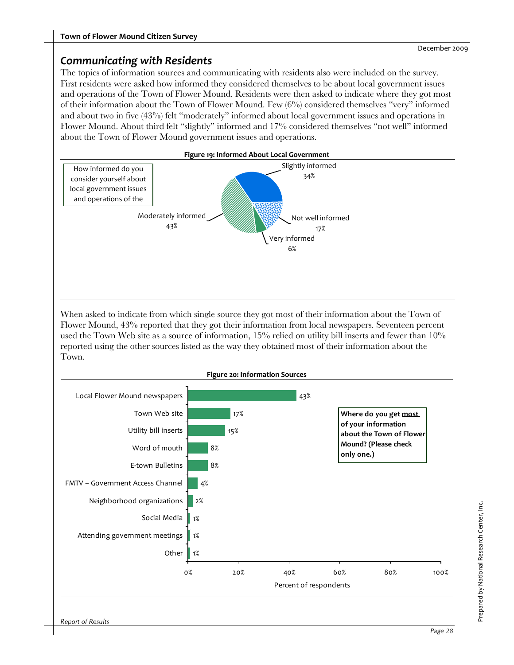#### *Communicating with Residents*

The topics of information sources and communicating with residents also were included on the survey. First residents were asked how informed they considered themselves to be about local government issues and operations of the Town of Flower Mound. Residents were then asked to indicate where they got most of their information about the Town of Flower Mound. Few  $(6\%)$  considered themselves "very" informed and about two in five (43%) felt "moderately" informed about local government issues and operations in Flower Mound. About third felt "slightly" informed and 17% considered themselves "not well" informed about the Town of Flower Mound government issues and operations.



When asked to indicate from which single source they got most of their information about the Town of Flower Mound, 43% reported that they got their information from local newspapers. Seventeen percent used the Town Web site as a source of information, 15% relied on utility bill inserts and fewer than 10% reported using the other sources listed as the way they obtained most of their information about the Town.

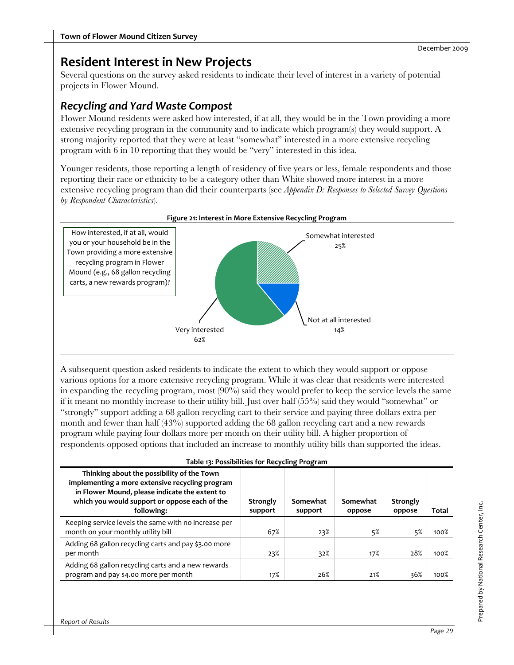## **Resident Interest in New Projects**

Several questions on the survey asked residents to indicate their level of interest in a variety of potential projects in Flower Mound.

## *Recycling and Yard Waste Compost*

Flower Mound residents were asked how interested, if at all, they would be in the Town providing a more extensive recycling program in the community and to indicate which program(s) they would support. A strong majority reported that they were at least "somewhat" interested in a more extensive recycling program with 6 in 10 reporting that they would be "very" interested in this idea.

Younger residents, those reporting a length of residency of five years or less, female respondents and those reporting their race or ethnicity to be a category other than White showed more interest in a more extensive recycling program than did their counterparts (see *Appendix D: Responses to Selected Survey Questions by Respondent Characteristics*).



**Figure 21: Interest in More Extensive Recycling Program**

A subsequent question asked residents to indicate the extent to which they would support or oppose various options for a more extensive recycling program. While it was clear that residents were interested in expanding the recycling program, most (90%) said they would prefer to keep the service levels the same if it meant no monthly increase to their utility bill. Just over half (55%) said they would "somewhat" or "strongly" support adding a 68 gallon recycling cart to their service and paying three dollars extra per month and fewer than half (43%) supported adding the 68 gallon recycling cart and a new rewards program while paying four dollars more per month on their utility bill. A higher proportion of respondents opposed options that included an increase to monthly utility bills than supported the ideas.

| Thinking about the possibility of the Town<br>implementing a more extensive recycling program<br>in Flower Mound, please indicate the extent to<br>which you would support or oppose each of the<br>following: | Strongly<br>support | Somewhat<br>support | Somewhat<br>oppose | Strongly<br>oppose | Total |
|----------------------------------------------------------------------------------------------------------------------------------------------------------------------------------------------------------------|---------------------|---------------------|--------------------|--------------------|-------|
| Keeping service levels the same with no increase per<br>month on your monthly utility bill                                                                                                                     | 67%                 | 23%                 | 5%                 | 5%                 | 100%  |
| Adding 68 gallon recycling carts and pay \$3.00 more<br>per month                                                                                                                                              | 23%                 | 32%                 | 17%                | 28%                | 100%  |
| Adding 68 gallon recycling carts and a new rewards<br>program and pay \$4.00 more per month                                                                                                                    | 17%                 | 26%                 | 21%                | 36%                | 100%  |

**Table 13: Possibilities for Recycling Program**

Prepared by National Research Center, Inc.

Prepared by National Research Center, Inc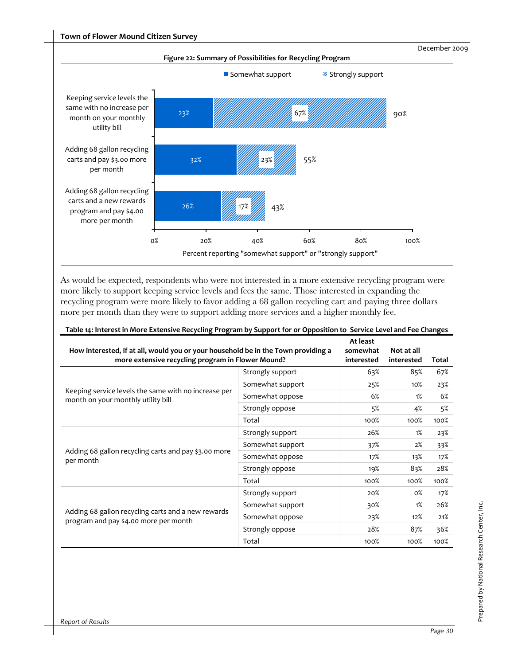

As would be expected, respondents who were not interested in a more extensive recycling program were more likely to support keeping service levels and fees the same. Those interested in expanding the recycling program were more likely to favor adding a 68 gallon recycling cart and paying three dollars more per month than they were to support adding more services and a higher monthly fee.

| How interested, if at all, would you or your household be in the Town providing a<br>more extensive recycling program in Flower Mound? | At least<br>somewhat<br>interested | Not at all<br>interested | Total  |      |
|----------------------------------------------------------------------------------------------------------------------------------------|------------------------------------|--------------------------|--------|------|
| Keeping service levels the same with no increase per<br>month on your monthly utility bill                                             | Strongly support                   | 63%                      | 85%    | 67%  |
|                                                                                                                                        | Somewhat support                   | 25%                      | $10\%$ | 23%  |
|                                                                                                                                        | Somewhat oppose                    | 6%                       | 1%     | 6%   |
|                                                                                                                                        | Strongly oppose                    | 5%                       | 4%     | 5%   |
|                                                                                                                                        | Total                              | 100%                     | 100%   | 100% |
|                                                                                                                                        | Strongly support                   | 26%                      | 1%     | 23%  |
|                                                                                                                                        | Somewhat support                   | 37%                      | 2%     | 33%  |
| Adding 68 gallon recycling carts and pay \$3.00 more<br>per month                                                                      | Somewhat oppose                    | 17%                      | 13%    | 17%  |
|                                                                                                                                        | Strongly oppose                    | 19%                      | 83%    | 28%  |
|                                                                                                                                        | Total                              | 100%                     | 100%   | 100% |
| Adding 68 gallon recycling carts and a new rewards<br>program and pay \$4.00 more per month                                            | Strongly support                   | 20%                      | $0\%$  | 17%  |
|                                                                                                                                        | Somewhat support                   | 30%                      | 1%     | 26%  |
|                                                                                                                                        | Somewhat oppose                    | 23%                      | 12%    | 21%  |
|                                                                                                                                        | Strongly oppose                    | 28%                      | 87%    | 36%  |
|                                                                                                                                        | Total                              | 100%                     | 100%   | 100% |

#### Table 14: Interest in More Extensive Recycling Program by Support for or Opposition to Service Level and Fee Changes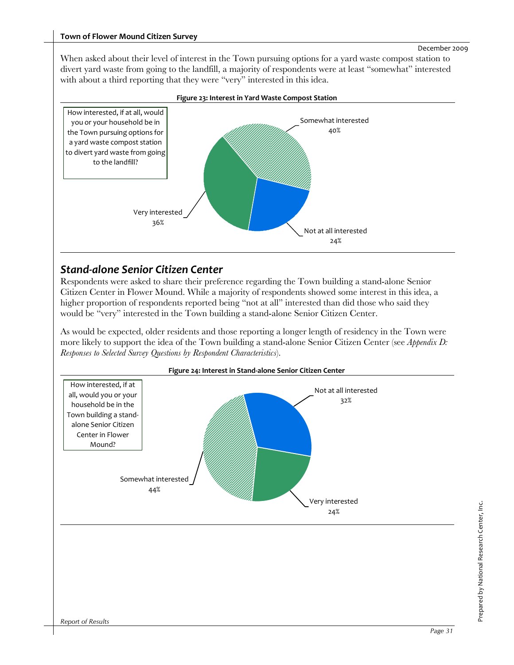When asked about their level of interest in the Town pursuing options for a yard waste compost station to divert yard waste from going to the landfill, a majority of respondents were at least "somewhat" interested with about a third reporting that they were "very" interested in this idea.



#### **Figure 23: Interest in Yard Waste Compost Station**

### *Stand‐alone Senior Citizen Center*

Respondents were asked to share their preference regarding the Town building a stand-alone Senior Citizen Center in Flower Mound. While a majority of respondents showed some interest in this idea, a higher proportion of respondents reported being "not at all" interested than did those who said they would be "very" interested in the Town building a stand-alone Senior Citizen Center.

As would be expected, older residents and those reporting a longer length of residency in the Town were more likely to support the idea of the Town building a stand-alone Senior Citizen Center (see *Appendix D: Responses to Selected Survey Questions by Respondent Characteristics*).

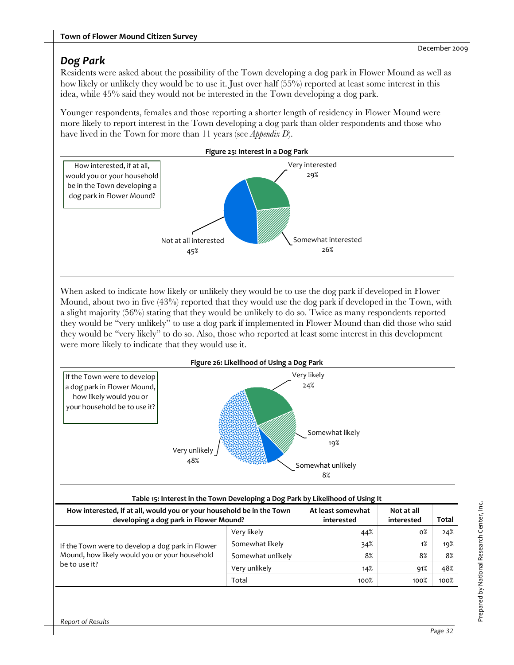## *Dog Park*

Residents were asked about the possibility of the Town developing a dog park in Flower Mound as well as how likely or unlikely they would be to use it. Just over half (55%) reported at least some interest in this idea, while 45% said they would not be interested in the Town developing a dog park.

Younger respondents, females and those reporting a shorter length of residency in Flower Mound were more likely to report interest in the Town developing a dog park than older respondents and those who have lived in the Town for more than 11 years (see *Appendix D*).



When asked to indicate how likely or unlikely they would be to use the dog park if developed in Flower Mound, about two in five  $(43%)$  reported that they would use the dog park if developed in the Town, with a slight majority (56%) stating that they would be unlikely to do so. Twice as many respondents reported they would be "very unlikely" to use a dog park if implemented in Flower Mound than did those who said they would be "very likely" to do so. Also, those who reported at least some interest in this development were more likely to indicate that they would use it.



Very unlikely  $14\%$   $91\%$   $48\%$ 

 $\hbox{Total}$  100%  $\hbox{100\%}\quad$  100%  $\hbox{100\%}\quad$ 

be to use it?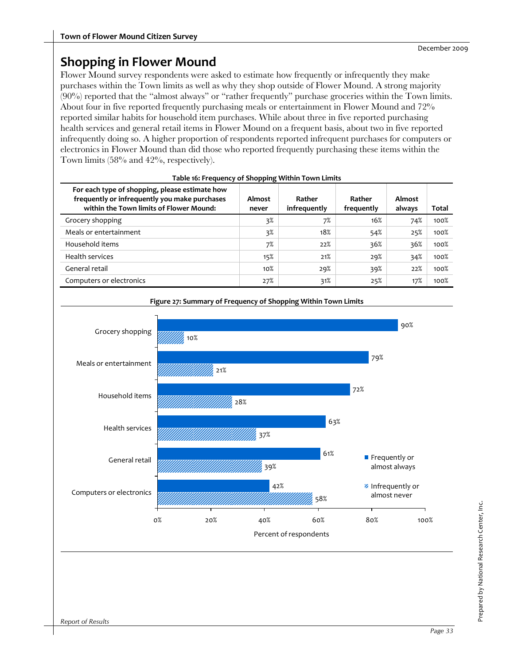## **Shopping in Flower Mound**

Flower Mound survey respondents were asked to estimate how frequently or infrequently they make purchases within the Town limits as well as why they shop outside of Flower Mound. A strong majority (90%) reported that the "almost always" or "rather frequently" purchase groceries within the Town limits. About four in five reported frequently purchasing meals or entertainment in Flower Mound and 72% reported similar habits for household item purchases. While about three in five reported purchasing health services and general retail items in Flower Mound on a frequent basis, about two in five reported infrequently doing so. A higher proportion of respondents reported infrequent purchases for computers or electronics in Flower Mound than did those who reported frequently purchasing these items within the Town limits (58% and 42%, respectively).

| For each type of shopping, please estimate how<br>frequently or infrequently you make purchases<br>within the Town limits of Flower Mound: | Almost<br>never | Rather<br>infrequently | Rather<br>frequently | Almost<br>always | Total |
|--------------------------------------------------------------------------------------------------------------------------------------------|-----------------|------------------------|----------------------|------------------|-------|
| Grocery shopping                                                                                                                           | 3%              | 7%                     | 16%                  | 74%              | 100%  |
| Meals or entertainment                                                                                                                     | 3%              | 18%                    | 54%                  | 25%              | 100%  |
| Household items                                                                                                                            | 7%              | 22%                    | 36%                  | 36%              | 100%  |
| Health services                                                                                                                            | 15%             | 21%                    | 29%                  | 34%              | 100%  |
| General retail                                                                                                                             | 10%             | 29%                    | 39%                  | 22%              | 100%  |
| Computers or electronics                                                                                                                   | 27%             | 31%                    | 25%                  | 17%              | 100%  |

|  | Table 16: Frequency of Shopping Within Town Limits |
|--|----------------------------------------------------|
|--|----------------------------------------------------|



**Figure 27: Summary of Frequency of Shopping Within Town Limits**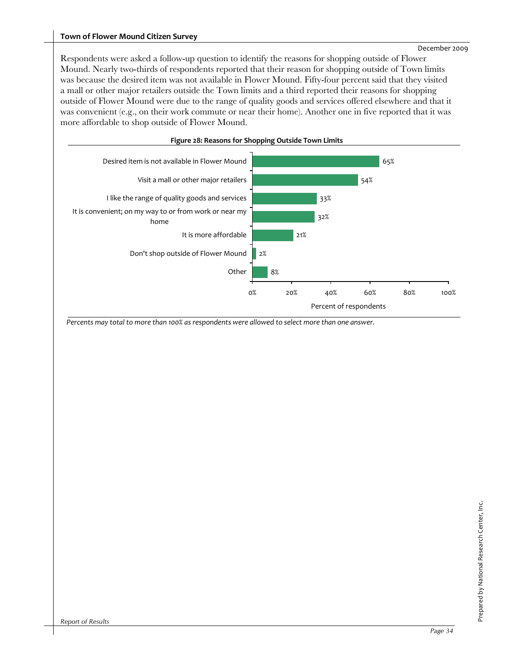#### **Town of Flower Mound Citizen Survey**

Respondents were asked a follow-up question to identify the reasons for shopping outside of Flower Mound. Nearly two-thirds of respondents reported that their reason for shopping outside of Town limits was because the desired item was not available in Flower Mound. Fifty-four percent said that they visited a mall or other major retailers outside the Town limits and a third reported their reasons for shopping outside of Flower Mound were due to the range of quality goods and services offered elsewhere and that it was convenient (e.g., on their work commute or near their home). Another one in five reported that it was more affordable to shop outside of Flower Mound.



Percents may total to more than 100% as respondents were allowed to select more than one answer.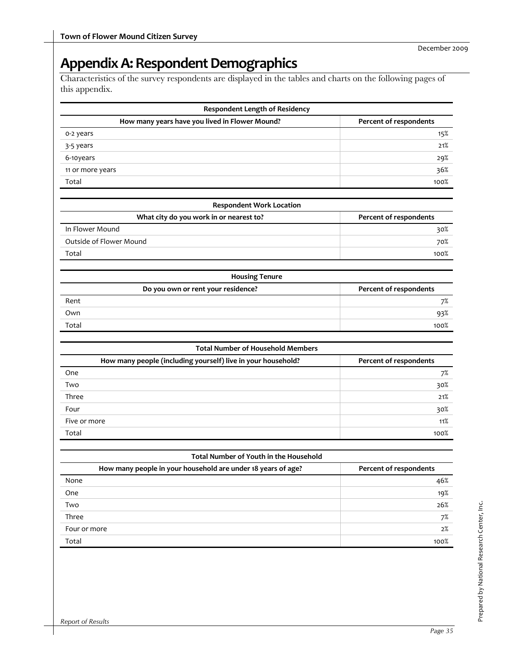# Appendix A: Respondent Demographics

Characteristics of the survey respondents are displayed in the tables and charts on the following pages of this appendix.

| How many years have you lived in Flower Mound?               | Percent of respondents |
|--------------------------------------------------------------|------------------------|
| o-2 years                                                    | 15%                    |
| 3-5 years                                                    | 21%                    |
| 6-10years                                                    | $29\%$                 |
| 11 or more years                                             | 36%                    |
| Total                                                        | 100%                   |
| <b>Respondent Work Location</b>                              |                        |
| What city do you work in or nearest to?                      | Percent of respondents |
| In Flower Mound                                              | 30%                    |
| Outside of Flower Mound                                      | 70%                    |
| Total                                                        | 100%                   |
| <b>Housing Tenure</b>                                        |                        |
| Do you own or rent your residence?                           | Percent of respondents |
| Rent                                                         | 7%                     |
| Own                                                          | 93%                    |
| Total                                                        | 100%                   |
| <b>Total Number of Household Members</b>                     |                        |
| How many people (including yourself) live in your household? | Percent of respondents |
| One                                                          | 7%                     |
| Two                                                          | 30%                    |
| Three                                                        | 21%                    |
| Four                                                         | 30%                    |
| Five or more                                                 | 11%                    |
| Total                                                        | 100%                   |
| Total Number of Youth in the Household                       |                        |
| How many people in your household are under 18 years of age? | Percent of respondents |

| 46%  |
|------|
| 19%  |
| 26%  |
| 7%   |
| 2%   |
| 100% |
|      |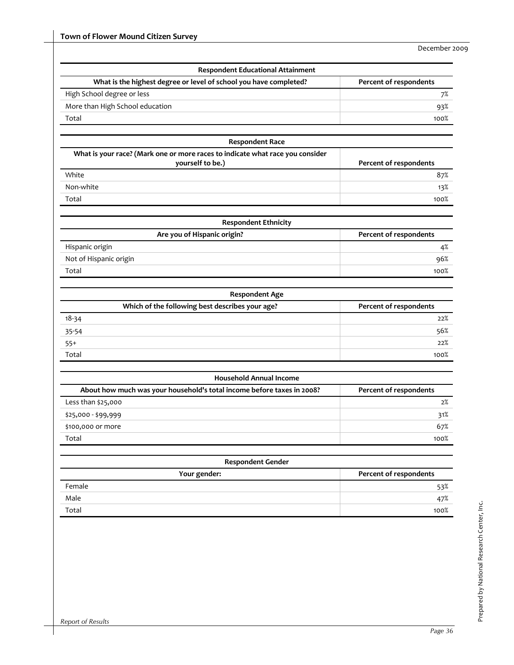| What is the highest degree or level of school you have completed?             | Percent of respondents |
|-------------------------------------------------------------------------------|------------------------|
| High School degree or less                                                    |                        |
| More than High School education                                               | 7%                     |
| Total                                                                         | 93%<br>100%            |
|                                                                               |                        |
| <b>Respondent Race</b>                                                        |                        |
| What is your race? (Mark one or more races to indicate what race you consider |                        |
| yourself to be.)                                                              | Percent of respondents |
| White                                                                         | 87%                    |
| Non-white                                                                     | 13%                    |
| Total                                                                         | 100%                   |
| <b>Respondent Ethnicity</b>                                                   |                        |
| Are you of Hispanic origin?                                                   | Percent of respondents |
| Hispanic origin                                                               | 4%                     |
| Not of Hispanic origin                                                        | 96%                    |
| Total                                                                         | 100%                   |
|                                                                               |                        |
| <b>Respondent Age</b>                                                         |                        |
| Which of the following best describes your age?                               | Percent of respondents |
| $18 - 34$                                                                     | 22%                    |
| 35-54                                                                         | 56%                    |
| $55+$                                                                         | 22%                    |
| Total                                                                         | 100%                   |
| <b>Household Annual Income</b>                                                |                        |
| About how much was your household's total income before taxes in 2008?        | Percent of respondents |
| Less than \$25,000                                                            | 2%                     |
| \$25,000 - \$99,999                                                           | 31%                    |
| \$100,000 or more                                                             | 67%                    |
| Total                                                                         | 100%                   |
|                                                                               |                        |
|                                                                               |                        |
| <b>Respondent Gender</b>                                                      |                        |
| Your gender:<br>Female                                                        | Percent of respondents |
| Male                                                                          | 53%<br>47%             |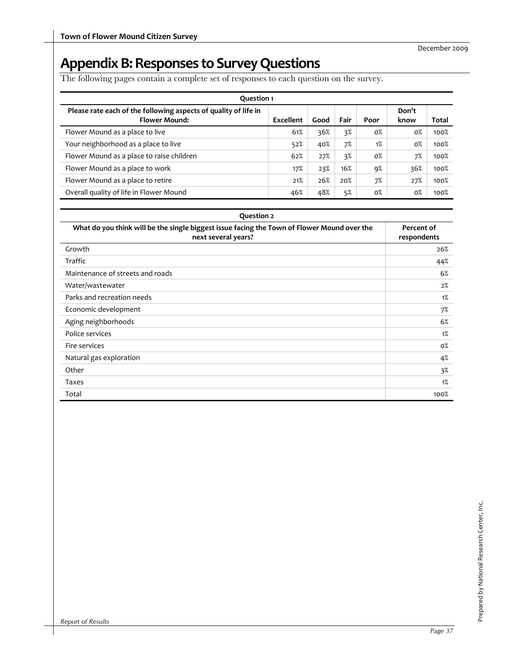# Appendix B: Responses to Survey Questions

The following pages contain a complete set of responses to each question on the survey.

| <b>Question 1</b>                                                                       |           |      |      |       |               |       |  |  |
|-----------------------------------------------------------------------------------------|-----------|------|------|-------|---------------|-------|--|--|
| Please rate each of the following aspects of quality of life in<br><b>Flower Mound:</b> | Excellent | Good | Fair | Poor  | Don't<br>know | Total |  |  |
| Flower Mound as a place to live                                                         | 61%       | 36%  | 3%   | $0\%$ | $0\%$         | 100%  |  |  |
| Your neighborhood as a place to live                                                    | 52%       | 40%  | 7%   | 1%    | $0\%$         | 100%  |  |  |
| Flower Mound as a place to raise children                                               | 62%       | 27%  | 3%   | $0\%$ | 7%            | 100%  |  |  |
| Flower Mound as a place to work                                                         | 17%       | 23%  | 16%  | 9%    | 36%           | 100%  |  |  |
| Flower Mound as a place to retire                                                       | 21%       | 26%  | 20%  | 7%    | 27%           | 100%  |  |  |
| Overall quality of life in Flower Mound                                                 | 46%       | 48%  | 5%   | $0\%$ | $0\%$         | 100%  |  |  |

| <b>Question 2</b>                                                                                                  |                           |  |  |  |  |  |
|--------------------------------------------------------------------------------------------------------------------|---------------------------|--|--|--|--|--|
| What do you think will be the single biggest issue facing the Town of Flower Mound over the<br>next several years? | Percent of<br>respondents |  |  |  |  |  |
| Growth                                                                                                             | 26%                       |  |  |  |  |  |
| Traffic                                                                                                            | 44%                       |  |  |  |  |  |
| Maintenance of streets and roads                                                                                   | 6%                        |  |  |  |  |  |
| Water/wastewater                                                                                                   | 2%                        |  |  |  |  |  |
| Parks and recreation needs                                                                                         | 1%                        |  |  |  |  |  |
| Economic development                                                                                               | 7%                        |  |  |  |  |  |
| Aging neighborhoods                                                                                                | 6%                        |  |  |  |  |  |
| Police services                                                                                                    | 1%                        |  |  |  |  |  |
| Fire services                                                                                                      | $0\%$                     |  |  |  |  |  |
| Natural gas exploration                                                                                            | 4%                        |  |  |  |  |  |
| Other                                                                                                              | $3\%$                     |  |  |  |  |  |
| Taxes                                                                                                              | 1%                        |  |  |  |  |  |
| Total                                                                                                              | 100%                      |  |  |  |  |  |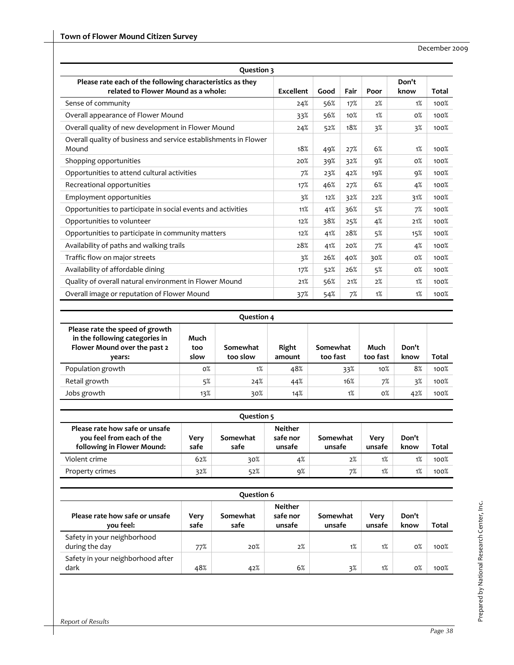| Question 3                                                                                       |           |      |      |      |               |              |  |  |  |
|--------------------------------------------------------------------------------------------------|-----------|------|------|------|---------------|--------------|--|--|--|
| Please rate each of the following characteristics as they<br>related to Flower Mound as a whole: | Excellent | Good | Fair | Poor | Don't<br>know | <b>Total</b> |  |  |  |
| Sense of community                                                                               | 24%       | 56%  | 17%  | 2%   | 1%            | 100%         |  |  |  |
| Overall appearance of Flower Mound                                                               | 33%       | 56%  | 10%  | 1%   | $0\%$         | 100%         |  |  |  |
| Overall quality of new development in Flower Mound                                               | 24%       | 52%  | 18%  | 3%   | 3%            | 100%         |  |  |  |
| Overall quality of business and service establishments in Flower<br>Mound                        | 18%       | 49%  | 27%  | 6%   | 1%            | 100%         |  |  |  |
| Shopping opportunities                                                                           | 20%       | 39%  | 32%  | 9%   | $0\%$         | 100%         |  |  |  |
| Opportunities to attend cultural activities                                                      | 7%        | 23%  | 42%  | 19%  | 9%            | 100%         |  |  |  |
| Recreational opportunities                                                                       | 17%       | 46%  | 27%  | 6%   | 4%            | 100%         |  |  |  |
| Employment opportunities                                                                         | 3%        | 12%  | 32%  | 22%  | 31%           | 100%         |  |  |  |
| Opportunities to participate in social events and activities                                     | 11%       | 41%  | 36%  | 5%   | 7%            | 100%         |  |  |  |
| Opportunities to volunteer                                                                       | 12%       | 38%  | 25%  | 4%   | 21%           | 100%         |  |  |  |
| Opportunities to participate in community matters                                                | 12%       | 41%  | 28%  | 5%   | 15%           | 100%         |  |  |  |
| Availability of paths and walking trails                                                         | 28%       | 41%  | 20%  | 7%   | 4%            | 100%         |  |  |  |
| Traffic flow on major streets                                                                    | 3%        | 26%  | 40%  | 30%  | $0\%$         | 100%         |  |  |  |
| Availability of affordable dining                                                                | 17%       | 52%  | 26%  | 5%   | $0\%$         | 100%         |  |  |  |
| Quality of overall natural environment in Flower Mound                                           | 21%       | 56%  | 21%  | 2%   | 1%            | 100%         |  |  |  |
| Overall image or reputation of Flower Mound                                                      | 37%       | 54%  | 7%   | 1%   | 1%            | 100%         |  |  |  |

| <b>Question 4</b> |  |
|-------------------|--|
|-------------------|--|

| Please rate the speed of growth<br>in the following categories in<br>Flower Mound over the past 2<br>vears: | Much<br>too<br>slow | Somewhat<br>too slow | Right<br>amount | Somewhat<br>too fast | Much<br>too fast | Don't<br>know | Total |
|-------------------------------------------------------------------------------------------------------------|---------------------|----------------------|-----------------|----------------------|------------------|---------------|-------|
| Population growth                                                                                           | 0%                  | 1%                   | 48%             | 33%                  | 10%              | 8%            | 100%  |
| Retail growth                                                                                               | 5%                  | 24%                  | 44%             | 16%                  | 7%               | $3\%$         | 100%  |
| Jobs growth                                                                                                 | 13%                 | 30%                  | 14%             | 1%                   | $0\%$            | 42%           | 100%  |

| Question 5                                                                                |              |                  |                                      |                    |                |               |       |
|-------------------------------------------------------------------------------------------|--------------|------------------|--------------------------------------|--------------------|----------------|---------------|-------|
| Please rate how safe or unsafe<br>you feel from each of the<br>following in Flower Mound: | Very<br>safe | Somewhat<br>safe | <b>Neither</b><br>safe nor<br>unsafe | Somewhat<br>unsafe | Verv<br>unsafe | Don't<br>know | Total |
| Violent crime                                                                             | 62%          | 30%              | 4%                                   | 2%                 | 1%             | 1%            | 100%  |
| Property crimes                                                                           | 32%          | 52%              | 9%                                   | 7%                 | 1%             | 1%            | 100%  |

| Ouestion 6                                    |              |                  |                                      |                    |                |               |              |  |
|-----------------------------------------------|--------------|------------------|--------------------------------------|--------------------|----------------|---------------|--------------|--|
| Please rate how safe or unsafe<br>you feel:   | Very<br>safe | Somewhat<br>safe | <b>Neither</b><br>safe nor<br>unsafe | Somewhat<br>unsafe | Verv<br>unsafe | Don't<br>know | <b>Total</b> |  |
| Safety in your neighborhood<br>during the day | 77%          | 20%              | 2%                                   | 1%                 | 1%             | $0\%$         | 100%         |  |
| Safety in your neighborhood after<br>dark     | 48%          | 42%              | 6%                                   | 3%                 | 1%             | 0%            | 100%         |  |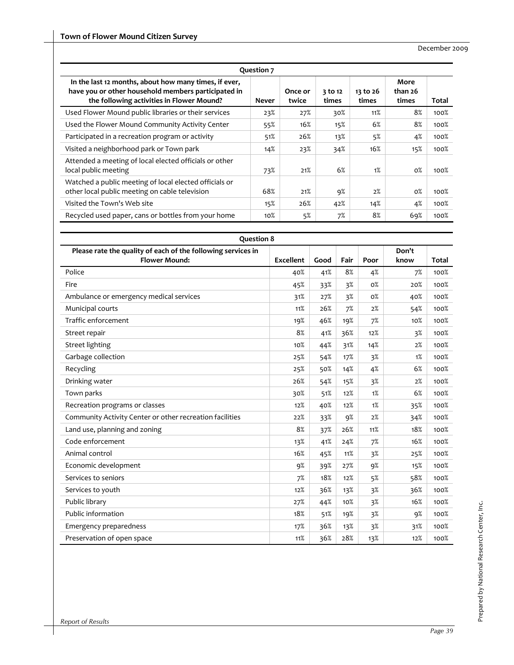| Question 7                                                                                                                                                |              |                  |                  |                   |                          |       |  |
|-----------------------------------------------------------------------------------------------------------------------------------------------------------|--------------|------------------|------------------|-------------------|--------------------------|-------|--|
| In the last 12 months, about how many times, if ever,<br>have you or other household members participated in<br>the following activities in Flower Mound? | <b>Never</b> | Once or<br>twice | 3 to 12<br>times | 13 to 26<br>times | More<br>than 26<br>times | Total |  |
| Used Flower Mound public libraries or their services                                                                                                      | 23%          | 27%              | 30%              | 11%               | 8%                       | 100%  |  |
| Used the Flower Mound Community Activity Center                                                                                                           | 55%          | 16%              | 15%              | 6%                | 8%                       | 100%  |  |
| Participated in a recreation program or activity                                                                                                          | 51%          | 26%              | 13%              | 5%                | 4%                       | 100%  |  |
| Visited a neighborhood park or Town park                                                                                                                  | 14%          | 23%              | 34%              | 16%               | 15%                      | 100%  |  |
| Attended a meeting of local elected officials or other<br>local public meeting                                                                            | 73%          | 21%              | 6%               | 1%                | $0\%$                    | 100%  |  |
| Watched a public meeting of local elected officials or<br>other local public meeting on cable television                                                  | 68%          | 21%              | 9%               | 2%                | $0\%$                    | 100%  |  |
| Visited the Town's Web site                                                                                                                               | 15%          | 26%              | 42%              | 14%               | 4%                       | 100%  |  |
| Recycled used paper, cans or bottles from your home                                                                                                       | 10%          | 5%               | 7%               | 8%                | 69%                      | 100%  |  |

| <b>Question 8</b>                                                                    |                  |      |      |       |               |              |
|--------------------------------------------------------------------------------------|------------------|------|------|-------|---------------|--------------|
| Please rate the quality of each of the following services in<br><b>Flower Mound:</b> | <b>Excellent</b> | Good | Fair | Poor  | Don't<br>know | <b>Total</b> |
| Police                                                                               | 40%              | 41%  | 8%   | 4%    | 7%            | 100%         |
| Fire                                                                                 | 45%              | 33%  | 3%   | $0\%$ | 20%           | 100%         |
| Ambulance or emergency medical services                                              | 31%              | 27%  | 3%   | $0\%$ | 40%           | 100%         |
| Municipal courts                                                                     | 11%              | 26%  | 7%   | 2%    | 54%           | 100%         |
| Traffic enforcement                                                                  | 19%              | 46%  | 19%  | 7%    | 10%           | 100%         |
| Street repair                                                                        | 8%               | 41%  | 36%  | 12%   | 3%            | 100%         |
| Street lighting                                                                      | 10%              | 44%  | 31%  | 14%   | 2%            | 100%         |
| Garbage collection                                                                   | 25%              | 54%  | 17%  | 3%    | 1%            | 100%         |
| Recycling                                                                            | 25%              | 50%  | 14%  | 4%    | 6%            | 100%         |
| Drinking water                                                                       | 26%              | 54%  | 15%  | 3%    | 2%            | 100%         |
| Town parks                                                                           | 30%              | 51%  | 12%  | 1%    | 6%            | 100%         |
| Recreation programs or classes                                                       | 12%              | 40%  | 12%  | 1%    | 35%           | 100%         |
| Community Activity Center or other recreation facilities                             | 22%              | 33%  | 9%   | 2%    | 34%           | 100%         |
| Land use, planning and zoning                                                        | 8%               | 37%  | 26%  | 11%   | 18%           | 100%         |
| Code enforcement                                                                     | 13%              | 41%  | 24%  | 7%    | 16%           | 100%         |
| Animal control                                                                       | 16%              | 45%  | 11%  | 3%    | 25%           | 100%         |
| Economic development                                                                 | 9%               | 39%  | 27%  | 9%    | 15%           | 100%         |
| Services to seniors                                                                  | 7%               | 18%  | 12%  | 5%    | 58%           | 100%         |
| Services to youth                                                                    | 12%              | 36%  | 13%  | 3%    | 36%           | 100%         |
| Public library                                                                       | 27%              | 44%  | 10%  | 3%    | 16%           | 100%         |
| Public information                                                                   | 18%              | 51%  | 19%  | 3%    | 9%            | 100%         |
| Emergency preparedness                                                               | 17%              | 36%  | 13%  | 3%    | 31%           | 100%         |
| Preservation of open space                                                           | 11%              | 36%  | 28%  | 13%   | 12%           | 100%         |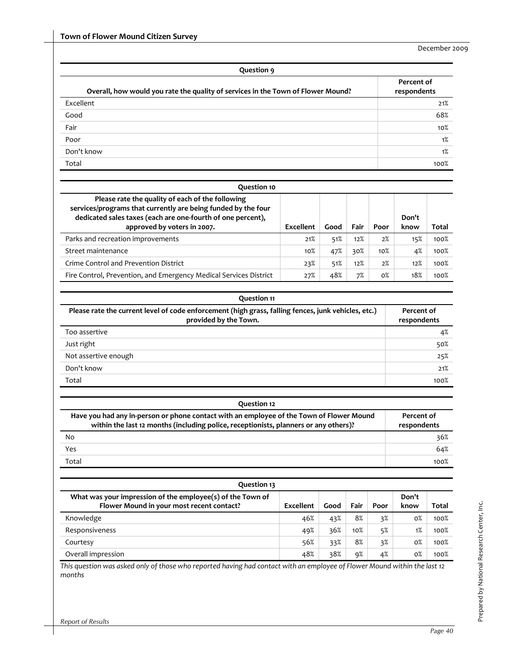| Question 9                                                                       |                           |  |  |  |
|----------------------------------------------------------------------------------|---------------------------|--|--|--|
| Overall, how would you rate the quality of services in the Town of Flower Mound? | Percent of<br>respondents |  |  |  |
| Excellent                                                                        | 21%                       |  |  |  |
| Good                                                                             | 68%                       |  |  |  |
| Fair                                                                             | 10%                       |  |  |  |
| Poor                                                                             | 1%                        |  |  |  |
| Don't know                                                                       | 1%                        |  |  |  |
| Total                                                                            | 100%                      |  |  |  |

| Ouestion 10                                                                                                                                                                                                     |           |      |      |       |               |       |
|-----------------------------------------------------------------------------------------------------------------------------------------------------------------------------------------------------------------|-----------|------|------|-------|---------------|-------|
| Please rate the quality of each of the following<br>services/programs that currently are being funded by the four<br>dedicated sales taxes (each are one-fourth of one percent),<br>approved by voters in 2007. | Excellent | Good | Fair | Poor  | Don't<br>know | Total |
| Parks and recreation improvements                                                                                                                                                                               | 21%       | 51%  | 12%  | 2%    | 15%           | 100%  |
| Street maintenance                                                                                                                                                                                              | 10%       | 47%  | 30%  | 10%   | 4%            | 100%  |
| Crime Control and Prevention District                                                                                                                                                                           | 23%       | 51%  | 12%  | 2%    | 12%           | 100%  |
| Fire Control, Prevention, and Emergency Medical Services District                                                                                                                                               | 27%       | 48%  | 7%   | $0\%$ | 18%           | 100%  |

| <b>Question 11</b>                                                                                                           |                           |  |  |  |
|------------------------------------------------------------------------------------------------------------------------------|---------------------------|--|--|--|
| Please rate the current level of code enforcement (high grass, falling fences, junk vehicles, etc.)<br>provided by the Town. | Percent of<br>respondents |  |  |  |
| Too assertive                                                                                                                | 4%                        |  |  |  |
| Just right                                                                                                                   | 50%                       |  |  |  |
| Not assertive enough                                                                                                         | 25%                       |  |  |  |
| Don't know                                                                                                                   | 21%                       |  |  |  |
| Total                                                                                                                        | 100%                      |  |  |  |

| Question 12                                                                                                                                                                      |                           |
|----------------------------------------------------------------------------------------------------------------------------------------------------------------------------------|---------------------------|
| Have you had any in-person or phone contact with an employee of the Town of Flower Mound<br>within the last 12 months (including police, receptionists, planners or any others)? | Percent of<br>respondents |
| No                                                                                                                                                                               | 36%                       |
| Yes                                                                                                                                                                              | 64%                       |
| Total                                                                                                                                                                            | 100%                      |

| Question 13                                                                                             |           |      |      |      |               |       |
|---------------------------------------------------------------------------------------------------------|-----------|------|------|------|---------------|-------|
| What was your impression of the employee(s) of the Town of<br>Flower Mound in your most recent contact? | Excellent | Good | Fair | Poor | Don't<br>know | Total |
| Knowledge                                                                                               | 46%       | 43%  | 8%   | 3%   | 0%            | 100%  |
| Responsiveness                                                                                          | 49%       | 36%  | 10%  | 5%   | 1%            | 100%  |
| Courtesy                                                                                                | 56%       | 33%  | 8%   | 3%   | $0\%$         | 100%  |
| Overall impression                                                                                      | 48%       | 38%  | 9%   | 4%   | $0\%$         | 100%  |

This question was asked only of those who reported having had contact with an employee of Flower Mound within the last 12 *months*

l.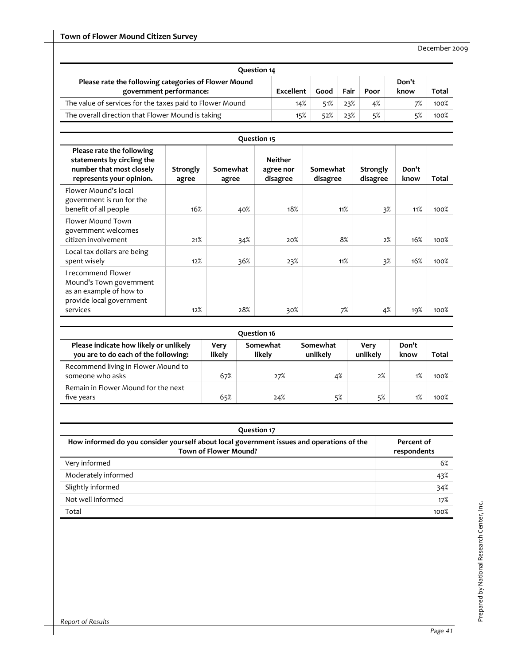| Question 14                                                                     |           |      |      |      |               |              |
|---------------------------------------------------------------------------------|-----------|------|------|------|---------------|--------------|
| Please rate the following categories of Flower Mound<br>government performance: | Excellent | Good | Fair | Poor | Don't<br>know | <b>Total</b> |
| The value of services for the taxes paid to Flower Mound                        | 14%       | 51%  | 23%  | 4%   | 7%            | 100%         |
| The overall direction that Flower Mound is taking                               | 15%       | 52%  | 23%  | 5%   | 5%            | 100%         |

| Question 15                                                                                                      |                   |                   |                                         |                      |                      |               |       |
|------------------------------------------------------------------------------------------------------------------|-------------------|-------------------|-----------------------------------------|----------------------|----------------------|---------------|-------|
| Please rate the following<br>statements by circling the<br>number that most closely<br>represents your opinion.  | Strongly<br>agree | Somewhat<br>agree | <b>Neither</b><br>agree nor<br>disagree | Somewhat<br>disagree | Strongly<br>disagree | Don't<br>know | Total |
| Flower Mound's local<br>government is run for the<br>benefit of all people                                       | 16%               | 40%               | 18%                                     | 11%                  | 3%                   | 11%           | 100%  |
| Flower Mound Town<br>government welcomes<br>citizen involvement                                                  | 21%               | 34%               | 20%                                     | 8%                   | 2%                   | 16%           | 100%  |
| Local tax dollars are being<br>spent wisely                                                                      | 12%               | 36%               | 23%                                     | 11%                  | 3%                   | 16%           | 100%  |
| I recommend Flower<br>Mound's Town government<br>as an example of how to<br>provide local government<br>services | 12%               | 28%               | 30%                                     | 7%                   | 4%                   | 19%           | 100%  |

| Question 16                                                                    |                |                    |                      |                  |               |              |  |
|--------------------------------------------------------------------------------|----------------|--------------------|----------------------|------------------|---------------|--------------|--|
| Please indicate how likely or unlikely<br>you are to do each of the following: | Verv<br>likely | Somewhat<br>likely | Somewhat<br>unlikely | Verv<br>unlikely | Don't<br>know | <b>Total</b> |  |
| Recommend living in Flower Mound to<br>someone who asks                        | 67%            | 27%                | 4%                   | 2%               | 1%            | 100%         |  |
| Remain in Flower Mound for the next<br>five years                              | 65%            | 24%                | 5%                   | 5%               | 1%            | 100%         |  |

| <b>Question 17</b>                                                                                                        |                           |  |  |  |  |
|---------------------------------------------------------------------------------------------------------------------------|---------------------------|--|--|--|--|
| How informed do you consider yourself about local government issues and operations of the<br><b>Town of Flower Mound?</b> | Percent of<br>respondents |  |  |  |  |
| Very informed                                                                                                             | 6%                        |  |  |  |  |
| Moderately informed                                                                                                       | 43%                       |  |  |  |  |
| Slightly informed                                                                                                         | 34%                       |  |  |  |  |
| Not well informed                                                                                                         | 17%                       |  |  |  |  |
| Total                                                                                                                     | 100%                      |  |  |  |  |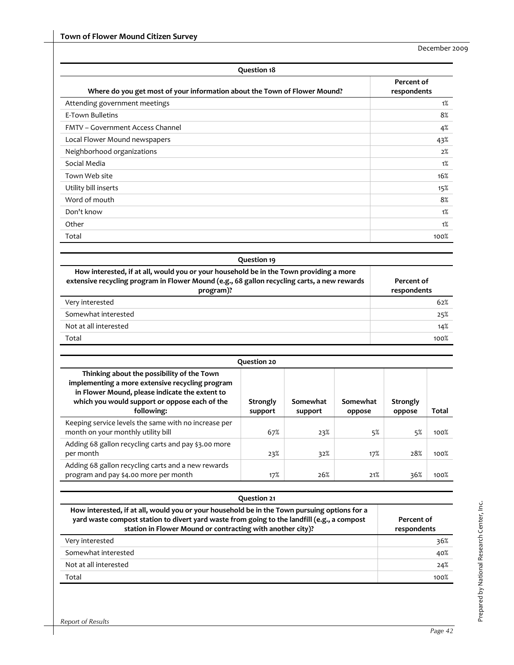| <b>Question 18</b>                                                                                                                                                                                 |                           |
|----------------------------------------------------------------------------------------------------------------------------------------------------------------------------------------------------|---------------------------|
| Where do you get most of your information about the Town of Flower Mound?                                                                                                                          | Percent of<br>respondents |
| Attending government meetings                                                                                                                                                                      | 1%                        |
| E-Town Bulletins                                                                                                                                                                                   | 8%                        |
| <b>FMTV - Government Access Channel</b>                                                                                                                                                            | 4%                        |
| Local Flower Mound newspapers                                                                                                                                                                      | 43%                       |
| Neighborhood organizations                                                                                                                                                                         | 2%                        |
| Social Media                                                                                                                                                                                       | 1%                        |
| Town Web site                                                                                                                                                                                      | 16%                       |
| Utility bill inserts                                                                                                                                                                               | 15%                       |
| Word of mouth                                                                                                                                                                                      | 8%                        |
| Don't know                                                                                                                                                                                         | 1%                        |
| Other                                                                                                                                                                                              | 1%                        |
| Total                                                                                                                                                                                              | 100%                      |
| <b>Question 19</b>                                                                                                                                                                                 |                           |
|                                                                                                                                                                                                    |                           |
| How interested, if at all, would you or your household be in the Town providing a more<br>extensive recycling program in Flower Mound (e.g., 68 gallon recycling carts, a new rewards<br>program)? | Percent of<br>respondents |
| Very interested                                                                                                                                                                                    | 62%                       |
| Somewhat interested                                                                                                                                                                                | 25%                       |
| Not at all interested                                                                                                                                                                              | 14%                       |
| Total                                                                                                                                                                                              | 100%                      |
|                                                                                                                                                                                                    |                           |

|                                                                                                                                                                                                                | Question 20         |                     |                    |                    |              |
|----------------------------------------------------------------------------------------------------------------------------------------------------------------------------------------------------------------|---------------------|---------------------|--------------------|--------------------|--------------|
| Thinking about the possibility of the Town<br>implementing a more extensive recycling program<br>in Flower Mound, please indicate the extent to<br>which you would support or oppose each of the<br>following: | Strongly<br>support | Somewhat<br>support | Somewhat<br>oppose | Strongly<br>oppose | <b>Total</b> |
| Keeping service levels the same with no increase per<br>month on your monthly utility bill                                                                                                                     | 67%                 | 23%                 | 5%                 | 5%                 | 100%         |
| Adding 68 gallon recycling carts and pay \$3.00 more<br>per month                                                                                                                                              | 23%                 | 32%                 | 17%                | 28%                | 100%         |
| Adding 68 gallon recycling carts and a new rewards<br>program and pay \$4.00 more per month                                                                                                                    | 17%                 | 26%                 | 21%                | 36%                | 100%         |

| Question 21                                                                                                                                                                                                                                               |                           |  |
|-----------------------------------------------------------------------------------------------------------------------------------------------------------------------------------------------------------------------------------------------------------|---------------------------|--|
| How interested, if at all, would you or your household be in the Town pursuing options for a<br>yard waste compost station to divert yard waste from going to the landfill (e.g., a compost<br>station in Flower Mound or contracting with another city)? | Percent of<br>respondents |  |
| Very interested                                                                                                                                                                                                                                           | 36%                       |  |
| Somewhat interested                                                                                                                                                                                                                                       | 40%                       |  |
| Not at all interested                                                                                                                                                                                                                                     | 24%                       |  |
| Total                                                                                                                                                                                                                                                     | 100%                      |  |
|                                                                                                                                                                                                                                                           |                           |  |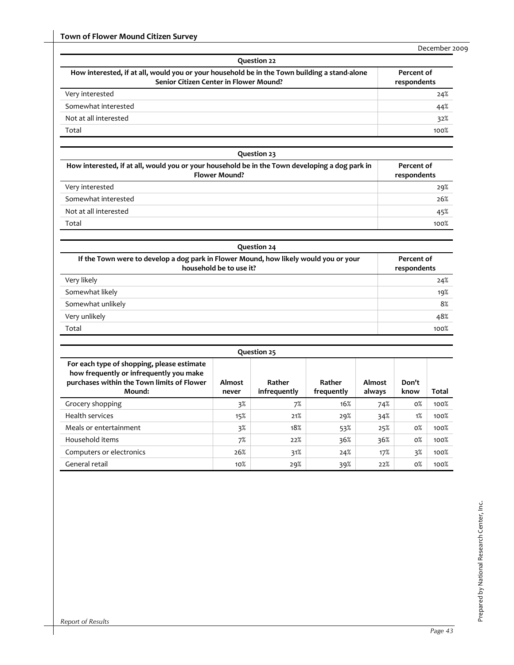| Question 22                                                                                                                            |                           |  |
|----------------------------------------------------------------------------------------------------------------------------------------|---------------------------|--|
| How interested, if at all, would you or your household be in the Town building a stand-alone<br>Senior Citizen Center in Flower Mound? | Percent of<br>respondents |  |
| Very interested                                                                                                                        | 24%                       |  |
| Somewhat interested                                                                                                                    | 44%                       |  |
| Not at all interested                                                                                                                  | 32%                       |  |
| Total                                                                                                                                  | 100%                      |  |

| Question 23                                                                                                            |                           |  |
|------------------------------------------------------------------------------------------------------------------------|---------------------------|--|
| How interested, if at all, would you or your household be in the Town developing a dog park in<br><b>Flower Mound?</b> | Percent of<br>respondents |  |
| Very interested                                                                                                        | 29%                       |  |
| Somewhat interested                                                                                                    | 26%                       |  |
| Not at all interested                                                                                                  | 45%                       |  |
| Total                                                                                                                  | 100%                      |  |

| Question 24                                                                                                     |                           |  |
|-----------------------------------------------------------------------------------------------------------------|---------------------------|--|
| If the Town were to develop a dog park in Flower Mound, how likely would you or your<br>household be to use it? | Percent of<br>respondents |  |
| Very likely                                                                                                     | 24%                       |  |
| Somewhat likely                                                                                                 | 19%                       |  |
| Somewhat unlikely                                                                                               | 8%                        |  |
| Very unlikely                                                                                                   | 48%                       |  |
| Total                                                                                                           | 100%                      |  |

| Question 25                                                                                                                                   |                 |                        |                      |                  |               |       |
|-----------------------------------------------------------------------------------------------------------------------------------------------|-----------------|------------------------|----------------------|------------------|---------------|-------|
| For each type of shopping, please estimate<br>how frequently or infrequently you make<br>purchases within the Town limits of Flower<br>Mound: | Almost<br>never | Rather<br>infrequently | Rather<br>frequently | Almost<br>always | Don't<br>know | Total |
| Grocery shopping                                                                                                                              | 3%              | 7%                     | 16%                  | 74%              | $0\%$         | 100%  |
| Health services                                                                                                                               | 15%             | 21%                    | 29%                  | 34%              | 1%            | 100%  |
| Meals or entertainment                                                                                                                        | 3%              | 18%                    | 53%                  | 25%              | $0\%$         | 100%  |
| Household items                                                                                                                               | 7%              | 22%                    | 36%                  | 36%              | $0\%$         | 100%  |
| Computers or electronics                                                                                                                      | 26%             | 31%                    | 24%                  | 17%              | 3%            | 100%  |
| General retail                                                                                                                                | 10%             | 29%                    | 39%                  | 22%              | $0\%$         | 100%  |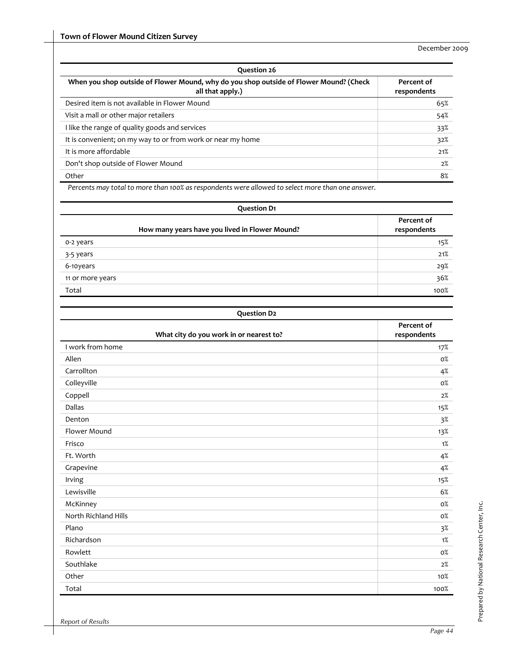| Question 26                                                                                                |                           |  |
|------------------------------------------------------------------------------------------------------------|---------------------------|--|
| When you shop outside of Flower Mound, why do you shop outside of Flower Mound? (Check<br>all that apply.) | Percent of<br>respondents |  |
| Desired item is not available in Flower Mound                                                              | 65%                       |  |
| Visit a mall or other major retailers                                                                      | 54%                       |  |
| I like the range of quality goods and services                                                             | 33%                       |  |
| It is convenient; on my way to or from work or near my home                                                | 32%                       |  |
| It is more affordable                                                                                      | 21%                       |  |
| Don't shop outside of Flower Mound                                                                         | 2%                        |  |
| Other                                                                                                      | 8%                        |  |

*Percents may total to more than 100% as respondents were allowed to select more than one answer.*

| <b>Question D1</b>                             |                           |  |
|------------------------------------------------|---------------------------|--|
| How many years have you lived in Flower Mound? | Percent of<br>respondents |  |
| o-2 years                                      | 15%                       |  |
| $3-5$ years                                    | 21%                       |  |
| 6-10years                                      | 29%                       |  |
| 11 or more years                               | 36%                       |  |
| Total                                          | 100%                      |  |

| <b>Question D2</b>                      |                           |
|-----------------------------------------|---------------------------|
| What city do you work in or nearest to? | Percent of<br>respondents |
| I work from home                        | 17%                       |
| Allen                                   | $0\%$                     |
| Carrollton                              | 4%                        |
| Colleyville                             | 0%                        |
| Coppell                                 | 2%                        |
| <b>Dallas</b>                           | 15%                       |
| Denton                                  | 3%                        |
| Flower Mound                            | 13%                       |
| Frisco                                  | $1\%$                     |
| Ft. Worth                               | $4\%$                     |
| Grapevine                               | 4%                        |
| Irving                                  | 15%                       |
| Lewisville                              | 6%                        |
| McKinney                                | $0\%$                     |
| North Richland Hills                    | 0%                        |
| Plano                                   | 3%                        |
| Richardson                              | 1%                        |
| Rowlett                                 | 0%                        |
| Southlake                               | 2%                        |
| Other                                   | 10%                       |
| Total                                   | 100%                      |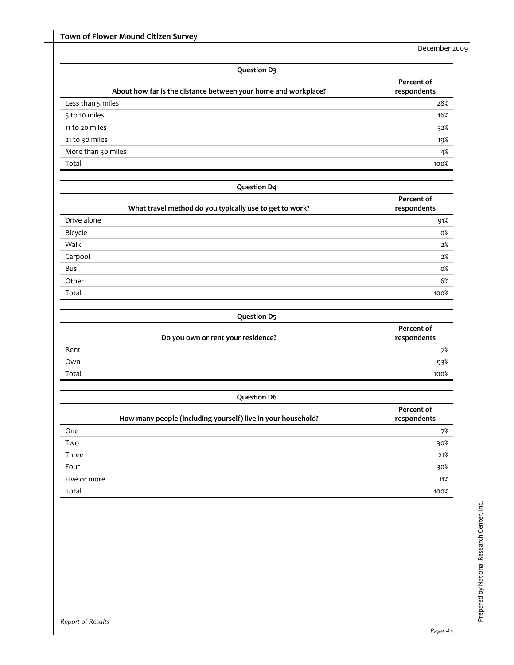| <b>Question D3</b>                                             |                           |  |
|----------------------------------------------------------------|---------------------------|--|
| About how far is the distance between your home and workplace? | Percent of<br>respondents |  |
| Less than 5 miles                                              | 28%                       |  |
| 5 to 10 miles                                                  | 16%                       |  |
| 11 to 20 miles                                                 | 32%                       |  |
| 21 to 30 miles                                                 | 19%                       |  |
| More than 30 miles                                             | 4%                        |  |
| Total                                                          | 100%                      |  |

| <b>Question D4</b>                                      |                           |  |
|---------------------------------------------------------|---------------------------|--|
| What travel method do you typically use to get to work? | Percent of<br>respondents |  |
| Drive alone                                             | 91%                       |  |
| Bicycle                                                 | $0\%$                     |  |
| Walk                                                    | 2%                        |  |
| Carpool                                                 | 2%                        |  |
| Bus                                                     | 0%                        |  |
| Other                                                   | 6%                        |  |
| Total                                                   | 100%                      |  |

| <b>Question D5</b>         |                                    |                           |
|----------------------------|------------------------------------|---------------------------|
|                            | Do you own or rent your residence? | Percent of<br>respondents |
| Rent                       |                                    | 7%                        |
| Own                        |                                    | 93%                       |
| <b>STATISTICS</b><br>Total |                                    | 100%                      |
|                            |                                    |                           |

| <b>Question D6</b>                                           |                           |
|--------------------------------------------------------------|---------------------------|
| How many people (including yourself) live in your household? | Percent of<br>respondents |
| One                                                          | 7%                        |
| Two                                                          | 30%                       |
| Three                                                        | 21%                       |
| Four                                                         | 30%                       |
| Five or more                                                 | 11%                       |
| Total                                                        | 100%                      |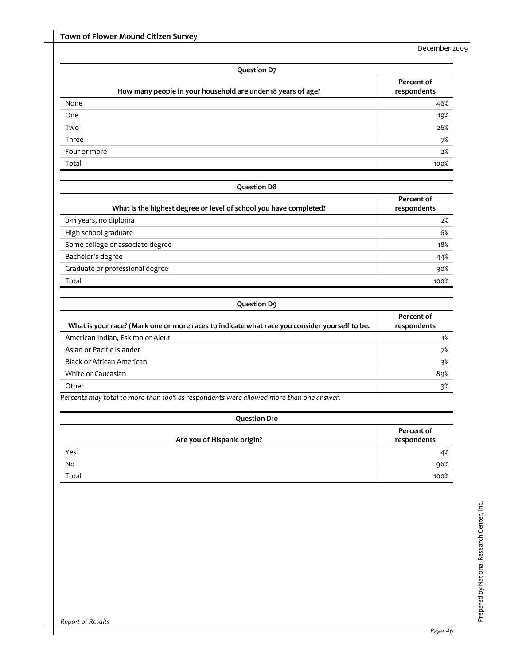| <b>Question D7</b>                                           |                           |  |  |  |  |
|--------------------------------------------------------------|---------------------------|--|--|--|--|
| How many people in your household are under 18 years of age? | Percent of<br>respondents |  |  |  |  |
| None                                                         | 46%                       |  |  |  |  |
| One                                                          | 19%                       |  |  |  |  |
| Two                                                          | 26%                       |  |  |  |  |
| Three                                                        | 7%                        |  |  |  |  |
| Four or more                                                 | 2%                        |  |  |  |  |
| Total                                                        | 100%                      |  |  |  |  |

| <b>Question D8</b>                                                |                           |
|-------------------------------------------------------------------|---------------------------|
| What is the highest degree or level of school you have completed? | Percent of<br>respondents |
| 0-11 years, no diploma                                            | 2%                        |
| High school graduate                                              | 6%                        |
| Some college or associate degree                                  | 18%                       |
| Bachelor's degree                                                 | 44%                       |
| Graduate or professional degree                                   | 30%                       |
| Total                                                             | 100%                      |

| <b>Question D9</b> |  |
|--------------------|--|
|--------------------|--|

| What is your race? (Mark one or more races to indicate what race you consider yourself to be. | Percent of<br>respondents |
|-----------------------------------------------------------------------------------------------|---------------------------|
| American Indian, Eskimo or Aleut                                                              | 1%                        |
| Asian or Pacific Islander                                                                     | 7%                        |
| Black or African American                                                                     | 3%                        |
| White or Caucasian                                                                            | 89%                       |
| Other                                                                                         | 3%                        |

*Percents may total to more than 100% as respondents were allowed more than one answer.*

| <b>Question D10</b>         |                           |  |  |  |  |
|-----------------------------|---------------------------|--|--|--|--|
| Are you of Hispanic origin? | Percent of<br>respondents |  |  |  |  |
| Yes                         | 4%                        |  |  |  |  |
| No                          | 96%                       |  |  |  |  |
| Total                       | 100%                      |  |  |  |  |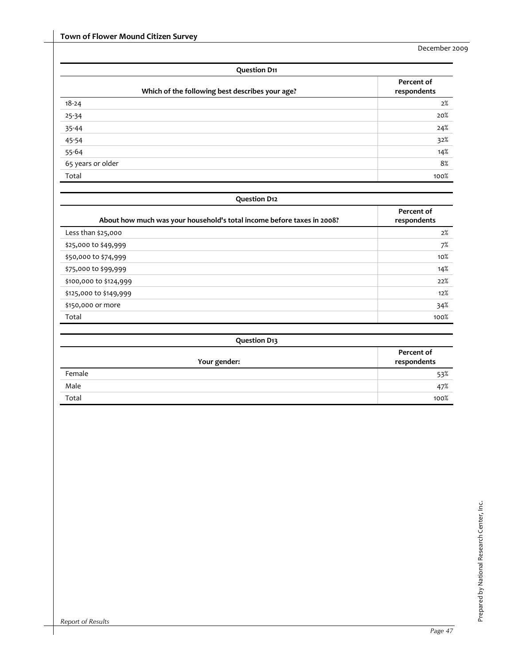| <b>Question D11</b>                             |                           |  |  |  |  |
|-------------------------------------------------|---------------------------|--|--|--|--|
| Which of the following best describes your age? | Percent of<br>respondents |  |  |  |  |
| $18 - 24$                                       | 2%                        |  |  |  |  |
| 25-34                                           | 20%                       |  |  |  |  |
| 35-44                                           | 24%                       |  |  |  |  |
| $45 - 54$                                       | 32%                       |  |  |  |  |
| $55 - 64$                                       | 14%                       |  |  |  |  |
| 65 years or older                               | 8%                        |  |  |  |  |
| Total                                           | 100%                      |  |  |  |  |

| <b>Question D12</b>                                                    |                           |  |  |  |
|------------------------------------------------------------------------|---------------------------|--|--|--|
| About how much was your household's total income before taxes in 2008? | Percent of<br>respondents |  |  |  |
| Less than $$25,000$                                                    | 2%                        |  |  |  |
| \$25,000 to \$49,999                                                   | 7%                        |  |  |  |
| \$50,000 to \$74,999                                                   | $10\%$                    |  |  |  |
| \$75,000 to \$99,999                                                   | 14%                       |  |  |  |
| \$100,000 to \$124,999                                                 | 22%                       |  |  |  |
| \$125,000 to \$149,999                                                 | 12%                       |  |  |  |
| \$150,000 or more                                                      | 34%                       |  |  |  |
| Total                                                                  | 100%                      |  |  |  |

| <b>Question D13</b> |                           |
|---------------------|---------------------------|
| Your gender:        | Percent of<br>respondents |
| Female              | 53%                       |
| Male                | 47%                       |
| Total               | 100%                      |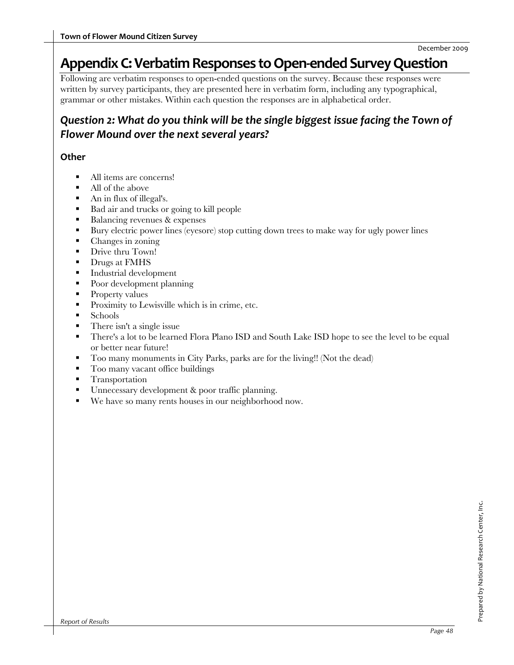## **AppendixC:VerbatimResponses toOpen‐ended SurveyQuestion**

Following are verbatim responses to open-ended questions on the survey. Because these responses were written by survey participants, they are presented here in verbatim form, including any typographical, grammar or other mistakes. Within each question the responses are in alphabetical order.

## *Question 2: What do you think will be the single biggest issue facing the Town of Flower Mound over the next several years?*

#### **Other**

- All items are concerns!
- All of the above
- An in flux of illegal's.
- Bad air and trucks or going to kill people
- Balancing revenues & expenses
- Bury electric power lines (eyesore) stop cutting down trees to make way for ugly power lines
- Changes in zoning
- Drive thru Town!
- Drugs at FMHS
- Industrial development
- Poor development planning
- **Property values**
- **Proximity to Lewisville which is in crime, etc.**
- **Schools**
- There isn't a single issue
- There's a lot to be learned Flora Plano ISD and South Lake ISD hope to see the level to be equal or better near future!
- Too many monuments in City Parks, parks are for the living!! (Not the dead)
- **Too many vacant office buildings**
- **Transportation**
- Unnecessary development & poor traffic planning.
- We have so many rents houses in our neighborhood now.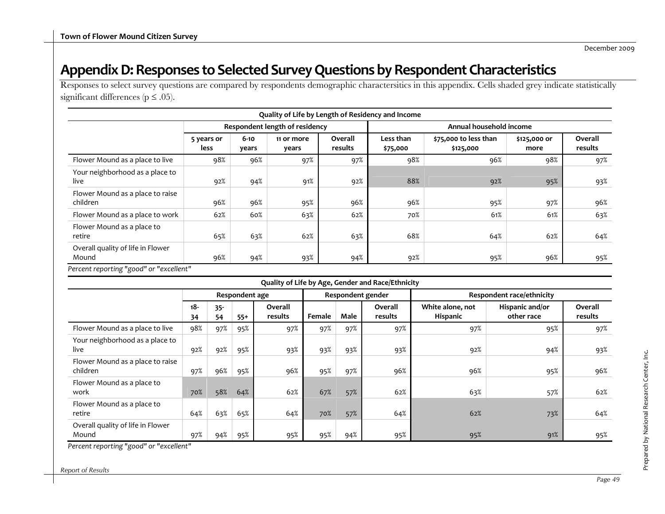## Appendix D: Responses to Selected Survey Questions by Respondent Characteristics

Responses to select survey questions are compared by respondents demographic charactersitics in this appendix. Cells shaded grey indicate statistically significant differences ( $p \le .05$ ).

| Quality of Life by Length of Residency and Income |                    |                   |                                |                    |                       |                                    |                      |                    |  |
|---------------------------------------------------|--------------------|-------------------|--------------------------------|--------------------|-----------------------|------------------------------------|----------------------|--------------------|--|
|                                                   |                    |                   | Respondent length of residency |                    |                       | Annual household income            |                      |                    |  |
|                                                   | 5 years or<br>less | $6 - 10$<br>years | 11 or more<br>years            | Overall<br>results | Less than<br>\$75,000 | \$75,000 to less than<br>\$125,000 | \$125,000 or<br>more | Overall<br>results |  |
| Flower Mound as a place to live                   | 98%                | 96%               | 97%                            | 97%                | 98%                   | 96%                                | 98%                  | 97%                |  |
| Your neighborhood as a place to<br>live           | 92%                | 94%               | 91%                            | 92%                | 88%                   | 92%                                | 95%                  | 93%                |  |
| Flower Mound as a place to raise<br>children      | 96%                | 96%               | 95%                            | 96%                | 96%                   | 95%                                | 97%                  | 96%                |  |
| Flower Mound as a place to work                   | 62%                | 60%               | 63%                            | 62%                | 70%                   | 61%                                | 61%                  | 63%                |  |
| Flower Mound as a place to<br>retire              | 65%                | 63%               | 62%                            | 63%                | 68%                   | 64%                                | 62%                  | 64%                |  |
| Overall quality of life in Flower<br>Mound        | 96%                | 94%               | 93%                            | 94%                | 92%                   | 95%                                | 96%                  | 95%                |  |

*Percent reporting "good" or "excellent"*

|                                              |                |              |       |                    |                   |      | Quality of Life by Age, Gender and Race/Ethnicity |                                  |                               |                    |
|----------------------------------------------|----------------|--------------|-------|--------------------|-------------------|------|---------------------------------------------------|----------------------------------|-------------------------------|--------------------|
|                                              | Respondent age |              |       |                    | Respondent gender |      |                                                   | <b>Respondent race/ethnicity</b> |                               |                    |
|                                              | 18-<br>34      | $35 -$<br>54 | $55+$ | Overall<br>results | Female            | Male | Overall<br>results                                | White alone, not<br>Hispanic     | Hispanic and/or<br>other race | Overall<br>results |
| Flower Mound as a place to live              | 98%            | 97%          | 95%   | 97%                | 97%               | 97%  | 97%                                               | 97%                              | 95%                           | 97%                |
| Your neighborhood as a place to<br>live      | 92%            | 92%          | 95%   | 93%                | 93%               | 93%  | 93%                                               | 92%                              | 94%                           | 93%                |
| Flower Mound as a place to raise<br>children | 97%            | 96%          | 95%   | 96%                | 95%               | 97%  | 96%                                               | 96%                              | 95%                           | 96%                |
| Flower Mound as a place to<br>work           | 70%            | 58%          | 64%   | 62%                | 67%               | 57%  | 62%                                               | 63%                              | 57%                           | 62%                |
| Flower Mound as a place to<br>retire         | 64%            | 63%          | 65%   | 64%                | 70%               | 57%  | 64%                                               | 62%                              | 73%                           | 64%                |
| Overall quality of life in Flower<br>Mound   | 97%            | 94%          | 95%   | 95%                | 95%               | 94%  | 95%                                               | 95%                              | 91%                           | 95%                |

*Percent reporting "good" or "excellent"*

*Report of Results*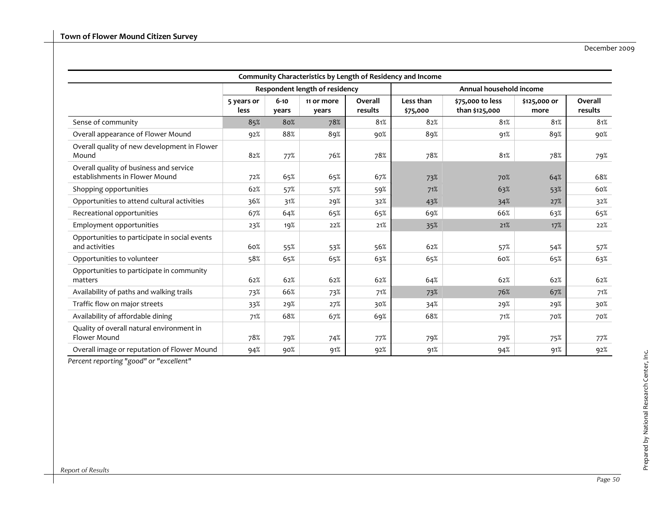|                                                                           |                    |                   |                                |                    | Community Characteristics by Length of Residency and Income |                                    |                      |                    |
|---------------------------------------------------------------------------|--------------------|-------------------|--------------------------------|--------------------|-------------------------------------------------------------|------------------------------------|----------------------|--------------------|
|                                                                           |                    |                   | Respondent length of residency |                    |                                                             | Annual household income            |                      |                    |
|                                                                           | 5 years or<br>less | $6 - 10$<br>years | 11 or more<br>years            | Overall<br>results | Less than<br>\$75,000                                       | \$75,000 to less<br>than \$125,000 | \$125,000 or<br>more | Overall<br>results |
| Sense of community                                                        | 85%                | 80%               | 78%                            | 81%                | 82%                                                         | 81%                                | 81%                  | 81%                |
| Overall appearance of Flower Mound                                        | 92%                | 88%               | 89%                            | 90%                | 89%                                                         | 91%                                | 89%                  | 90%                |
| Overall quality of new development in Flower<br>Mound                     | 82%                | 77%               | 76%                            | 78%                | 78%                                                         | 81%                                | 78%                  | 79%                |
| Overall quality of business and service<br>establishments in Flower Mound | 72%                | 65%               | 65%                            | 67%                | 73%                                                         | 70%                                | 64%                  | 68%                |
| Shopping opportunities                                                    | 62%                | 57%               | 57%                            | 59%                | 71%                                                         | 63%                                | 53%                  | 60%                |
| Opportunities to attend cultural activities                               | 36%                | 31%               | 29%                            | 32%                | 43%                                                         | 34%                                | 27%                  | 32%                |
| Recreational opportunities                                                | 67%                | 64%               | 65%                            | 65%                | 69%                                                         | 66%                                | 63%                  | 65%                |
| Employment opportunities                                                  | 23%                | 19%               | 22%                            | 21%                | 35%                                                         | 21%                                | 17%                  | 22%                |
| Opportunities to participate in social events<br>and activities           | 60%                | 55%               | 53%                            | 56%                | 62%                                                         | 57%                                | 54%                  | 57%                |
| Opportunities to volunteer                                                | 58%                | 65%               | 65%                            | 63%                | 65%                                                         | 60%                                | 65%                  | 63%                |
| Opportunities to participate in community<br>matters                      | 62%                | 62%               | 62%                            | 62%                | 64%                                                         | 62%                                | 62%                  | 62%                |
| Availability of paths and walking trails                                  | 73%                | 66%               | 73%                            | 71%                | 73%                                                         | 76%                                | 67%                  | 71%                |
| Traffic flow on major streets                                             | 33%                | 29%               | 27%                            | 30%                | 34%                                                         | 29%                                | 29%                  | 30%                |
| Availability of affordable dining                                         | 71%                | 68%               | 67%                            | 69%                | 68%                                                         | 71%                                | 70%                  | 70%                |
| Quality of overall natural environment in<br>Flower Mound                 | 78%                | 79%               | 74%                            | 77%                | 79%                                                         | 79%                                | 75%                  | 77%                |
| Overall image or reputation of Flower Mound                               | 94%                | 90%               | 91%                            | 92%                | 91%                                                         | 94%                                | 91%                  | 92%                |

*Percent reporting "good" or "excellent"*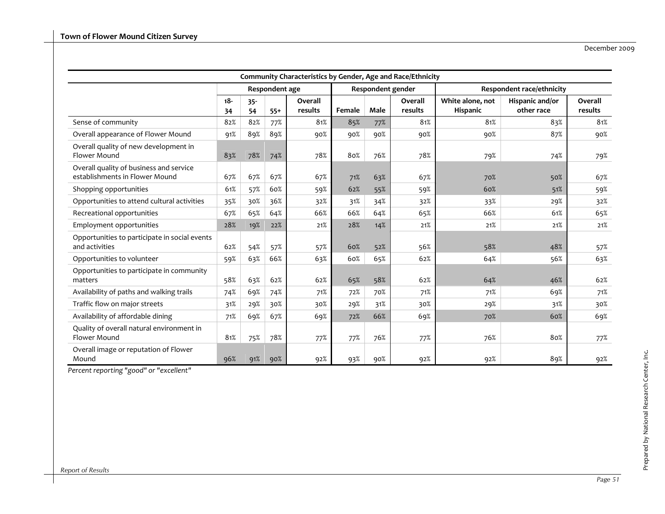| Community Characteristics by Gender, Age and Race/Ethnicity               |              |              |                |                    |        |        |                    |                                     |                                  |                    |
|---------------------------------------------------------------------------|--------------|--------------|----------------|--------------------|--------|--------|--------------------|-------------------------------------|----------------------------------|--------------------|
|                                                                           |              |              | Respondent age |                    |        |        | Respondent gender  |                                     | <b>Respondent race/ethnicity</b> |                    |
|                                                                           | $18 -$<br>34 | $35 -$<br>54 | $55+$          | Overall<br>results | Female | Male   | Overall<br>results | White alone, not<br><b>Hispanic</b> | Hispanic and/or<br>other race    | Overall<br>results |
| Sense of community                                                        | 82%          | 82%          | 77%            | 81%                | 85%    | 77%    | 81%                | 81%                                 | 83%                              | 81%                |
| Overall appearance of Flower Mound                                        | 91%          | 89%          | 89%            | 90%                | 90%    | 90%    | 90%                | 90%                                 | 87%                              | 90%                |
| Overall quality of new development in<br>Flower Mound                     | 83%          | 78%          | 74%            | 78%                | 80%    | 76%    | 78%                | 79%                                 | 74%                              | 79%                |
| Overall quality of business and service<br>establishments in Flower Mound | 67%          | 67%          | 67%            | 67%                | 71%    | 63%    | 67%                | 70%                                 | 50%                              | 67%                |
| Shopping opportunities                                                    | 61%          | 57%          | 60%            | 59%                | 62%    | 55%    | 59%                | 60%                                 | 51%                              | 59%                |
| Opportunities to attend cultural activities                               | 35%          | 30%          | 36%            | 32%                | 31%    | 34%    | 32%                | 33%                                 | 29%                              | 32%                |
| Recreational opportunities                                                | 67%          | 65%          | 64%            | 66%                | 66%    | 64%    | 65%                | 66%                                 | 61%                              | 65%                |
| Employment opportunities                                                  | 28%          | 19%          | 22%            | 21%                | 28%    | 14%    | 21%                | 21%                                 | 21%                              | 21%                |
| Opportunities to participate in social events<br>and activities           | 62%          | 54%          | 57%            | 57%                | 60%    | 52%    | 56%                | 58%                                 | 48%                              | 57%                |
| Opportunities to volunteer                                                | 59%          | 63%          | 66%            | 63%                | 60%    | 65%    | 62%                | 64%                                 | 56%                              | 63%                |
| Opportunities to participate in community<br>matters                      | 58%          | 63%          | 62%            | 62%                | 65%    | 58%    | 62%                | 64%                                 | 46%                              | 62%                |
| Availability of paths and walking trails                                  | 74%          | 69%          | 74%            | 71%                | 72%    | 70%    | 71%                | 71%                                 | 69%                              | 71%                |
| Traffic flow on major streets                                             | 31%          | 29%          | 30%            | 30%                | 29%    | 31%    | 30%                | 29%                                 | 31%                              | 30%                |
| Availability of affordable dining                                         | 71%          | 69%          | 67%            | 69%                | 72%    | 66%    | 69%                | 70%                                 | 60%                              | 69%                |
| Quality of overall natural environment in<br>Flower Mound                 | 81%          | 75%          | 78%            | 77%                | 77%    | 76%    | 77%                | 76%                                 | 80%                              | 77%                |
| Overall image or reputation of Flower<br>Mound                            | 96%          | 91%          | 90%            | 92%                | 93%    | $90\%$ | 92%                | 92%                                 | 89%                              | 92%                |

*Percent reporting "good" or "excellent"*

Prepared by National Research Center, Inc.

Prepared by National Research Center, Inc.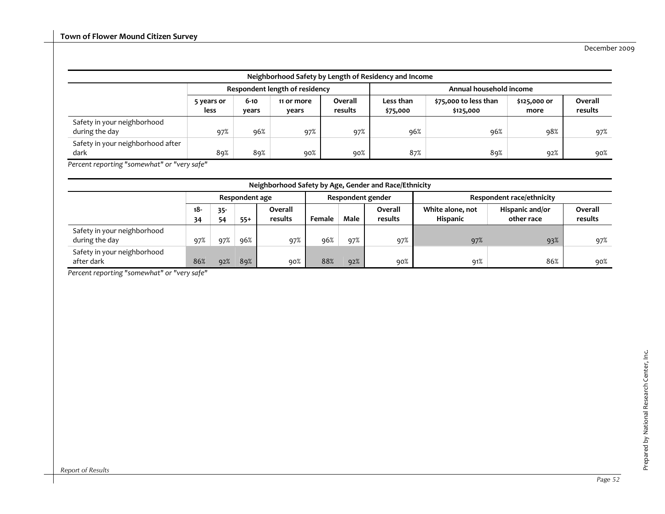|                                               | Neighborhood Safety by Length of Residency and Income |                   |                                |                    |                         |                                    |                      |                    |  |  |  |  |  |
|-----------------------------------------------|-------------------------------------------------------|-------------------|--------------------------------|--------------------|-------------------------|------------------------------------|----------------------|--------------------|--|--|--|--|--|
|                                               |                                                       |                   | Respondent length of residency |                    | Annual household income |                                    |                      |                    |  |  |  |  |  |
|                                               | 5 years or<br>less                                    | $6 - 10$<br>vears | 11 or more<br>vears            | Overall<br>results | Less than<br>\$75,000   | \$75,000 to less than<br>\$125,000 | \$125,000 or<br>more | Overall<br>results |  |  |  |  |  |
| Safety in your neighborhood<br>during the day | 97%                                                   | 96%               | 97%                            | 97%                | 96%                     | 96%                                | 98%                  | 97%                |  |  |  |  |  |
| Safety in your neighborhood after<br>dark     | 89%                                                   | 89%               | 90%                            | 90%                | 87%                     | 89%                                | 92%                  | 90%                |  |  |  |  |  |

*Percent reporting "somewhat" or "very safe"*

|                                               | Neighborhood Safety by Age, Gender and Race/Ethnicity |              |                |                    |        |      |                    |                              |                               |                    |  |  |  |  |
|-----------------------------------------------|-------------------------------------------------------|--------------|----------------|--------------------|--------|------|--------------------|------------------------------|-------------------------------|--------------------|--|--|--|--|
|                                               |                                                       |              | Respondent age |                    |        |      | Respondent gender  | Respondent race/ethnicity    |                               |                    |  |  |  |  |
|                                               | $18 -$<br>34                                          | $35 -$<br>54 | $55+$          | Overall<br>results | Female | Male | Overall<br>results | White alone, not<br>Hispanic | Hispanic and/or<br>other race | Overall<br>results |  |  |  |  |
| Safety in your neighborhood<br>during the day | 97%                                                   | 97%          | 96%            | 97%                | 96%    | 97%  | 97%                | 97%                          | 93%                           | 97%                |  |  |  |  |
| Safety in your neighborhood<br>after dark     | 86%                                                   | 92%          | 89%            | 90%                | 88%    | 92%  | 90%                | 91%                          | 86%                           | 90%                |  |  |  |  |

*Percent reporting "somewhat" or "very safe"*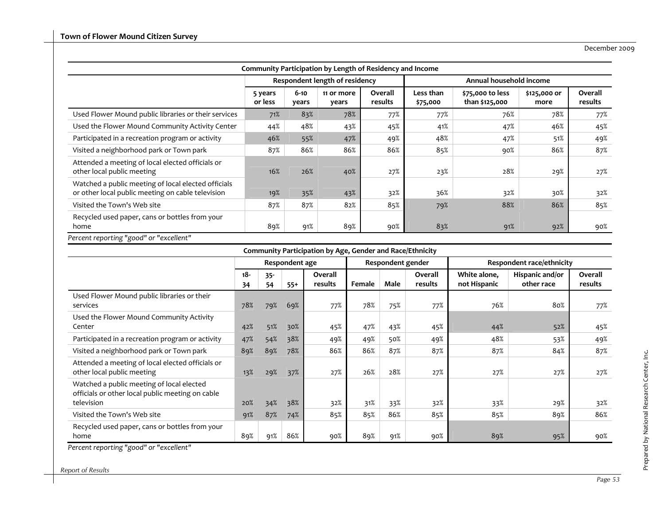| Community Participation by Length of Residency and Income                                                |                    |                   |                                |                    |                         |                                    |                      |                    |  |  |  |
|----------------------------------------------------------------------------------------------------------|--------------------|-------------------|--------------------------------|--------------------|-------------------------|------------------------------------|----------------------|--------------------|--|--|--|
|                                                                                                          |                    |                   | Respondent length of residency |                    | Annual household income |                                    |                      |                    |  |  |  |
|                                                                                                          | 5 years<br>or less | $6 - 10$<br>years | 11 or more<br>years            | Overall<br>results | Less than<br>\$75,000   | \$75,000 to less<br>than \$125,000 | \$125,000 or<br>more | Overall<br>results |  |  |  |
| Used Flower Mound public libraries or their services                                                     | 71%                | 83%               | 78%                            | 77%                | 77%                     | 76%                                | 78%                  | 77%                |  |  |  |
| Used the Flower Mound Community Activity Center                                                          | 44%                | 48%               | 43%                            | 45%                | 41%                     | 47%                                | 46%                  | 45%                |  |  |  |
| Participated in a recreation program or activity                                                         | 46%                | 55%               | 47%                            | 49%                | 48%                     | 47%                                | 51%                  | 49%                |  |  |  |
| Visited a neighborhood park or Town park                                                                 | 87%                | 86%               | 86%                            | 86%                | 85%                     | 90%                                | 86%                  | 87%                |  |  |  |
| Attended a meeting of local elected officials or<br>other local public meeting                           | 16%                | 26%               | 40%                            | 27%                | 23%                     | 28%                                | 29%                  | 27%                |  |  |  |
| Watched a public meeting of local elected officials<br>or other local public meeting on cable television | 19%                | 35%               | 43%                            | 32%                | 36%                     | 32%                                | 30%                  | 32%                |  |  |  |
| Visited the Town's Web site                                                                              | 87%                | 87%               | 82%                            | 85%                | 79%                     | 88%                                | 86%                  | 85%                |  |  |  |
| Recycled used paper, cans or bottles from your<br>home                                                   | 89%                | 91%               | 89%                            | 90%                | 83%                     | 91%                                | 92%                  | 90%                |  |  |  |

#### **Community Participation by Age, Gender and Race/Ethnicity**

|                                                                                                             |           |              | Respondent age |                    |        | Respondent gender |                    |                              | Respondent race/ethnicity     |                    |
|-------------------------------------------------------------------------------------------------------------|-----------|--------------|----------------|--------------------|--------|-------------------|--------------------|------------------------------|-------------------------------|--------------------|
|                                                                                                             | 18-<br>34 | $35 -$<br>54 | $55+$          | Overall<br>results | Female | Male              | Overall<br>results | White alone,<br>not Hispanic | Hispanic and/or<br>other race | Overall<br>results |
| Used Flower Mound public libraries or their<br>services                                                     | 78%       | 79%          | 69%            | 77%                | 78%    | 75%               | 77%                | 76%                          | 80%                           | 77%                |
| Used the Flower Mound Community Activity<br>Center                                                          | 42%       | 51%          | $30\%$         | 45%                | 47%    | 43%               | 45%                | 44%                          | 52%                           | 45%                |
| Participated in a recreation program or activity                                                            | 47%       | 54%          | 38%            | 49%                | 49%    | 50%               | 49%                | 48%                          | 53%                           | 49%                |
| Visited a neighborhood park or Town park                                                                    | 89%       | 89%          | 78%            | 86%                | 86%    | 87%               | 87%                | 87%                          | 84%                           | 87%                |
| Attended a meeting of local elected officials or<br>other local public meeting                              | 13%       | 29%          | 37%            | 27%                | 26%    | 28%               | 27%                | 27%                          | 27%                           | 27%                |
| Watched a public meeting of local elected<br>officials or other local public meeting on cable<br>television | 20%       | 34%          | 38%            | 32%                | 31%    | 33%               | 32%                | 33%                          | 29%                           | 32%                |
| Visited the Town's Web site                                                                                 | 91%       | 87%          | 74%            | 85%                | 85%    | 86%               | 85%                | 85%                          | 89%                           | 86%                |
| Recycled used paper, cans or bottles from your<br>home                                                      | 89%       | 91%          | 86%            | 90%                | 89%    | 91%               | 90%                | 89%                          | 95%                           | 90%                |

*Percentreporting "good" or "excellent"*

*Report of Results*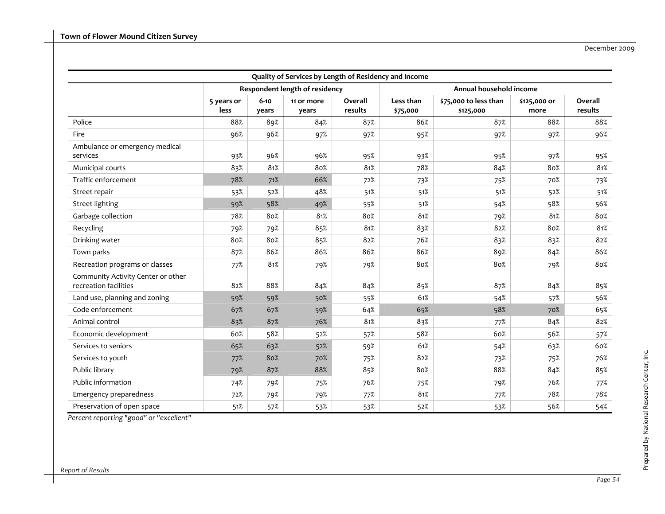| Quality of Services by Length of Residency and Income       |                    |                   |                                |                    |                         |                                    |                      |                    |  |  |  |
|-------------------------------------------------------------|--------------------|-------------------|--------------------------------|--------------------|-------------------------|------------------------------------|----------------------|--------------------|--|--|--|
|                                                             |                    |                   | Respondent length of residency |                    | Annual household income |                                    |                      |                    |  |  |  |
|                                                             | 5 years or<br>less | $6 - 10$<br>years | 11 or more<br>years            | Overall<br>results | Less than<br>\$75,000   | \$75,000 to less than<br>\$125,000 | \$125,000 or<br>more | Overall<br>results |  |  |  |
| Police                                                      | 88%                | 89%               | 84%                            | 87%                | 86%                     | 87%                                | 88%                  | 88%                |  |  |  |
| Fire                                                        | 96%                | 96%               | 97%                            | 97%                | 95%                     | 97%                                | 97%                  | 96%                |  |  |  |
| Ambulance or emergency medical<br>services                  | 93%                | 96%               | 96%                            | 95%                | 93%                     | 95%                                | 97%                  | 95%                |  |  |  |
| Municipal courts                                            | 83%                | 81%               | 80%                            | 81%                | 78%                     | 84%                                | 80%                  | 81%                |  |  |  |
| Traffic enforcement                                         | 78%                | 71%               | 66%                            | 72%                | 73%                     | 75%                                | 70%                  | 73%                |  |  |  |
| Street repair                                               | 53%                | 52%               | 48%                            | 51%                | 51%                     | 51%                                | 52%                  | 51%                |  |  |  |
| <b>Street lighting</b>                                      | 59%                | 58%               | 49%                            | 55%                | 51%                     | 54%                                | 58%                  | 56%                |  |  |  |
| Garbage collection                                          | 78%                | 80%               | 81%                            | 80%                | 81%                     | 79%                                | 81%                  | 80%                |  |  |  |
| Recycling                                                   | 79%                | 79%               | 85%                            | 81%                | 83%                     | 82%                                | 80%                  | 81%                |  |  |  |
| Drinking water                                              | 80%                | 80%               | 85%                            | 82%                | 76%                     | 83%                                | 83%                  | 82%                |  |  |  |
| Town parks                                                  | 87%                | 86%               | 86%                            | 86%                | 86%                     | 89%                                | 84%                  | 86%                |  |  |  |
| Recreation programs or classes                              | 77%                | 81%               | 79%                            | 79%                | 80%                     | 80%                                | 79%                  | 80%                |  |  |  |
| Community Activity Center or other<br>recreation facilities | 82%                | 88%               | 84%                            | 84%                | 85%                     | 87%                                | 84%                  | 85%                |  |  |  |
| Land use, planning and zoning                               | 59%                | 59%               | 50%                            | 55%                | 61%                     | 54%                                | 57%                  | 56%                |  |  |  |
| Code enforcement                                            | 67%                | 67%               | 59%                            | 64%                | 65%                     | 58%                                | 70%                  | 65%                |  |  |  |
| Animal control                                              | 83%                | 87%               | 76%                            | 81%                | 83%                     | 77%                                | 84%                  | 82%                |  |  |  |
| Economic development                                        | 60%                | 58%               | 52%                            | 57%                | 58%                     | 60%                                | 56%                  | 57%                |  |  |  |
| Services to seniors                                         | 65%                | 63%               | 52%                            | 59%                | 61%                     | 54%                                | 63%                  | 60%                |  |  |  |
| Services to youth                                           | 77%                | 80%               | 70%                            | 75%                | 82%                     | 73%                                | 75%                  | 76%                |  |  |  |
| Public library                                              | 79%                | 87%               | 88%                            | 85%                | 80%                     | 88%                                | 84%                  | 85%                |  |  |  |
| Public information                                          | 74%                | 79%               | 75%                            | 76%                | 75%                     | 79%                                | 76%                  | 77%                |  |  |  |
| Emergency preparedness                                      | 72%                | 79%               | 79%                            | 77%                | 81%                     | 77%                                | 78%                  | 78%                |  |  |  |
| Preservation of open space                                  | $51\%$             | 57%               | 53%                            | 53%                | 52%                     | 53%                                | 56%                  | 54%                |  |  |  |

*Percent reporting "good" or "excellent"*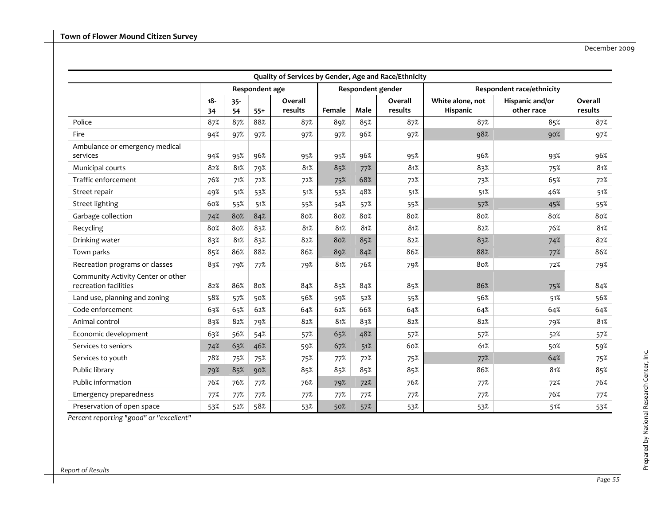|                                                             | Quality of Services by Gender, Age and Race/Ethnicity |              |                |                    |        |      |                    |                                     |                               |                    |  |  |  |
|-------------------------------------------------------------|-------------------------------------------------------|--------------|----------------|--------------------|--------|------|--------------------|-------------------------------------|-------------------------------|--------------------|--|--|--|
|                                                             |                                                       |              | Respondent age |                    |        |      | Respondent gender  |                                     | Respondent race/ethnicity     |                    |  |  |  |
|                                                             | $18 -$<br>34                                          | $35 -$<br>54 | $55+$          | Overall<br>results | Female | Male | Overall<br>results | White alone, not<br><b>Hispanic</b> | Hispanic and/or<br>other race | Overall<br>results |  |  |  |
| Police                                                      | 87%                                                   | 87%          | 88%            | 87%                | 89%    | 85%  | 87%                | 87%                                 | 85%                           | 87%                |  |  |  |
| Fire                                                        | 94%                                                   | 97%          | 97%            | 97%                | 97%    | 96%  | 97%                | 98%                                 | 90%                           | 97%                |  |  |  |
| Ambulance or emergency medical<br>services                  | 94%                                                   | 95%          | 96%            | 95%                | 95%    | 96%  | 95%                | 96%                                 | 93%                           | 96%                |  |  |  |
| Municipal courts                                            | 82%                                                   | 81%          | 79%            | 81%                | 85%    | 77%  | 81%                | 83%                                 | 75%                           | 81%                |  |  |  |
| Traffic enforcement                                         | 76%                                                   | 71%          | 72%            | 72%                | 75%    | 68%  | 72%                | 73%                                 | 65%                           | 72%                |  |  |  |
| Street repair                                               | 49%                                                   | 51%          | 53%            | 51%                | 53%    | 48%  | 51%                | 51%                                 | 46%                           | 51%                |  |  |  |
| <b>Street lighting</b>                                      | 60%                                                   | 55%          | 51%            | 55%                | 54%    | 57%  | 55%                | 57%                                 | 45%                           | 55%                |  |  |  |
| Garbage collection                                          | 74%                                                   | 80%          | 84%            | 80%                | 80%    | 80%  | 80%                | 80%                                 | 80%                           | 80%                |  |  |  |
| Recycling                                                   | 80%                                                   | 80%          | 83%            | 81%                | 81%    | 81%  | 81%                | 82%                                 | 76%                           | 81%                |  |  |  |
| Drinking water                                              | 83%                                                   | 81%          | 83%            | 82%                | 80%    | 85%  | 82%                | 83%                                 | 74%                           | 82%                |  |  |  |
| Town parks                                                  | 85%                                                   | 86%          | 88%            | 86%                | 89%    | 84%  | 86%                | 88%                                 | 77%                           | 86%                |  |  |  |
| Recreation programs or classes                              | 83%                                                   | 79%          | 77%            | 79%                | 81%    | 76%  | 79%                | 80%                                 | 72%                           | 79%                |  |  |  |
| Community Activity Center or other<br>recreation facilities | 82%                                                   | 86%          | 80%            | 84%                | 85%    | 84%  | 85%                | 86%                                 | 75%                           | 84%                |  |  |  |
| Land use, planning and zoning                               | 58%                                                   | 57%          | 50%            | 56%                | 59%    | 52%  | 55%                | 56%                                 | 51%                           | 56%                |  |  |  |
| Code enforcement                                            | 63%                                                   | 65%          | 62%            | 64%                | 62%    | 66%  | 64%                | 64%                                 | 64%                           | 64%                |  |  |  |
| Animal control                                              | 83%                                                   | 82%          | 79%            | 82%                | 81%    | 83%  | 82%                | 82%                                 | 79%                           | 81%                |  |  |  |
| Economic development                                        | 63%                                                   | 56%          | 54%            | 57%                | 65%    | 48%  | 57%                | 57%                                 | 52%                           | 57%                |  |  |  |
| Services to seniors                                         | 74%                                                   | 63%          | 46%            | 59%                | 67%    | 51%  | 60%                | 61%                                 | 50%                           | 59%                |  |  |  |
| Services to youth                                           | 78%                                                   | 75%          | 75%            | 75%                | 77%    | 72%  | 75%                | 77%                                 | 64%                           | 75%                |  |  |  |
| Public library                                              | 79%                                                   | 85%          | 90%            | 85%                | 85%    | 85%  | 85%                | 86%                                 | 81%                           | 85%                |  |  |  |
| Public information                                          | 76%                                                   | 76%          | 77%            | 76%                | 79%    | 72%  | 76%                | 77%                                 | 72%                           | 76%                |  |  |  |
| Emergency preparedness                                      | 77%                                                   | 77%          | 77%            | 77%                | 77%    | 77%  | 77%                | 77%                                 | 76%                           | 77%                |  |  |  |
| Preservation of open space                                  | 53%                                                   | 52%          | 58%            | 53%                | 50%    | 57%  | 53%                | 53%                                 | 51%                           | 53%                |  |  |  |

*Percent reporting "good" or "excellent"*

Prepared by National Research Center, Inc.

Prepared by National Research Center, Inc.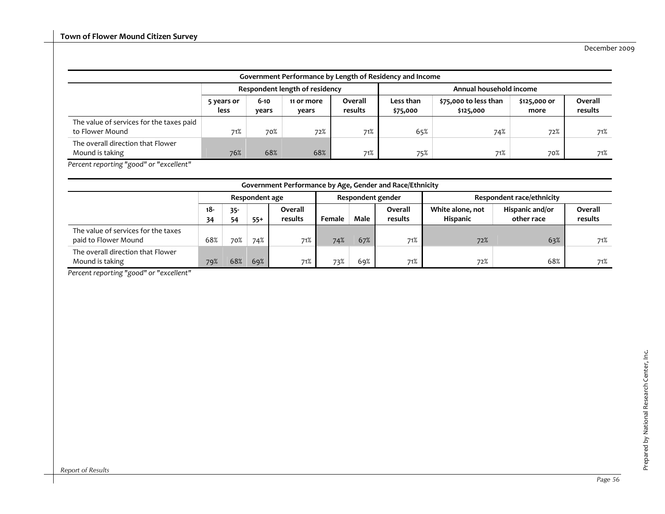| Government Performance by Length of Residency and Income    |                    |                   |                                |                    |                         |                                    |                      |                    |  |  |  |  |
|-------------------------------------------------------------|--------------------|-------------------|--------------------------------|--------------------|-------------------------|------------------------------------|----------------------|--------------------|--|--|--|--|
|                                                             |                    |                   | Respondent length of residency |                    | Annual household income |                                    |                      |                    |  |  |  |  |
|                                                             | 5 years or<br>less | $6 - 10$<br>years | 11 or more<br>years            | Overall<br>results | Less than<br>\$75,000   | \$75,000 to less than<br>\$125,000 | \$125,000 or<br>more | Overall<br>results |  |  |  |  |
| The value of services for the taxes paid<br>to Flower Mound | 71%                | 70%               | 72%                            | 71%                | 65%                     | 74%                                | 72%                  | 71%                |  |  |  |  |
| The overall direction that Flower<br>Mound is taking        | 76%                | 68%               | 68%                            | 71%                | 75%                     | 71%                                | 70%                  | 71%                |  |  |  |  |

*Percent reporting "good" or "excellent"*

|                                                             | Government Performance by Age, Gender and Race/Ethnicity |              |       |                    |        |      |                    |                                     |                               |                    |  |  |  |  |
|-------------------------------------------------------------|----------------------------------------------------------|--------------|-------|--------------------|--------|------|--------------------|-------------------------------------|-------------------------------|--------------------|--|--|--|--|
|                                                             | Respondent age                                           |              |       |                    |        |      | Respondent gender  | <b>Respondent race/ethnicity</b>    |                               |                    |  |  |  |  |
|                                                             | -18<br>34                                                | $35 -$<br>54 | $55+$ | Overall<br>results | Female | Male | Overall<br>results | White alone, not<br><b>Hispanic</b> | Hispanic and/or<br>other race | Overall<br>results |  |  |  |  |
| The value of services for the taxes<br>paid to Flower Mound | 68%                                                      | 70%          | 74%   | 71%                | 74%    | 67%  | 71%                | 72%                                 | 63%                           | 71%                |  |  |  |  |
| The overall direction that Flower<br>Mound is taking        | 79%                                                      | 68%          | 69%   | 71%                | 73%    | 69%  | 71%                | 72%                                 | 68%                           | 71%                |  |  |  |  |

*Percent reporting "good" or "excellent"*

*Report of Results*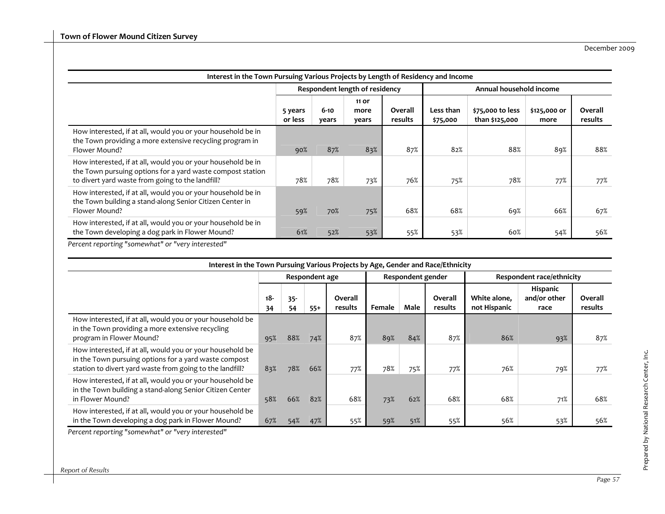| Interest in the Town Pursuing Various Projects by Length of Residency and Income                                                                                               |                    |                   |                                |                    |                         |                                    |                      |                    |  |  |  |
|--------------------------------------------------------------------------------------------------------------------------------------------------------------------------------|--------------------|-------------------|--------------------------------|--------------------|-------------------------|------------------------------------|----------------------|--------------------|--|--|--|
|                                                                                                                                                                                |                    |                   | Respondent length of residency |                    | Annual household income |                                    |                      |                    |  |  |  |
|                                                                                                                                                                                | 5 years<br>or less | $6 - 10$<br>years | 11 or<br>more<br>years         | Overall<br>results | Less than<br>\$75,000   | \$75,000 to less<br>than \$125,000 | \$125,000 or<br>more | Overall<br>results |  |  |  |
| How interested, if at all, would you or your household be in<br>the Town providing a more extensive recycling program in<br>Flower Mound?                                      | 90%                | 87%               | 83%                            | 87%                | 82%                     | 88%                                | 89%                  | 88%                |  |  |  |
| How interested, if at all, would you or your household be in<br>the Town pursuing options for a yard waste compost station<br>to divert yard waste from going to the landfill? | 78%                | 78%               | 73%                            | 76%                | 75%                     | 78%                                | 77%                  | 77%                |  |  |  |
| How interested, if at all, would you or your household be in<br>the Town building a stand-along Senior Citizen Center in<br>Flower Mound?                                      | 59%                | 70%               | 75%                            | 68%                | 68%                     | 69%                                | 66%                  | 67%                |  |  |  |
| How interested, if at all, would you or your household be in<br>the Town developing a dog park in Flower Mound?                                                                | 61%                | 52%               | 53%                            | 55%                | 53%                     | 60%                                | 54%                  | 56%                |  |  |  |

*Percent reporting "somewhat" or "very interested"*

| Interest in the Town Pursuing Various Projects by Age, Gender and Race/Ethnicity                                                                                                                                                                                                                                                                   |           |              |                |                    |                   |             |                    |                                  |                                  |                    |  |  |
|----------------------------------------------------------------------------------------------------------------------------------------------------------------------------------------------------------------------------------------------------------------------------------------------------------------------------------------------------|-----------|--------------|----------------|--------------------|-------------------|-------------|--------------------|----------------------------------|----------------------------------|--------------------|--|--|
|                                                                                                                                                                                                                                                                                                                                                    |           |              | Respondent age |                    | Respondent gender |             |                    | <b>Respondent race/ethnicity</b> |                                  |                    |  |  |
|                                                                                                                                                                                                                                                                                                                                                    | 18-<br>34 | $35 -$<br>54 | $55+$          | Overall<br>results | Female            | <b>Male</b> | Overall<br>results | White alone,<br>not Hispanic     | Hispanic<br>and/or other<br>race | Overall<br>results |  |  |
| How interested, if at all, would you or your household be<br>in the Town providing a more extensive recycling<br>program in Flower Mound?                                                                                                                                                                                                          | 95%       | 88%          | 74%            | 87%                | 89%               | 84%         | 87%                | 86%                              | 93%                              | 87%                |  |  |
| How interested, if at all, would you or your household be<br>in the Town pursuing options for a yard waste compost<br>station to divert yard waste from going to the landfill?                                                                                                                                                                     | 83%       | 78%          | 66%            | 77%                | 78%               | 75%         | 77%                | 76%                              | 79%                              | 77%                |  |  |
| How interested, if at all, would you or your household be<br>in the Town building a stand-along Senior Citizen Center<br>in Flower Mound?                                                                                                                                                                                                          | 58%       | 66%          | 82%            | 68%                | 73%               | 62%         | 68%                | 68%                              | 71%                              | 68%                |  |  |
| How interested, if at all, would you or your household be<br>in the Town developing a dog park in Flower Mound?<br>$\sim$ . The contract of the contract of the contract of the contract of the contract of the contract of the contract of the contract of the contract of the contract of the contract of the contract of the contract of the co | 67%       | 54%          | 47%            | 55%                | 59%               | 51%         | 55%                | 56%                              | 53%                              | 56%                |  |  |

*Percent reporting "somewhat" or "very interested"*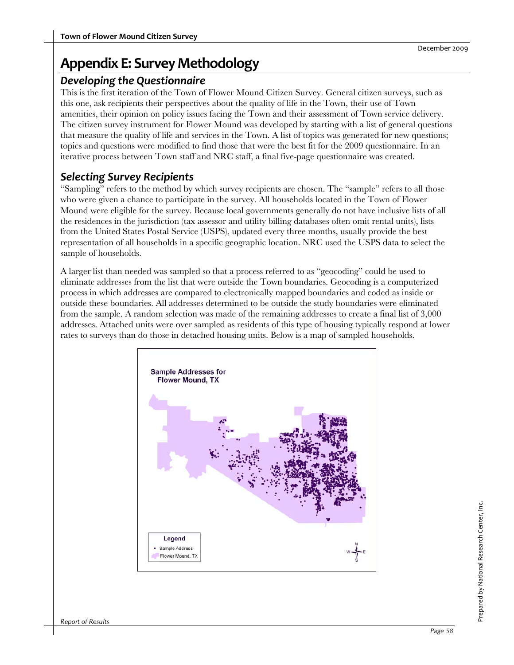# **Appendix E: Survey Methodology**

#### *Developing the Questionnaire*

This is the first iteration of the Town of Flower Mound Citizen Survey. General citizen surveys, such as this one, ask recipients their perspectives about the quality of life in the Town, their use of Town amenities, their opinion on policy issues facing the Town and their assessment of Town service delivery. The citizen survey instrument for Flower Mound was developed by starting with a list of general questions that measure the quality of life and services in the Town. A list of topics was generated for new questions; topics and questions were modified to find those that were the best fit for the 2009 questionnaire. In an iterative process between Town staff and NRC staff, a final five-page questionnaire was created.

## *Selecting Survey Recipients*

"Sampling" refers to the method by which survey recipients are chosen. The "sample" refers to all those who were given a chance to participate in the survey. All households located in the Town of Flower Mound were eligible for the survey. Because local governments generally do not have inclusive lists of all the residences in the jurisdiction (tax assessor and utility billing databases often omit rental units), lists from the United States Postal Service (USPS), updated every three months, usually provide the best representation of all households in a specific geographic location. NRC used the USPS data to select the sample of households.

A larger list than needed was sampled so that a process referred to as "geocoding" could be used to eliminate addresses from the list that were outside the Town boundaries. Geocoding is a computerized process in which addresses are compared to electronically mapped boundaries and coded as inside or outside these boundaries. All addresses determined to be outside the study boundaries were eliminated from the sample. A random selection was made of the remaining addresses to create a final list of 3,000 addresses. Attached units were over sampled as residents of this type of housing typically respond at lower rates to surveys than do those in detached housing units. Below is a map of sampled households.

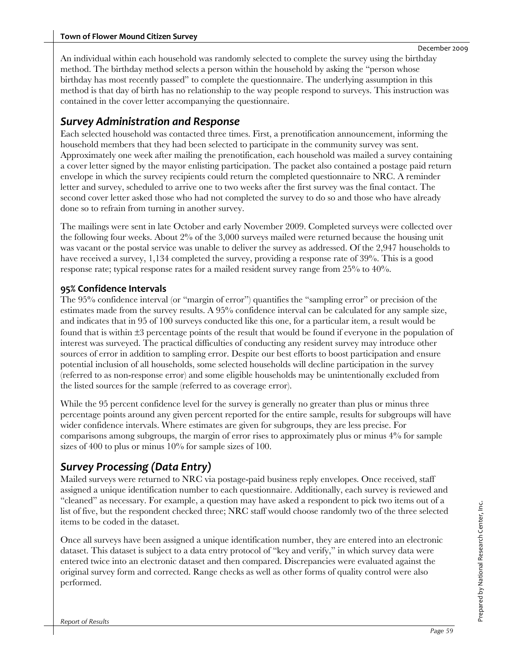An individual within each household was randomly selected to complete the survey using the birthday method. The birthday method selects a person within the household by asking the "person whose birthday has most recently passed" to complete the questionnaire. The underlying assumption in this method is that day of birth has no relationship to the way people respond to surveys. This instruction was contained in the cover letter accompanying the questionnaire.

### *Survey Administration and Response*

Each selected household was contacted three times. First, a prenotification announcement, informing the household members that they had been selected to participate in the community survey was sent. Approximately one week after mailing the prenotification, each household was mailed a survey containing a cover letter signed by the mayor enlisting participation. The packet also contained a postage paid return envelope in which the survey recipients could return the completed questionnaire to NRC. A reminder letter and survey, scheduled to arrive one to two weeks after the first survey was the final contact. The second cover letter asked those who had not completed the survey to do so and those who have already done so to refrain from turning in another survey.

The mailings were sent in late October and early November 2009. Completed surveys were collected over the following four weeks. About 2% of the 3,000 surveys mailed were returned because the housing unit was vacant or the postal service was unable to deliver the survey as addressed. Of the 2,947 households to have received a survey, 1,134 completed the survey, providing a response rate of 39%. This is a good response rate; typical response rates for a mailed resident survey range from 25% to 40%.

#### **95% Confidence Intervals**

The 95% confidence interval (or "margin of error") quantifies the "sampling error" or precision of the estimates made from the survey results. A 95% confidence interval can be calculated for any sample size, and indicates that in 95 of 100 surveys conducted like this one, for a particular item, a result would be found that is within  $\pm 3$  percentage points of the result that would be found if everyone in the population of interest was surveyed. The practical difficulties of conducting any resident survey may introduce other sources of error in addition to sampling error. Despite our best efforts to boost participation and ensure potential inclusion of all households, some selected households will decline participation in the survey (referred to as non-response error) and some eligible households may be unintentionally excluded from the listed sources for the sample (referred to as coverage error).

While the 95 percent confidence level for the survey is generally no greater than plus or minus three percentage points around any given percent reported for the entire sample, results for subgroups will have wider confidence intervals. Where estimates are given for subgroups, they are less precise. For comparisons among subgroups, the margin of error rises to approximately plus or minus 4% for sample sizes of 400 to plus or minus 10% for sample sizes of 100.

## *Survey Processing (Data Entry)*

Mailed surveys were returned to NRC via postage-paid business reply envelopes. Once received, staff assigned a unique identification number to each questionnaire. Additionally, each survey is reviewed and "cleaned" as necessary. For example, a question may have asked a respondent to pick two items out of a list of five, but the respondent checked three; NRC staff would choose randomly two of the three selected items to be coded in the dataset.

Once all surveys have been assigned a unique identification number, they are entered into an electronic dataset. This dataset is subject to a data entry protocol of "key and verify," in which survey data were entered twice into an electronic dataset and then compared. Discrepancies were evaluated against the original survey form and corrected. Range checks as well as other forms of quality control were also performed.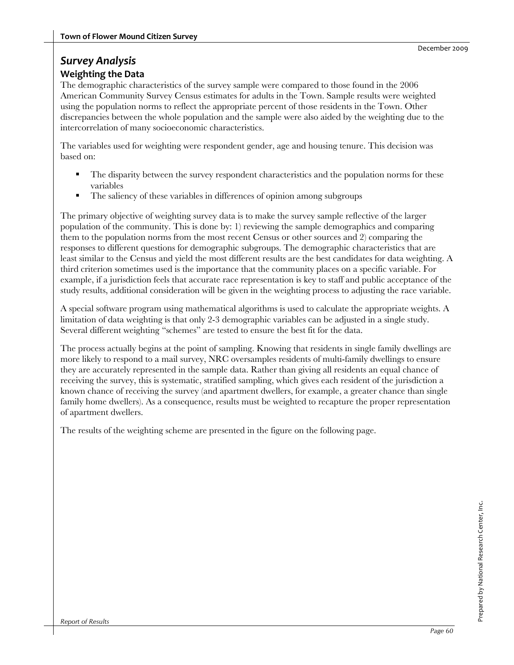#### *Survey Analysis* **Weighting the Data**

The demographic characteristics of the survey sample were compared to those found in the 2006 American Community Survey Census estimates for adults in the Town. Sample results were weighted using the population norms to reflect the appropriate percent of those residents in the Town. Other discrepancies between the whole population and the sample were also aided by the weighting due to the intercorrelation of many socioeconomic characteristics.

The variables used for weighting were respondent gender, age and housing tenure. This decision was based on:

- The disparity between the survey respondent characteristics and the population norms for these variables
- The saliency of these variables in differences of opinion among subgroups

The primary objective of weighting survey data is to make the survey sample reflective of the larger population of the community. This is done by: 1) reviewing the sample demographics and comparing them to the population norms from the most recent Census or other sources and 2) comparing the responses to different questions for demographic subgroups. The demographic characteristics that are least similar to the Census and yield the most different results are the best candidates for data weighting. A third criterion sometimes used is the importance that the community places on a specific variable. For example, if a jurisdiction feels that accurate race representation is key to staff and public acceptance of the study results, additional consideration will be given in the weighting process to adjusting the race variable.

A special software program using mathematical algorithms is used to calculate the appropriate weights. A limitation of data weighting is that only 2-3 demographic variables can be adjusted in a single study. Several different weighting "schemes" are tested to ensure the best fit for the data.

The process actually begins at the point of sampling. Knowing that residents in single family dwellings are more likely to respond to a mail survey, NRC oversamples residents of multi-family dwellings to ensure they are accurately represented in the sample data. Rather than giving all residents an equal chance of receiving the survey, this is systematic, stratified sampling, which gives each resident of the jurisdiction a known chance of receiving the survey (and apartment dwellers, for example, a greater chance than single family home dwellers). As a consequence, results must be weighted to recapture the proper representation of apartment dwellers.

The results of the weighting scheme are presented in the figure on the following page.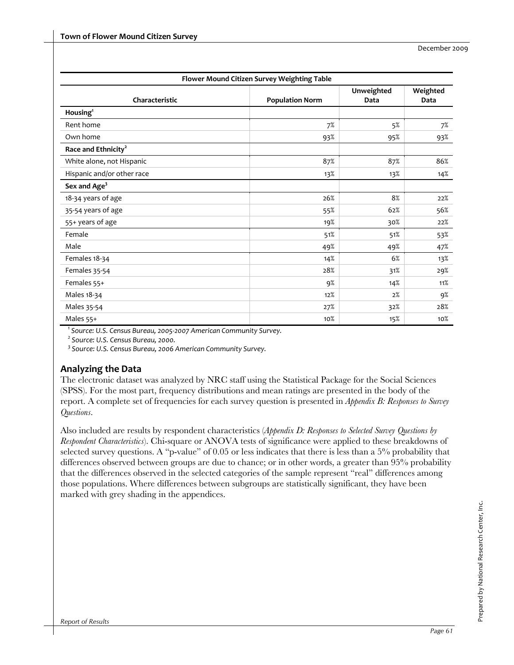|                                 | Flower Mound Citizen Survey Weighting Table |                    |                  |
|---------------------------------|---------------------------------------------|--------------------|------------------|
| Characteristic                  | <b>Population Norm</b>                      | Unweighted<br>Data | Weighted<br>Data |
| Housing <sup>1</sup>            |                                             |                    |                  |
| Rent home                       | 7%                                          | 5%                 | 7%               |
| Own home                        | 93%                                         | 95%                | 93%              |
| Race and Ethnicity <sup>2</sup> |                                             |                    |                  |
| White alone, not Hispanic       | 87%                                         | 87%                | 86%              |
| Hispanic and/or other race      | 13%                                         | 13%                | 14%              |
| Sex and Age <sup>3</sup>        |                                             |                    |                  |
| 18-34 years of age              | 26%                                         | 8%                 | 22%              |
| 35-54 years of age              | 55%                                         | 62%                | 56%              |
| 55+ years of age                | 19%                                         | 30%                | 22%              |
| Female                          | 51%                                         | 51%                | 53%              |
| Male                            | 49%                                         | 49%                | 47%              |
| Females 18-34                   | 14%                                         | 6%                 | 13%              |
| Females 35-54                   | 28%                                         | 31%                | 29%              |
| Females 55+                     | 9%                                          | 14%                | 11%              |
| Males 18-34                     | 12%                                         | 2%                 | 9%               |
| Males 35-54                     | 27%                                         | 32%                | 28%              |
| Males 55+                       | 10%                                         | 15%                | 10%              |

*1 Source: U.S. Census Bureau, 2005‐2007 American Community Survey.* 

*<sup>2</sup> Source: U.S. Census Bureau, 2000.* 

*<sup>3</sup> Source: U.S. Census Bureau, 2006 American Community Survey.* 

#### **Analyzing the Data**

The electronic dataset was analyzed by NRC staff using the Statistical Package for the Social Sciences (SPSS). For the most part, frequency distributions and mean ratings are presented in the body of the report. A complete set of frequencies for each survey question is presented in *Appendix B: Responses to Survey Questions*.

Also included are results by respondent characteristics (*Appendix D: Responses to Selected Survey Questions by Respondent Characteristics*). Chi-square or ANOVA tests of significance were applied to these breakdowns of selected survey questions. A "p-value" of 0.05 or less indicates that there is less than a 5% probability that differences observed between groups are due to chance; or in other words, a greater than 95% probability that the differences observed in the selected categories of the sample represent "real" differences among those populations. Where differences between subgroups are statistically significant, they have been marked with grey shading in the appendices.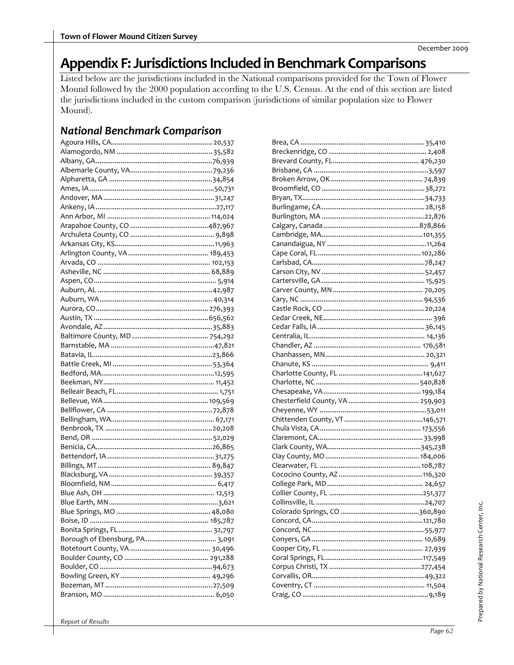# Appendix F: Jurisdictions Included in Benchmark Comparisons

Listed below are the jurisdictions included in the National comparisons provided for the Town of Flower Mound followed by the 2000 population according to the U.S. Census. At the end of this section are listed the jurisdictions included in the custom comparison (jurisdictions of similar population size to Flower Mound).

## **National Benchmark Comparison**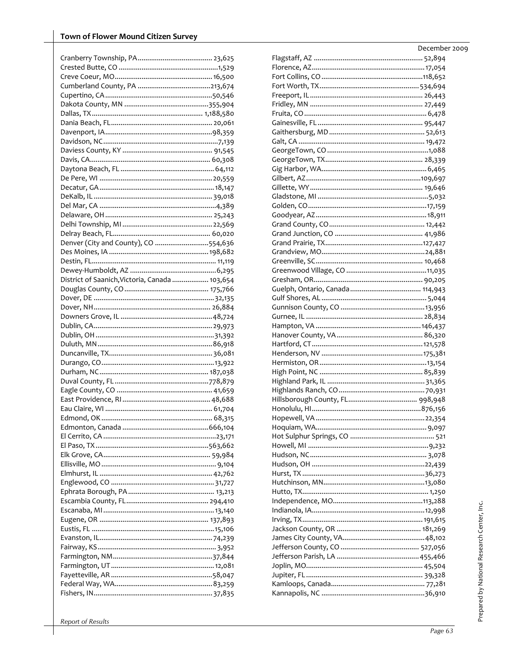| Denver (City and County), CO 554,636           |  |
|------------------------------------------------|--|
|                                                |  |
|                                                |  |
|                                                |  |
| District of Saanich, Victoria, Canada  103,654 |  |
|                                                |  |
|                                                |  |
|                                                |  |
|                                                |  |
|                                                |  |
|                                                |  |
|                                                |  |
|                                                |  |
|                                                |  |
|                                                |  |
|                                                |  |
|                                                |  |
|                                                |  |
|                                                |  |
|                                                |  |
|                                                |  |
|                                                |  |
|                                                |  |
|                                                |  |
|                                                |  |
|                                                |  |
|                                                |  |
|                                                |  |
|                                                |  |
|                                                |  |
|                                                |  |
|                                                |  |
|                                                |  |
|                                                |  |
|                                                |  |
|                                                |  |
|                                                |  |
|                                                |  |
|                                                |  |
|                                                |  |
|                                                |  |
|                                                |  |
|                                                |  |

| December 2009 |  |
|---------------|--|
|               |  |
|               |  |
|               |  |
|               |  |
|               |  |
|               |  |
|               |  |
|               |  |
|               |  |
|               |  |
|               |  |
|               |  |
|               |  |
|               |  |
|               |  |
|               |  |
|               |  |
|               |  |
|               |  |
|               |  |
|               |  |
|               |  |
|               |  |
|               |  |
|               |  |
|               |  |
|               |  |
|               |  |
|               |  |
|               |  |
|               |  |
|               |  |
|               |  |
|               |  |
|               |  |
|               |  |
|               |  |
|               |  |
|               |  |
|               |  |
|               |  |
|               |  |
|               |  |
|               |  |
|               |  |
|               |  |
|               |  |
|               |  |
|               |  |
|               |  |
|               |  |
|               |  |
|               |  |
|               |  |
|               |  |
|               |  |
|               |  |
|               |  |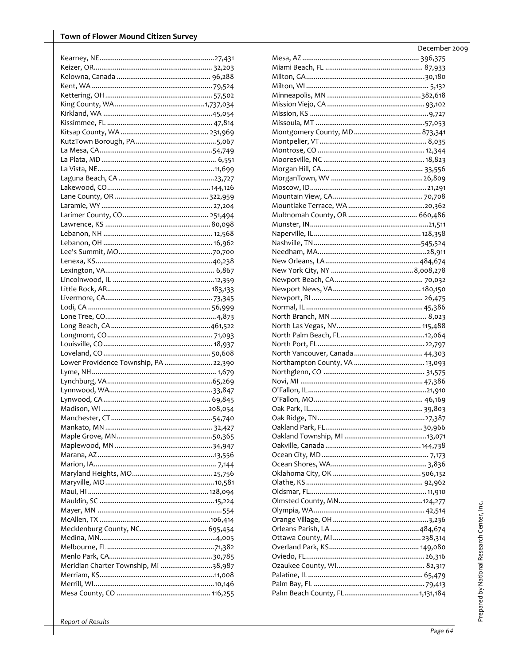| Lower Providence Township, PA  22,390 |  |
|---------------------------------------|--|
|                                       |  |
|                                       |  |
|                                       |  |
|                                       |  |
|                                       |  |
|                                       |  |
|                                       |  |
|                                       |  |
|                                       |  |
|                                       |  |
|                                       |  |
|                                       |  |
|                                       |  |
|                                       |  |
|                                       |  |
|                                       |  |
|                                       |  |
|                                       |  |
|                                       |  |
|                                       |  |
|                                       |  |
|                                       |  |
| Meridian Charter Township, MI 38,987  |  |
|                                       |  |
|                                       |  |
|                                       |  |
|                                       |  |

| December 2009 |  |
|---------------|--|
|               |  |
|               |  |
|               |  |
|               |  |
|               |  |
|               |  |
|               |  |
|               |  |
|               |  |
|               |  |
|               |  |
|               |  |
|               |  |
|               |  |
|               |  |
|               |  |
|               |  |
|               |  |
|               |  |
|               |  |
|               |  |
|               |  |
|               |  |
|               |  |
|               |  |
|               |  |
|               |  |
|               |  |
|               |  |
|               |  |
|               |  |
|               |  |
|               |  |
|               |  |
|               |  |
|               |  |
|               |  |
|               |  |
|               |  |
|               |  |
|               |  |
|               |  |
|               |  |
|               |  |
|               |  |
|               |  |
|               |  |
|               |  |
|               |  |
|               |  |
|               |  |
|               |  |
|               |  |
|               |  |
|               |  |
|               |  |
|               |  |
|               |  |
|               |  |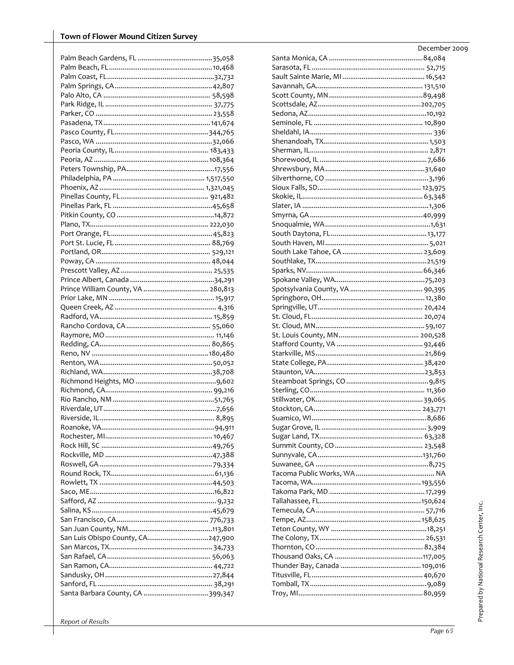| Prince William County, VA  280,813 |  |
|------------------------------------|--|
|                                    |  |
|                                    |  |
|                                    |  |
|                                    |  |
|                                    |  |
|                                    |  |
|                                    |  |
|                                    |  |
|                                    |  |
|                                    |  |
|                                    |  |
|                                    |  |
|                                    |  |
|                                    |  |
|                                    |  |
|                                    |  |
|                                    |  |
|                                    |  |
|                                    |  |
|                                    |  |
|                                    |  |
|                                    |  |
|                                    |  |
|                                    |  |
|                                    |  |
|                                    |  |
|                                    |  |
|                                    |  |
| San Luis Obispo County, CA247,900  |  |
|                                    |  |
|                                    |  |
|                                    |  |
| Santa Barbara County, CA 399,347   |  |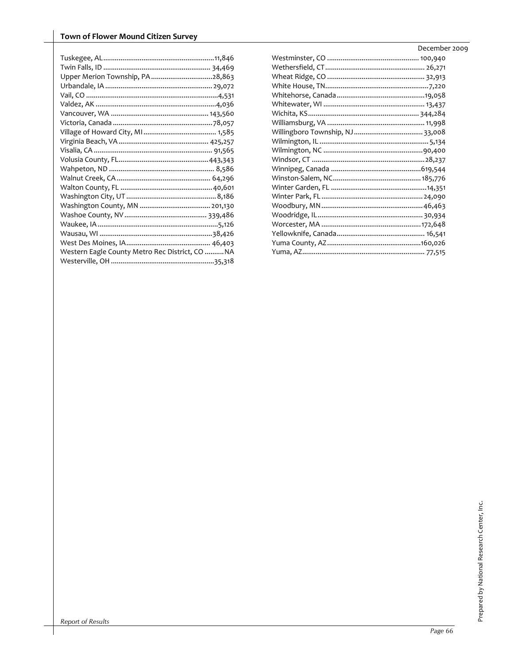| Upper Merion Township, PA 28,863                |  |
|-------------------------------------------------|--|
|                                                 |  |
|                                                 |  |
|                                                 |  |
|                                                 |  |
|                                                 |  |
|                                                 |  |
|                                                 |  |
|                                                 |  |
|                                                 |  |
|                                                 |  |
|                                                 |  |
|                                                 |  |
|                                                 |  |
|                                                 |  |
|                                                 |  |
|                                                 |  |
|                                                 |  |
|                                                 |  |
| Western Eagle County Metro Rec District, CO  NA |  |
|                                                 |  |
|                                                 |  |

| December 2009 |
|---------------|
|               |
|               |
|               |
|               |
|               |
|               |
|               |
|               |
|               |
|               |
|               |
|               |
|               |
|               |
|               |
|               |
|               |
|               |
|               |
|               |
|               |
|               |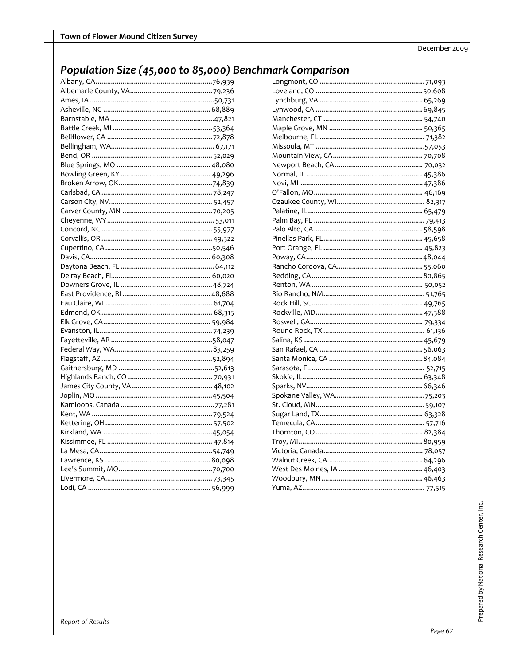# Population Size (45,000 to 85,000) Benchmark Comparison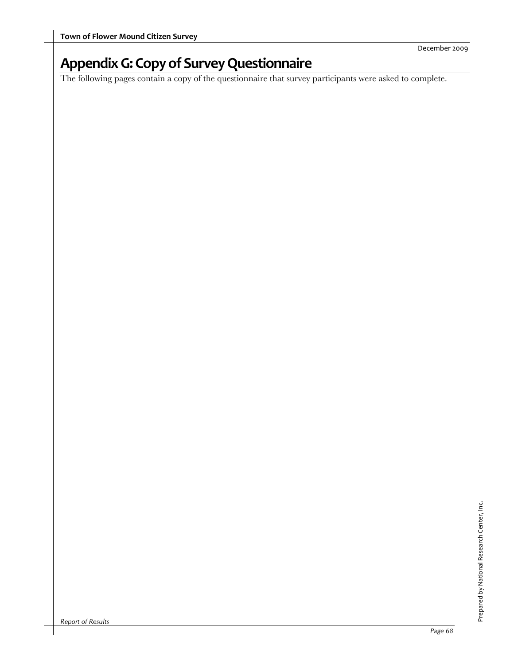# **AppendixG:Copyof SurveyQuestionnaire**

The following pages contain a copy of the questionnaire that survey participants were asked to complete.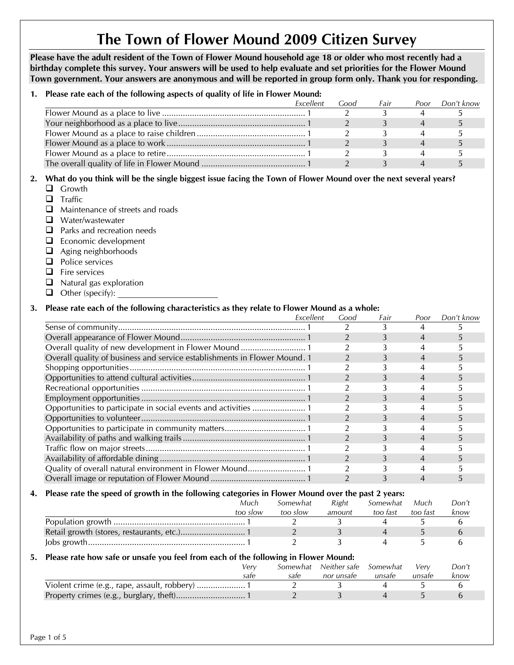# **The Town of Flower Mound 2009 Citizen Survey**

**Please have the adult resident of the Town of Flower Mound household age 18 or older who most recently had a birthday complete this survey. Your answers will be used to help evaluate and set priorities for the Flower Mound Town government. Your answers are anonymous and will be reported in group form only. Thank you for responding.** 

### **1. Please rate each of the following aspects of quality of life in Flower Mound:**

| Excellent | Good | Fair | Poor | Don't know |
|-----------|------|------|------|------------|
|           |      |      |      |            |
|           |      |      |      |            |
|           |      |      |      |            |
|           |      |      |      |            |
|           |      |      |      |            |
|           |      |      |      |            |
|           |      |      |      |            |

# **2. What do you think will be the single biggest issue facing the Town of Flower Mound over the next several years?**

- **Q** Growth
- $\Box$  Traffic
- $\Box$  Maintenance of streets and roads
- Water/wastewater
- **Q** Parks and recreation needs
- $\Box$  Economic development
- **a** Aging neighborhoods
- **Q** Police services
- $\Box$  Fire services
- $\Box$  Natural gas exploration
- $\Box$  Other (specify):

# **3. Please rate each of the following characteristics as they relate to Flower Mound as a whole:**

|                                                                           | Excellent | Good | Fair | Poor           | Don't know |
|---------------------------------------------------------------------------|-----------|------|------|----------------|------------|
|                                                                           |           |      |      |                |            |
|                                                                           |           |      |      |                |            |
|                                                                           |           |      |      |                |            |
| Overall quality of business and service establishments in Flower Mound. 1 |           |      |      | 4              |            |
|                                                                           |           |      |      |                |            |
|                                                                           |           |      |      | 4              |            |
|                                                                           |           |      |      |                |            |
|                                                                           |           |      |      | 4              |            |
|                                                                           |           |      |      |                |            |
|                                                                           |           |      |      | 4              |            |
|                                                                           |           |      |      |                |            |
|                                                                           |           |      |      | 4              |            |
|                                                                           |           |      |      |                |            |
|                                                                           |           |      |      | $\overline{4}$ |            |
|                                                                           |           |      |      |                |            |
|                                                                           |           |      | Э.   |                |            |
|                                                                           |           |      |      |                |            |

# **4. Please rate the speed of growth in the following categories in Flower Mound over the past 2 years:**

| Much     | Somewhat | Right  | Somewhat | Much     | Don't |
|----------|----------|--------|----------|----------|-------|
| too slow | too slow | amount | too fast | too fast | know  |
|          |          |        |          |          |       |
|          |          |        |          |          |       |
|          |          |        |          |          |       |

# **5. Please rate how safe or unsafe you feel from each of the following in Flower Mound:**

| Verv |      | Somewhat Neither safe Somewhat |        | Verv   | Don't |
|------|------|--------------------------------|--------|--------|-------|
| sate | sate | nor unsate                     | unsafe | unsafe | know  |
|      |      |                                |        |        |       |
|      |      |                                |        |        |       |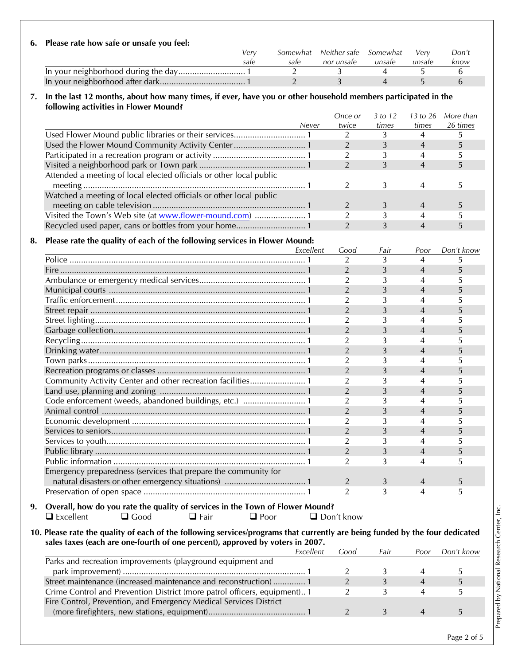| 6. Please rate how safe or unsafe you feel: |      |      |                                     |        |        |       |
|---------------------------------------------|------|------|-------------------------------------|--------|--------|-------|
|                                             | Verv |      | Somewhat Neither safe Somewhat Very |        |        | Don't |
|                                             | sate | sate | nor unsafe                          | unsafe | unsate | know  |
|                                             |      |      |                                     |        |        |       |

# **7. In the last 12 months, about how many times, if ever, have you or other household members participated in the following activities in Flower Mound?**

In your neighborhood after dark..................................... 1 2 3 4 5 6

| Never                                                               | Once or<br>twice | 3 to 12<br>times | 13 to 26<br>times | More than<br>26 times |
|---------------------------------------------------------------------|------------------|------------------|-------------------|-----------------------|
|                                                                     |                  |                  |                   |                       |
| Used the Flower Mound Community Activity Center 1                   |                  |                  |                   |                       |
|                                                                     |                  |                  |                   |                       |
|                                                                     |                  |                  | 4                 |                       |
| Attended a meeting of local elected officials or other local public |                  |                  |                   |                       |
|                                                                     |                  |                  |                   |                       |
| Watched a meeting of local elected officials or other local public  |                  |                  |                   |                       |
|                                                                     |                  |                  |                   |                       |
|                                                                     |                  |                  |                   |                       |
|                                                                     |                  |                  |                   |                       |

# **8. Please rate the quality of each of the following services in Flower Mound:**

| Excellent                                                                           | Good           | Fair | Poor           | Don't know |
|-------------------------------------------------------------------------------------|----------------|------|----------------|------------|
|                                                                                     | $\mathcal{L}$  | 3    | 4              | 5          |
|                                                                                     | $\overline{2}$ | 3    | 4              | 5          |
|                                                                                     | $\overline{2}$ |      | 4              |            |
|                                                                                     | $\overline{2}$ | 3    | 4              | 5          |
|                                                                                     | $\overline{2}$ |      | 4              | 5          |
|                                                                                     | $\overline{2}$ | 3    | 4              | 5          |
|                                                                                     | $\overline{2}$ |      | 4              | 5          |
|                                                                                     | $\overline{2}$ | 3    | 4              | 5          |
|                                                                                     | $\overline{2}$ |      |                |            |
|                                                                                     | $\overline{2}$ | 3    | 4              | 5          |
|                                                                                     | $\overline{2}$ |      | 4              | 5          |
|                                                                                     | 2              | 3    | 4              | 5          |
| Community Activity Center and other recreation facilities 1                         | $\overline{2}$ | 3    | 4              | 5          |
|                                                                                     | 2              | 3    | 4              | 5          |
| Code enforcement (weeds, abandoned buildings, etc.)  1                              | $\overline{2}$ | 3    | 4              | 5          |
|                                                                                     | $\overline{2}$ | 3    | 4              | 5          |
|                                                                                     | $\overline{2}$ | 3    | 4              | 5          |
|                                                                                     | $\overline{2}$ | 3    | 4              | 5          |
|                                                                                     | $\overline{2}$ | 3    | 4              | 5          |
|                                                                                     | $\overline{2}$ | 3    | 4              | 5          |
|                                                                                     | $\overline{2}$ | 3    |                | 5          |
| Emergency preparedness (services that prepare the community for                     |                |      |                |            |
|                                                                                     | 2              | 3    | $\overline{4}$ | 5          |
|                                                                                     | $\overline{2}$ | 3    | 4              | 5          |
| Overall have do you note that well to affect the fact the Taylor of Flower Mayne 12 |                |      |                |            |

# **9. Overall, how do you rate the quality of services in the Town of Flower Mound?**  Excellent Good Fair Poor Don't know

#### **10. Please rate the quality of each of the following services/programs that currently are being funded by the four dedicated sales taxes (each are one-fourth of one percent), approved by voters in 2007.**

|                                                                           | Excellent | .iood | Fair | Poor | Don't know |
|---------------------------------------------------------------------------|-----------|-------|------|------|------------|
| Parks and recreation improvements (playground equipment and               |           |       |      |      |            |
|                                                                           |           |       |      |      |            |
| Street maintenance (increased maintenance and reconstruction)  1          |           |       |      |      |            |
| Crime Control and Prevention District (more patrol officers, equipment) 1 |           |       |      |      |            |
| Fire Control, Prevention, and Emergency Medical Services District         |           |       |      |      |            |
|                                                                           |           |       |      |      |            |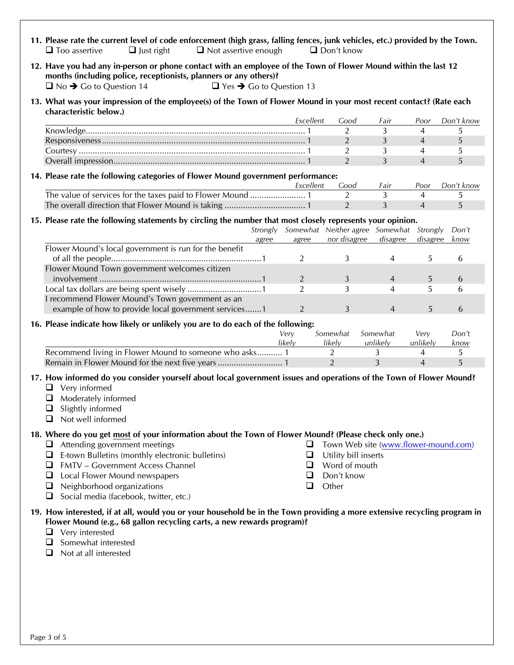- **11. Please rate the current level of code enforcement (high grass, falling fences, junk vehicles, etc.) provided by the Town.**   $\square$  Too assertive  $\square$  Just right  $\square$  Not assertive enough  $\square$  Don't know
- **12. Have you had any in-person or phone contact with an employee of the Town of Flower Mound within the last 12 months (including police, receptionists, planners or any others)?**   $\Box$  No  $\rightarrow$  Go to Question 14  $\Box$  Yes  $\rightarrow$  Go to Question 13

#### **13. What was your impression of the employee(s) of the Town of Flower Mound in your most recent contact? (Rate each characteristic below.)**

| Excellent | .ood | Fair | Poor | Don't know |
|-----------|------|------|------|------------|
|           |      |      |      |            |
|           |      |      |      |            |
|           |      |      |      |            |
|           |      |      |      |            |

#### **14. Please rate the following categories of Flower Mound government performance:**

| Excellent | ാററ | Fair | Poor | Don't know |
|-----------|-----|------|------|------------|
|           |     |      |      |            |
|           |     |      |      |            |

#### **15. Please rate the following statements by circling the number that most closely represents your opinion.**

|                                                        | Strongly |       | Somewhat Neither agree Somewhat Strongly |          | Don't |  |
|--------------------------------------------------------|----------|-------|------------------------------------------|----------|-------|--|
|                                                        | agree    | agree | nor disagree disagree                    | disagree | know  |  |
| Flower Mound's local government is run for the benefit |          |       |                                          |          |       |  |
|                                                        |          |       |                                          |          |       |  |
| Flower Mound Town government welcomes citizen          |          |       |                                          |          |       |  |
|                                                        |          |       |                                          |          |       |  |
|                                                        |          |       |                                          |          |       |  |
| recommend Flower Mound's Town government as an         |          |       |                                          |          |       |  |
| example of how to provide local government services1   |          |       |                                          |          |       |  |

#### **16. Please indicate how likely or unlikely you are to do each of the following:**

|                                                        | Verv   | Somewhat | Somewhat | Verv     | Don't |
|--------------------------------------------------------|--------|----------|----------|----------|-------|
|                                                        | likelv | likelv   | unlikelv | unlikelv | know  |
| Recommend living in Flower Mound to someone who asks 1 |        |          |          |          |       |
|                                                        |        |          |          |          |       |

#### **17. How informed do you consider yourself about local government issues and operations of the Town of Flower Mound?**

- Very informed
- $\Box$  Moderately informed
- $\Box$  Slightly informed
- $\Box$  Not well informed

#### **18. Where do you get most of your information about the Town of Flower Mound? (Please check only one.)**

- $\Box$  Attending government meetings
- $\Box$  E-town Bulletins (monthly electronic bulletins)
- FMTV Government Access Channel
- **Q** Local Flower Mound newspapers
- $\Box$  Neighborhood organizations
- $\Box$  Social media (facebook, twitter, etc.)
- □ Town Web site (www.flower-mound.com)
- $\Box$  Utility bill inserts
- **Q** Word of mouth
- Don't know
- **Q** Other

#### **19. How interested, if at all, would you or your household be in the Town providing a more extensive recycling program in Flower Mound (e.g., 68 gallon recycling carts, a new rewards program)?**

- **Q** Very interested
- $\Box$  Somewhat interested
- $\Box$  Not at all interested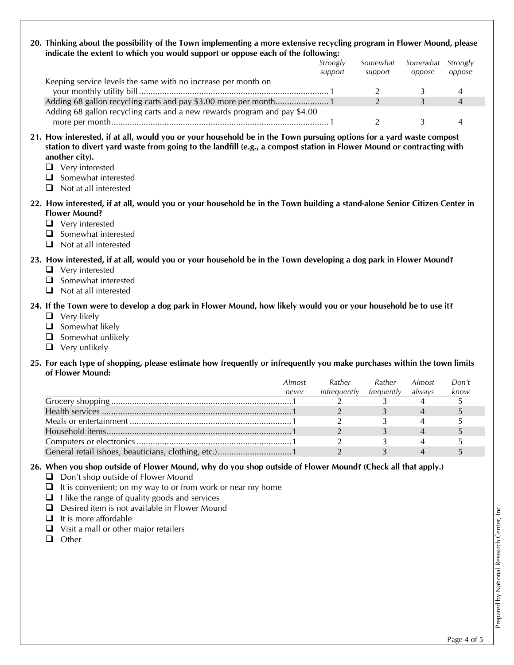#### **20. Thinking about the possibility of the Town implementing a more extensive recycling program in Flower Mound, please indicate the extent to which you would support or oppose each of the following:**

|                                                                           | Strongly | Somewhat | Somewhat Strongly |        |
|---------------------------------------------------------------------------|----------|----------|-------------------|--------|
|                                                                           | support  | support  | oppose            | oppose |
| Keeping service levels the same with no increase per month on             |          |          |                   |        |
|                                                                           |          |          |                   |        |
|                                                                           |          |          |                   |        |
| Adding 68 gallon recycling carts and a new rewards program and pay \$4.00 |          |          |                   |        |
|                                                                           |          |          |                   |        |

- **21. How interested, if at all, would you or your household be in the Town pursuing options for a yard waste compost station to divert yard waste from going to the landfill (e.g., a compost station in Flower Mound or contracting with another city).** 
	- Very interested
	- $\Box$  Somewhat interested
	- $\Box$  Not at all interested
- **22. How interested, if at all, would you or your household be in the Town building a stand-alone Senior Citizen Center in Flower Mound?** 
	- **Q** Very interested
	- $\Box$  Somewhat interested
	- $\Box$  Not at all interested

# **23. How interested, if at all, would you or your household be in the Town developing a dog park in Flower Mound?**

- **□** Very interested
- $\Box$  Somewhat interested
- Not at all interested

# **24. If the Town were to develop a dog park in Flower Mound, how likely would you or your household be to use it?**

- $\Box$  Very likely
- $\Box$  Somewhat likely
- $\Box$  Somewhat unlikely
- $\Box$  Very unlikely

# **25. For each type of shopping, please estimate how frequently or infrequently you make purchases within the town limits of Flower Mound:**

| Almost | Rather       | Rather     | Almost | Don't |
|--------|--------------|------------|--------|-------|
| never  | infrequently | frequently | always | know  |
|        |              |            |        |       |
|        |              |            |        |       |
|        |              |            |        |       |
|        |              |            |        |       |
|        |              |            |        |       |
|        |              |            |        |       |

# **26. When you shop outside of Flower Mound, why do you shop outside of Flower Mound? (Check all that apply.)**

- $\Box$  Don't shop outside of Flower Mound
- $\Box$  It is convenient; on my way to or from work or near my home
- $\Box$  I like the range of quality goods and services
- □ Desired item is not available in Flower Mound
- $\Box$  It is more affordable
- $\Box$  Visit a mall or other major retailers
- **Q** Other